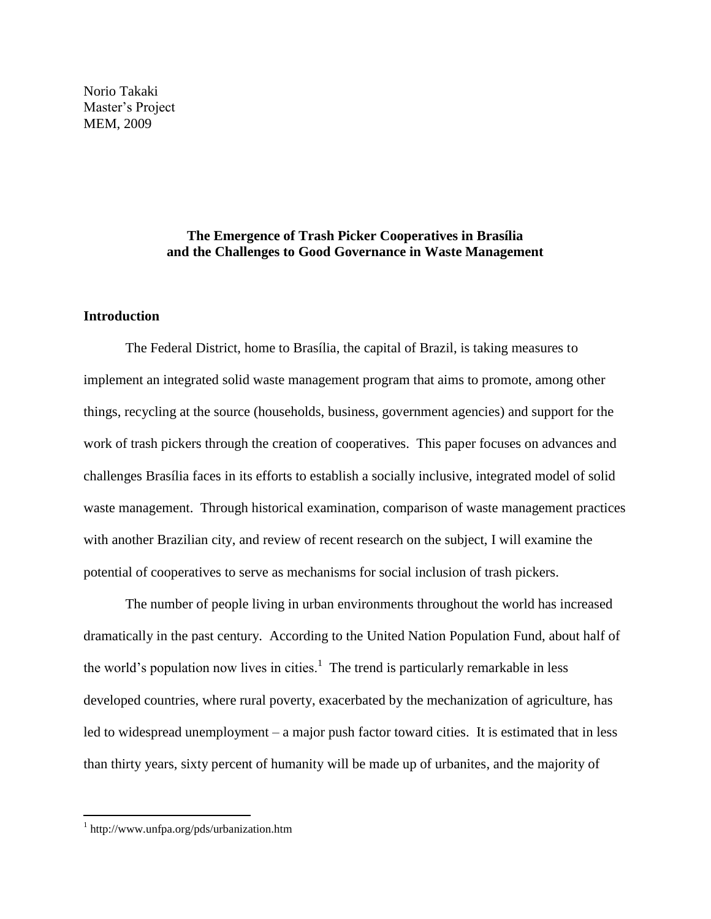Norio Takaki Master's Project MEM, 2009

## **The Emergence of Trash Picker Cooperatives in Brasília and the Challenges to Good Governance in Waste Management**

## **Introduction**

The Federal District, home to Brasília, the capital of Brazil, is taking measures to implement an integrated solid waste management program that aims to promote, among other things, recycling at the source (households, business, government agencies) and support for the work of trash pickers through the creation of cooperatives. This paper focuses on advances and challenges Brasília faces in its efforts to establish a socially inclusive, integrated model of solid waste management. Through historical examination, comparison of waste management practices with another Brazilian city, and review of recent research on the subject, I will examine the potential of cooperatives to serve as mechanisms for social inclusion of trash pickers.

The number of people living in urban environments throughout the world has increased dramatically in the past century. According to the United Nation Population Fund, about half of the world's population now lives in cities.<sup>1</sup> The trend is particularly remarkable in less developed countries, where rural poverty, exacerbated by the mechanization of agriculture, has led to widespread unemployment – a major push factor toward cities. It is estimated that in less than thirty years, sixty percent of humanity will be made up of urbanites, and the majority of

<sup>1</sup> http://www.unfpa.org/pds/urbanization.htm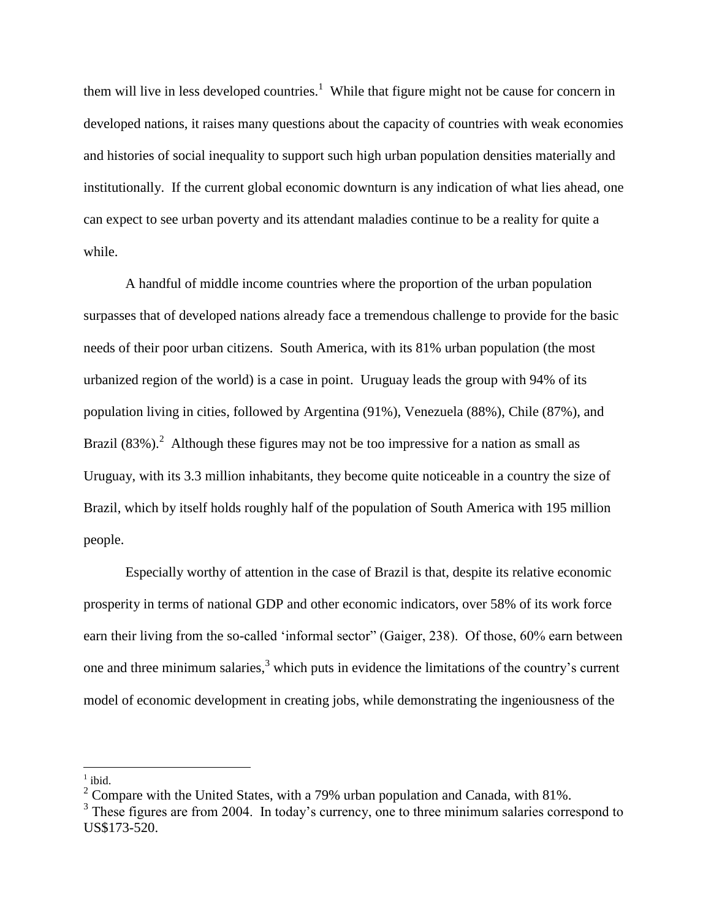them will live in less developed countries.<sup>1</sup> While that figure might not be cause for concern in developed nations, it raises many questions about the capacity of countries with weak economies and histories of social inequality to support such high urban population densities materially and institutionally. If the current global economic downturn is any indication of what lies ahead, one can expect to see urban poverty and its attendant maladies continue to be a reality for quite a while.

A handful of middle income countries where the proportion of the urban population surpasses that of developed nations already face a tremendous challenge to provide for the basic needs of their poor urban citizens. South America, with its 81% urban population (the most urbanized region of the world) is a case in point. Uruguay leads the group with 94% of its population living in cities, followed by Argentina (91%), Venezuela (88%), Chile (87%), and Brazil  $(83\%)$ <sup>2</sup> Although these figures may not be too impressive for a nation as small as Uruguay, with its 3.3 million inhabitants, they become quite noticeable in a country the size of Brazil, which by itself holds roughly half of the population of South America with 195 million people.

Especially worthy of attention in the case of Brazil is that, despite its relative economic prosperity in terms of national GDP and other economic indicators, over 58% of its work force earn their living from the so-called 'informal sector" (Gaiger, 238). Of those, 60% earn between one and three minimum salaries,<sup>3</sup> which puts in evidence the limitations of the country's current model of economic development in creating jobs, while demonstrating the ingeniousness of the

<sup>1</sup> ibid.

<sup>&</sup>lt;sup>2</sup> Compare with the United States, with a 79% urban population and Canada, with 81%.

<sup>&</sup>lt;sup>3</sup> These figures are from 2004. In today's currency, one to three minimum salaries correspond to US\$173-520.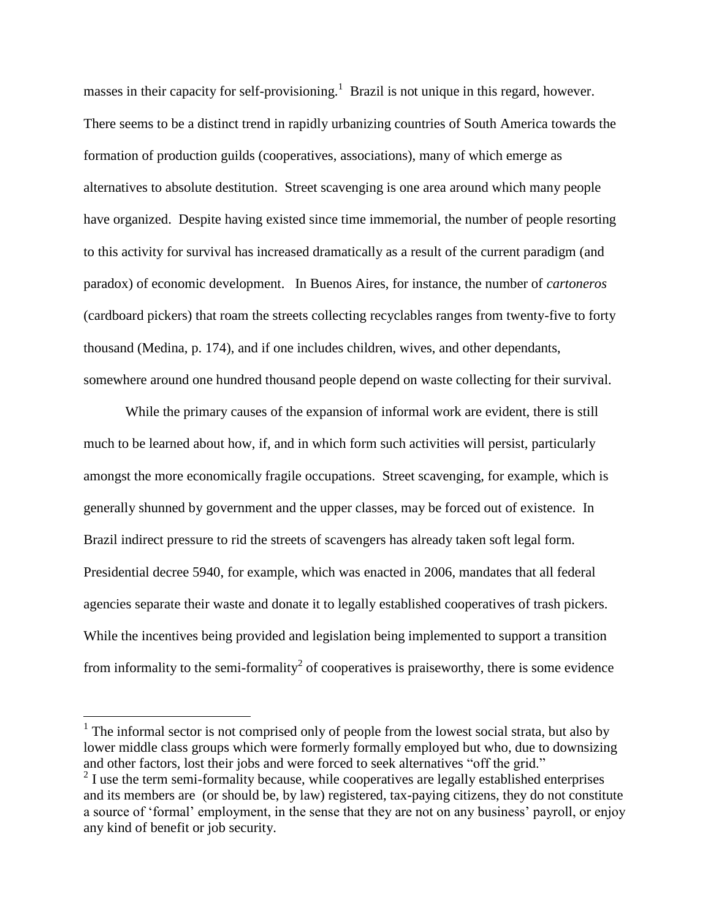masses in their capacity for self-provisioning.<sup>1</sup> Brazil is not unique in this regard, however. There seems to be a distinct trend in rapidly urbanizing countries of South America towards the formation of production guilds (cooperatives, associations), many of which emerge as alternatives to absolute destitution. Street scavenging is one area around which many people have organized. Despite having existed since time immemorial, the number of people resorting to this activity for survival has increased dramatically as a result of the current paradigm (and paradox) of economic development. In Buenos Aires, for instance, the number of *cartoneros* (cardboard pickers) that roam the streets collecting recyclables ranges from twenty-five to forty thousand (Medina, p. 174), and if one includes children, wives, and other dependants, somewhere around one hundred thousand people depend on waste collecting for their survival.

While the primary causes of the expansion of informal work are evident, there is still much to be learned about how, if, and in which form such activities will persist, particularly amongst the more economically fragile occupations. Street scavenging, for example, which is generally shunned by government and the upper classes, may be forced out of existence. In Brazil indirect pressure to rid the streets of scavengers has already taken soft legal form. Presidential decree 5940, for example, which was enacted in 2006, mandates that all federal agencies separate their waste and donate it to legally established cooperatives of trash pickers. While the incentives being provided and legislation being implemented to support a transition from informality to the semi-formality<sup>2</sup> of cooperatives is praiseworthy, there is some evidence

 $<sup>1</sup>$  The informal sector is not comprised only of people from the lowest social strata, but also by</sup> lower middle class groups which were formerly formally employed but who, due to downsizing and other factors, lost their jobs and were forced to seek alternatives "off the grid."

 $2<sup>2</sup>$  I use the term semi-formality because, while cooperatives are legally established enterprises and its members are (or should be, by law) registered, tax-paying citizens, they do not constitute a source of 'formal' employment, in the sense that they are not on any business' payroll, or enjoy any kind of benefit or job security.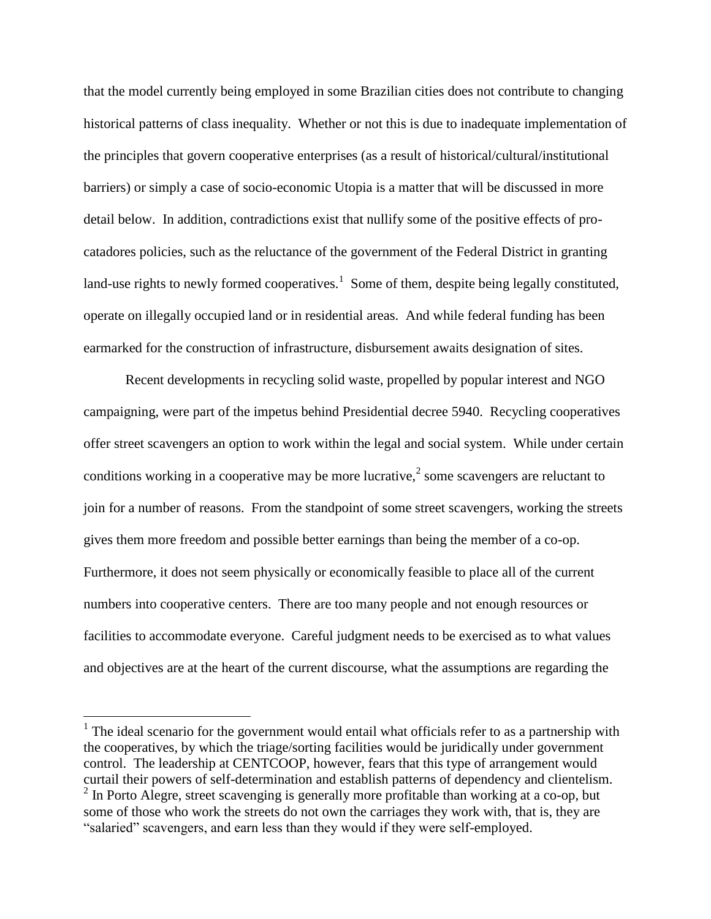that the model currently being employed in some Brazilian cities does not contribute to changing historical patterns of class inequality. Whether or not this is due to inadequate implementation of the principles that govern cooperative enterprises (as a result of historical/cultural/institutional barriers) or simply a case of socio-economic Utopia is a matter that will be discussed in more detail below. In addition, contradictions exist that nullify some of the positive effects of procatadores policies, such as the reluctance of the government of the Federal District in granting land-use rights to newly formed cooperatives.<sup>1</sup> Some of them, despite being legally constituted, operate on illegally occupied land or in residential areas. And while federal funding has been earmarked for the construction of infrastructure, disbursement awaits designation of sites.

Recent developments in recycling solid waste, propelled by popular interest and NGO campaigning, were part of the impetus behind Presidential decree 5940. Recycling cooperatives offer street scavengers an option to work within the legal and social system. While under certain conditions working in a cooperative may be more lucrative,<sup>2</sup> some scavengers are reluctant to join for a number of reasons. From the standpoint of some street scavengers, working the streets gives them more freedom and possible better earnings than being the member of a co-op. Furthermore, it does not seem physically or economically feasible to place all of the current numbers into cooperative centers. There are too many people and not enough resources or facilities to accommodate everyone. Careful judgment needs to be exercised as to what values and objectives are at the heart of the current discourse, what the assumptions are regarding the

 $<sup>1</sup>$  The ideal scenario for the government would entail what officials refer to as a partnership with</sup> the cooperatives, by which the triage/sorting facilities would be juridically under government control. The leadership at CENTCOOP, however, fears that this type of arrangement would curtail their powers of self-determination and establish patterns of dependency and clientelism. <sup>2</sup> In Porto Alegre, street scavenging is generally more profitable than working at a co-op, but some of those who work the streets do not own the carriages they work with, that is, they are "salaried" scavengers, and earn less than they would if they were self-employed.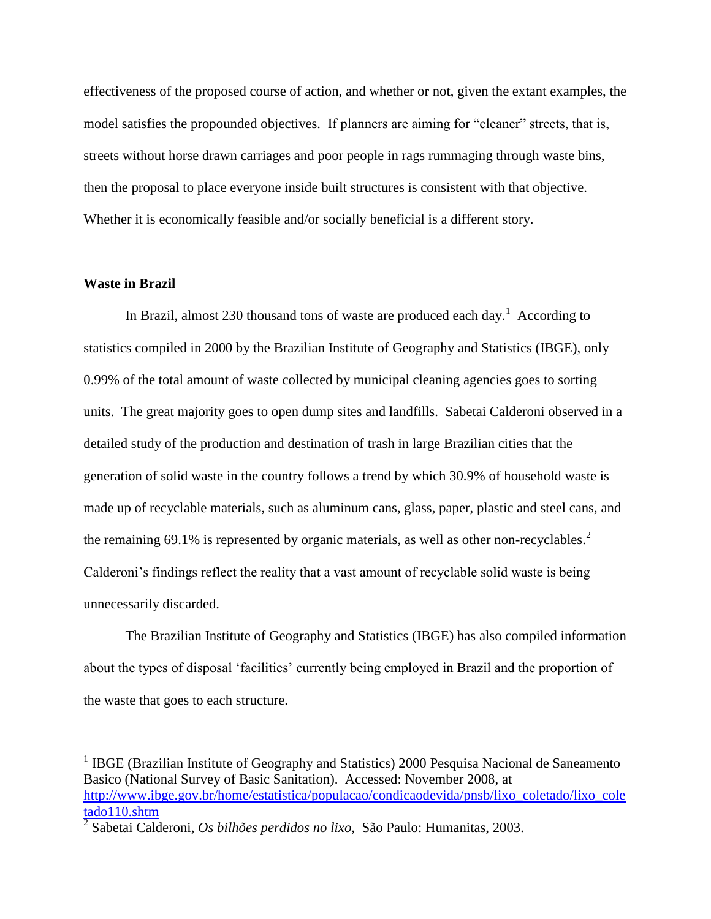effectiveness of the proposed course of action, and whether or not, given the extant examples, the model satisfies the propounded objectives. If planners are aiming for "cleaner" streets, that is, streets without horse drawn carriages and poor people in rags rummaging through waste bins, then the proposal to place everyone inside built structures is consistent with that objective. Whether it is economically feasible and/or socially beneficial is a different story.

## **Waste in Brazil**

 $\overline{a}$ 

In Brazil, almost 230 thousand tons of waste are produced each day.<sup>1</sup> According to statistics compiled in 2000 by the Brazilian Institute of Geography and Statistics (IBGE), only 0.99% of the total amount of waste collected by municipal cleaning agencies goes to sorting units. The great majority goes to open dump sites and landfills. Sabetai Calderoni observed in a detailed study of the production and destination of trash in large Brazilian cities that the generation of solid waste in the country follows a trend by which 30.9% of household waste is made up of recyclable materials, such as aluminum cans, glass, paper, plastic and steel cans, and the remaining 69.1% is represented by organic materials, as well as other non-recyclables.<sup>2</sup> Calderoni's findings reflect the reality that a vast amount of recyclable solid waste is being unnecessarily discarded.

The Brazilian Institute of Geography and Statistics (IBGE) has also compiled information about the types of disposal 'facilities' currently being employed in Brazil and the proportion of the waste that goes to each structure.

<sup>&</sup>lt;sup>1</sup> IBGE (Brazilian Institute of Geography and Statistics) 2000 Pesquisa Nacional de Saneamento Basico (National Survey of Basic Sanitation). Accessed: November 2008, at [http://www.ibge.gov.br/home/estatistica/populacao/condicaodevida/pnsb/lixo\\_coletado/lixo\\_cole](http://www.ibge.gov.br/home/estatistica/populacao/condicaodevida/pnsb/lixo_coletado/lixo_coletado110.shtm) [tado110.shtm](http://www.ibge.gov.br/home/estatistica/populacao/condicaodevida/pnsb/lixo_coletado/lixo_coletado110.shtm)

<sup>2</sup> Sabetai Calderoni, *Os bilhões perdidos no lixo,* São Paulo: Humanitas, 2003.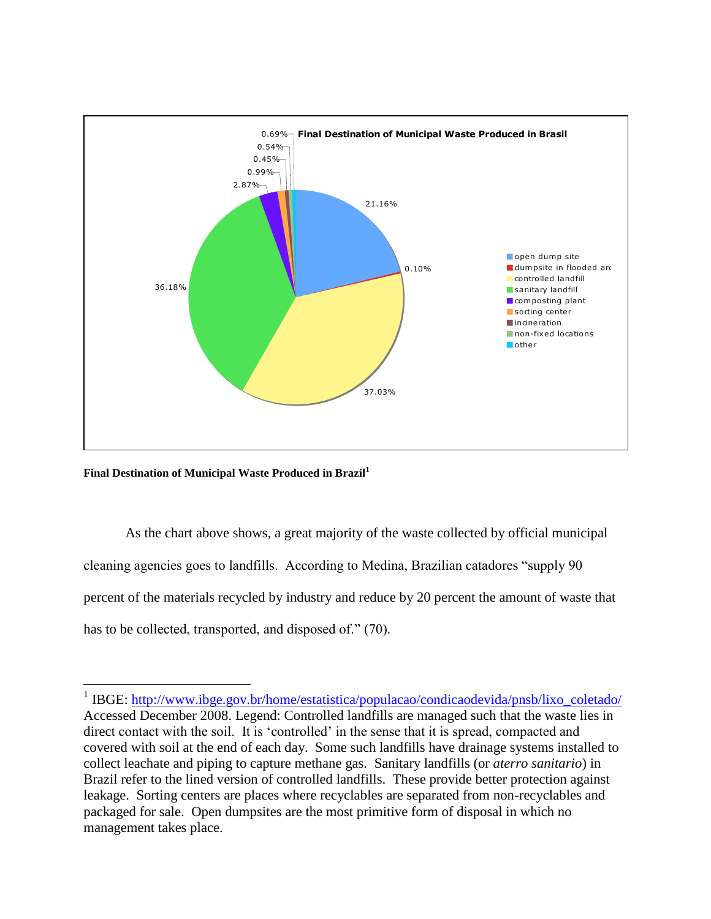

**Final Destination of Municipal Waste Produced in Brazil<sup>1</sup>**

 $\overline{a}$ 

As the chart above shows, a great majority of the waste collected by official municipal cleaning agencies goes to landfills. According to Medina, Brazilian catadores "supply 90 percent of the materials recycled by industry and reduce by 20 percent the amount of waste that has to be collected, transported, and disposed of." (70).

<sup>&</sup>lt;sup>1</sup> IBGE: http://www.ibge.gov.br/home/estatistica/populacao/condicaodevida/pnsb/lixo\_coletado/ Accessed December 2008. Legend: Controlled landfills are managed such that the waste lies in direct contact with the soil. It is 'controlled' in the sense that it is spread, compacted and covered with soil at the end of each day. Some such landfills have drainage systems installed to collect leachate and piping to capture methane gas. Sanitary landfills (or *aterro sanitario*) in Brazil refer to the lined version of controlled landfills. These provide better protection against leakage. Sorting centers are places where recyclables are separated from non-recyclables and packaged for sale. Open dumpsites are the most primitive form of disposal in which no management takes place.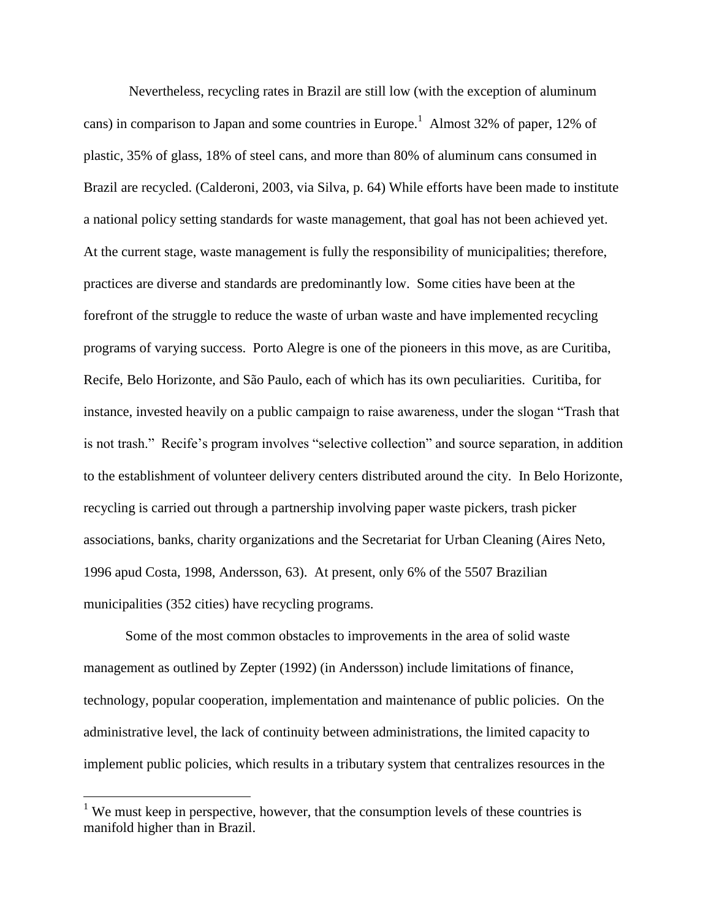Nevertheless, recycling rates in Brazil are still low (with the exception of aluminum cans) in comparison to Japan and some countries in Europe.<sup>1</sup> Almost 32% of paper, 12% of plastic, 35% of glass, 18% of steel cans, and more than 80% of aluminum cans consumed in Brazil are recycled. (Calderoni, 2003, via Silva, p. 64) While efforts have been made to institute a national policy setting standards for waste management, that goal has not been achieved yet. At the current stage, waste management is fully the responsibility of municipalities; therefore, practices are diverse and standards are predominantly low. Some cities have been at the forefront of the struggle to reduce the waste of urban waste and have implemented recycling programs of varying success. Porto Alegre is one of the pioneers in this move, as are Curitiba, Recife, Belo Horizonte, and São Paulo, each of which has its own peculiarities. Curitiba, for instance, invested heavily on a public campaign to raise awareness, under the slogan "Trash that is not trash." Recife's program involves "selective collection" and source separation, in addition to the establishment of volunteer delivery centers distributed around the city. In Belo Horizonte, recycling is carried out through a partnership involving paper waste pickers, trash picker associations, banks, charity organizations and the Secretariat for Urban Cleaning (Aires Neto, 1996 apud Costa, 1998, Andersson, 63). At present, only 6% of the 5507 Brazilian municipalities (352 cities) have recycling programs.

Some of the most common obstacles to improvements in the area of solid waste management as outlined by Zepter (1992) (in Andersson) include limitations of finance, technology, popular cooperation, implementation and maintenance of public policies. On the administrative level, the lack of continuity between administrations, the limited capacity to implement public policies, which results in a tributary system that centralizes resources in the

<sup>&</sup>lt;sup>1</sup> We must keep in perspective, however, that the consumption levels of these countries is manifold higher than in Brazil.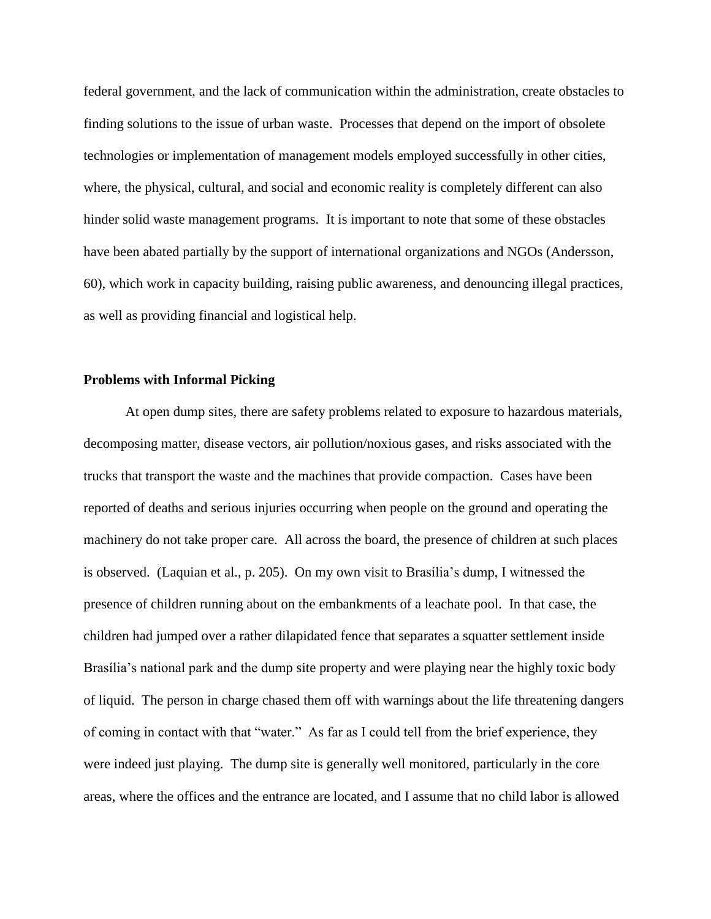federal government, and the lack of communication within the administration, create obstacles to finding solutions to the issue of urban waste. Processes that depend on the import of obsolete technologies or implementation of management models employed successfully in other cities, where, the physical, cultural, and social and economic reality is completely different can also hinder solid waste management programs. It is important to note that some of these obstacles have been abated partially by the support of international organizations and NGOs (Andersson, 60), which work in capacity building, raising public awareness, and denouncing illegal practices, as well as providing financial and logistical help.

#### **Problems with Informal Picking**

At open dump sites, there are safety problems related to exposure to hazardous materials, decomposing matter, disease vectors, air pollution/noxious gases, and risks associated with the trucks that transport the waste and the machines that provide compaction. Cases have been reported of deaths and serious injuries occurring when people on the ground and operating the machinery do not take proper care. All across the board, the presence of children at such places is observed. (Laquian et al., p. 205). On my own visit to Brasília's dump, I witnessed the presence of children running about on the embankments of a leachate pool. In that case, the children had jumped over a rather dilapidated fence that separates a squatter settlement inside Brasília's national park and the dump site property and were playing near the highly toxic body of liquid. The person in charge chased them off with warnings about the life threatening dangers of coming in contact with that "water." As far as I could tell from the brief experience, they were indeed just playing. The dump site is generally well monitored, particularly in the core areas, where the offices and the entrance are located, and I assume that no child labor is allowed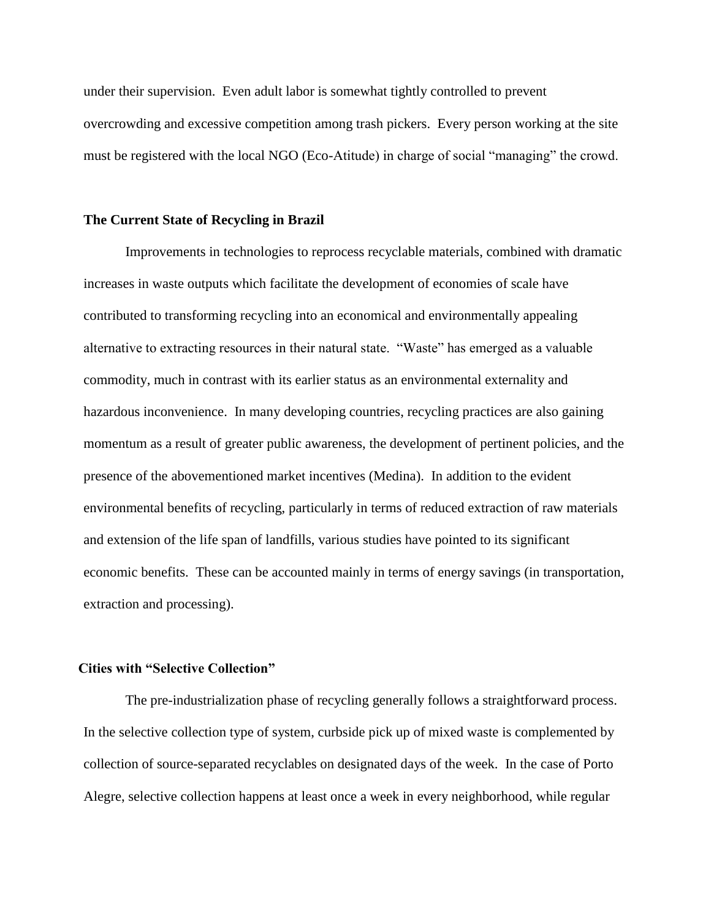under their supervision. Even adult labor is somewhat tightly controlled to prevent overcrowding and excessive competition among trash pickers. Every person working at the site must be registered with the local NGO (Eco-Atitude) in charge of social "managing" the crowd.

#### **The Current State of Recycling in Brazil**

Improvements in technologies to reprocess recyclable materials, combined with dramatic increases in waste outputs which facilitate the development of economies of scale have contributed to transforming recycling into an economical and environmentally appealing alternative to extracting resources in their natural state. "Waste" has emerged as a valuable commodity, much in contrast with its earlier status as an environmental externality and hazardous inconvenience. In many developing countries, recycling practices are also gaining momentum as a result of greater public awareness, the development of pertinent policies, and the presence of the abovementioned market incentives (Medina). In addition to the evident environmental benefits of recycling, particularly in terms of reduced extraction of raw materials and extension of the life span of landfills, various studies have pointed to its significant economic benefits. These can be accounted mainly in terms of energy savings (in transportation, extraction and processing).

#### **Cities with "Selective Collection"**

The pre-industrialization phase of recycling generally follows a straightforward process. In the selective collection type of system, curbside pick up of mixed waste is complemented by collection of source-separated recyclables on designated days of the week. In the case of Porto Alegre, selective collection happens at least once a week in every neighborhood, while regular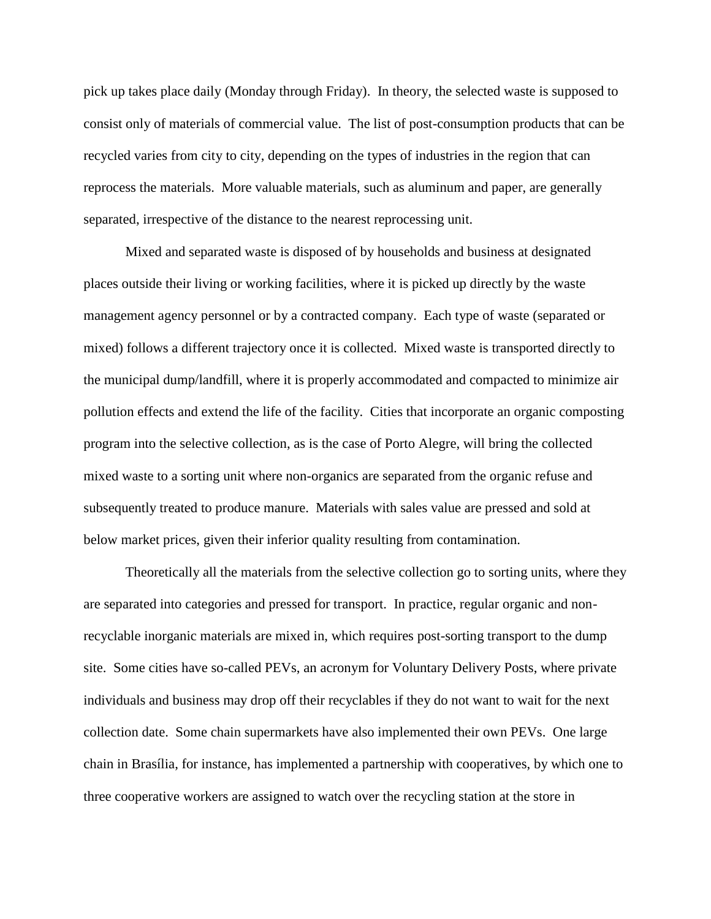pick up takes place daily (Monday through Friday). In theory, the selected waste is supposed to consist only of materials of commercial value. The list of post-consumption products that can be recycled varies from city to city, depending on the types of industries in the region that can reprocess the materials. More valuable materials, such as aluminum and paper, are generally separated, irrespective of the distance to the nearest reprocessing unit.

Mixed and separated waste is disposed of by households and business at designated places outside their living or working facilities, where it is picked up directly by the waste management agency personnel or by a contracted company. Each type of waste (separated or mixed) follows a different trajectory once it is collected. Mixed waste is transported directly to the municipal dump/landfill, where it is properly accommodated and compacted to minimize air pollution effects and extend the life of the facility. Cities that incorporate an organic composting program into the selective collection, as is the case of Porto Alegre, will bring the collected mixed waste to a sorting unit where non-organics are separated from the organic refuse and subsequently treated to produce manure. Materials with sales value are pressed and sold at below market prices, given their inferior quality resulting from contamination.

Theoretically all the materials from the selective collection go to sorting units, where they are separated into categories and pressed for transport. In practice, regular organic and nonrecyclable inorganic materials are mixed in, which requires post-sorting transport to the dump site. Some cities have so-called PEVs, an acronym for Voluntary Delivery Posts, where private individuals and business may drop off their recyclables if they do not want to wait for the next collection date. Some chain supermarkets have also implemented their own PEVs. One large chain in Brasília, for instance, has implemented a partnership with cooperatives, by which one to three cooperative workers are assigned to watch over the recycling station at the store in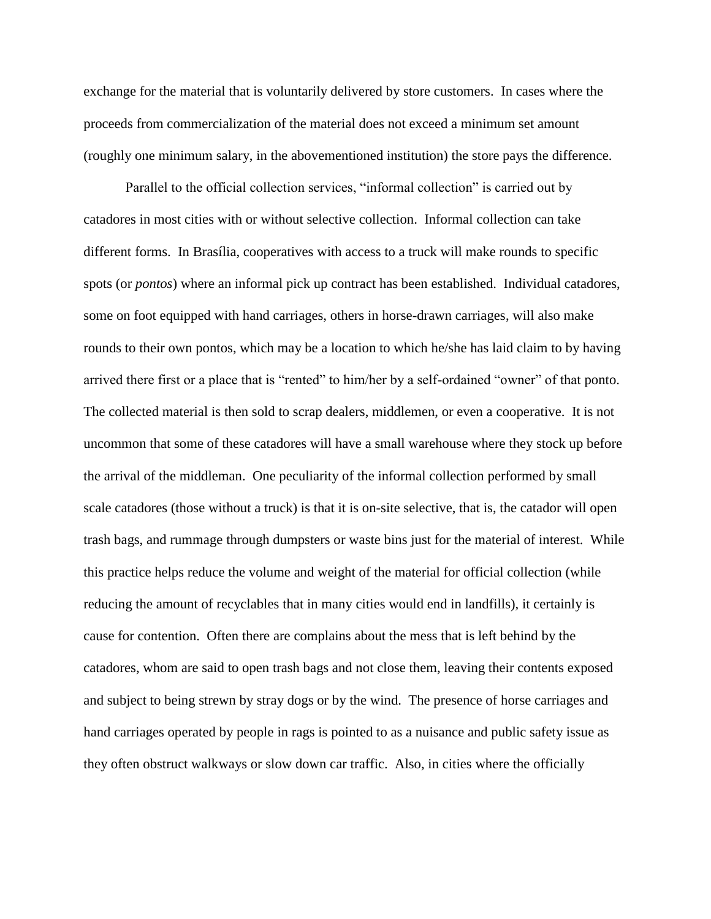exchange for the material that is voluntarily delivered by store customers. In cases where the proceeds from commercialization of the material does not exceed a minimum set amount (roughly one minimum salary, in the abovementioned institution) the store pays the difference.

Parallel to the official collection services, "informal collection" is carried out by catadores in most cities with or without selective collection. Informal collection can take different forms. In Brasília, cooperatives with access to a truck will make rounds to specific spots (or *pontos*) where an informal pick up contract has been established. Individual catadores, some on foot equipped with hand carriages, others in horse-drawn carriages, will also make rounds to their own pontos, which may be a location to which he/she has laid claim to by having arrived there first or a place that is "rented" to him/her by a self-ordained "owner" of that ponto. The collected material is then sold to scrap dealers, middlemen, or even a cooperative. It is not uncommon that some of these catadores will have a small warehouse where they stock up before the arrival of the middleman. One peculiarity of the informal collection performed by small scale catadores (those without a truck) is that it is on-site selective, that is, the catador will open trash bags, and rummage through dumpsters or waste bins just for the material of interest. While this practice helps reduce the volume and weight of the material for official collection (while reducing the amount of recyclables that in many cities would end in landfills), it certainly is cause for contention. Often there are complains about the mess that is left behind by the catadores, whom are said to open trash bags and not close them, leaving their contents exposed and subject to being strewn by stray dogs or by the wind. The presence of horse carriages and hand carriages operated by people in rags is pointed to as a nuisance and public safety issue as they often obstruct walkways or slow down car traffic. Also, in cities where the officially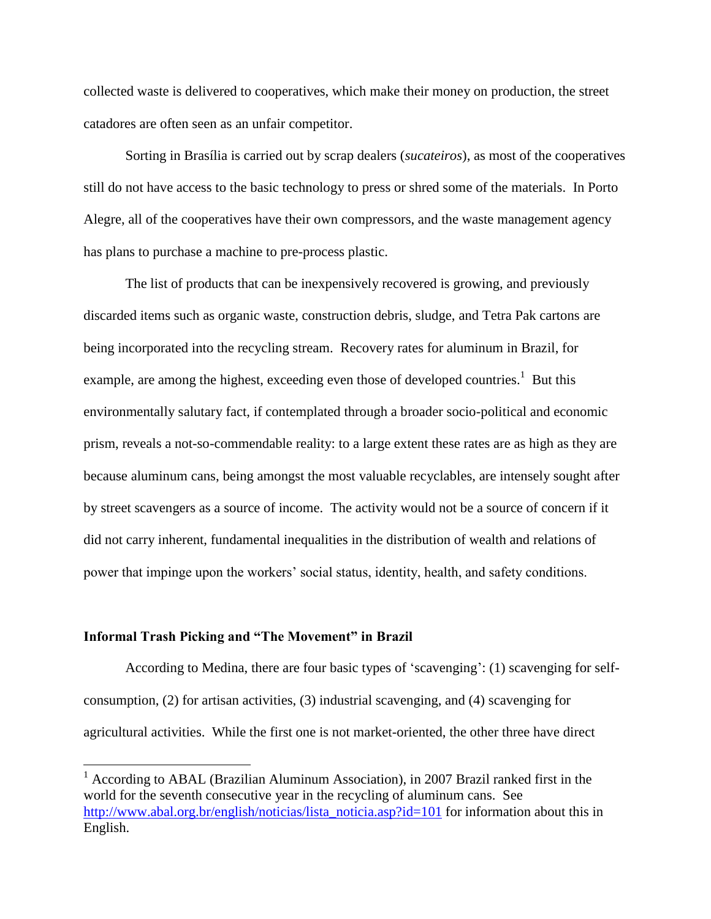collected waste is delivered to cooperatives, which make their money on production, the street catadores are often seen as an unfair competitor.

Sorting in Brasília is carried out by scrap dealers (*sucateiros*), as most of the cooperatives still do not have access to the basic technology to press or shred some of the materials. In Porto Alegre, all of the cooperatives have their own compressors, and the waste management agency has plans to purchase a machine to pre-process plastic.

The list of products that can be inexpensively recovered is growing, and previously discarded items such as organic waste, construction debris, sludge, and Tetra Pak cartons are being incorporated into the recycling stream. Recovery rates for aluminum in Brazil, for example, are among the highest, exceeding even those of developed countries.<sup>1</sup> But this environmentally salutary fact, if contemplated through a broader socio-political and economic prism, reveals a not-so-commendable reality: to a large extent these rates are as high as they are because aluminum cans, being amongst the most valuable recyclables, are intensely sought after by street scavengers as a source of income. The activity would not be a source of concern if it did not carry inherent, fundamental inequalities in the distribution of wealth and relations of power that impinge upon the workers' social status, identity, health, and safety conditions.

#### **Informal Trash Picking and "The Movement" in Brazil**

 $\overline{a}$ 

According to Medina, there are four basic types of 'scavenging': (1) scavenging for selfconsumption, (2) for artisan activities, (3) industrial scavenging, and (4) scavenging for agricultural activities. While the first one is not market-oriented, the other three have direct

 $1$  According to ABAL (Brazilian Aluminum Association), in 2007 Brazil ranked first in the world for the seventh consecutive year in the recycling of aluminum cans. See [http://www.abal.org.br/english/noticias/lista\\_noticia.asp?id=101](http://www.abal.org.br/english/noticias/lista_noticia.asp?id=101) for information about this in English.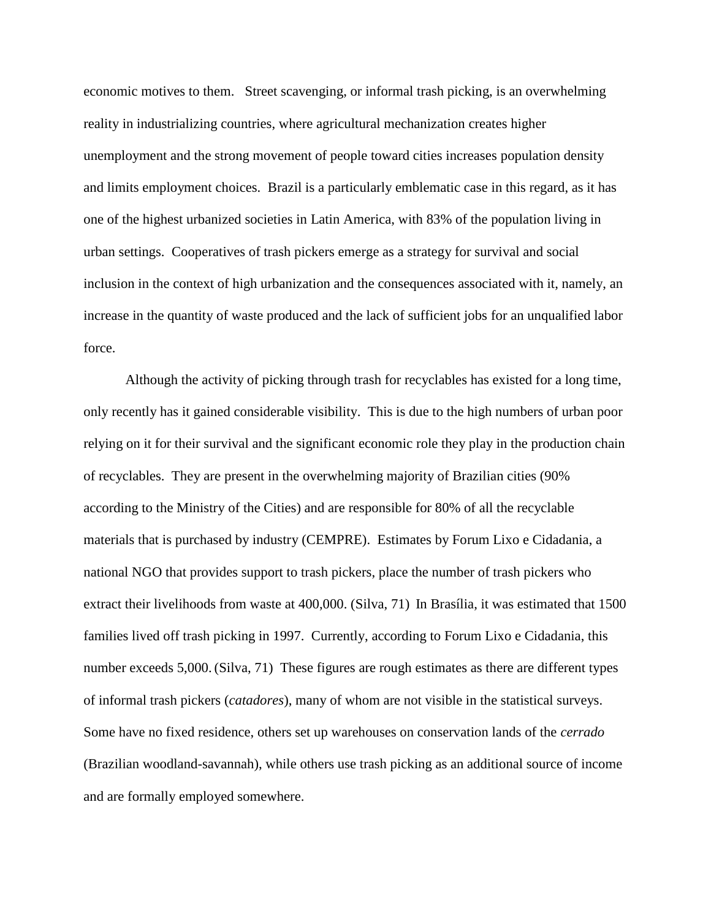economic motives to them. Street scavenging, or informal trash picking, is an overwhelming reality in industrializing countries, where agricultural mechanization creates higher unemployment and the strong movement of people toward cities increases population density and limits employment choices.Brazil is a particularly emblematic case in this regard, as it has one of the highest urbanized societies in Latin America, with 83% of the population living in urban settings. Cooperatives of trash pickers emerge as a strategy for survival and social inclusion in the context of high urbanization and the consequences associated with it, namely, an increase in the quantity of waste produced and the lack of sufficient jobs for an unqualified labor force.

Although the activity of picking through trash for recyclables has existed for a long time, only recently has it gained considerable visibility. This is due to the high numbers of urban poor relying on it for their survival and the significant economic role they play in the production chain of recyclables. They are present in the overwhelming majority of Brazilian cities (90% according to the Ministry of the Cities) and are responsible for 80% of all the recyclable materials that is purchased by industry (CEMPRE). Estimates by Forum Lixo e Cidadania, a national NGO that provides support to trash pickers, place the number of trash pickers who extract their livelihoods from waste at 400,000. (Silva, 71) In Brasília, it was estimated that 1500 families lived off trash picking in 1997. Currently, according to Forum Lixo e Cidadania, this number exceeds 5,000. (Silva, 71) These figures are rough estimates as there are different types of informal trash pickers (*catadores*), many of whom are not visible in the statistical surveys. Some have no fixed residence, others set up warehouses on conservation lands of the *cerrado* (Brazilian woodland-savannah), while others use trash picking as an additional source of income and are formally employed somewhere.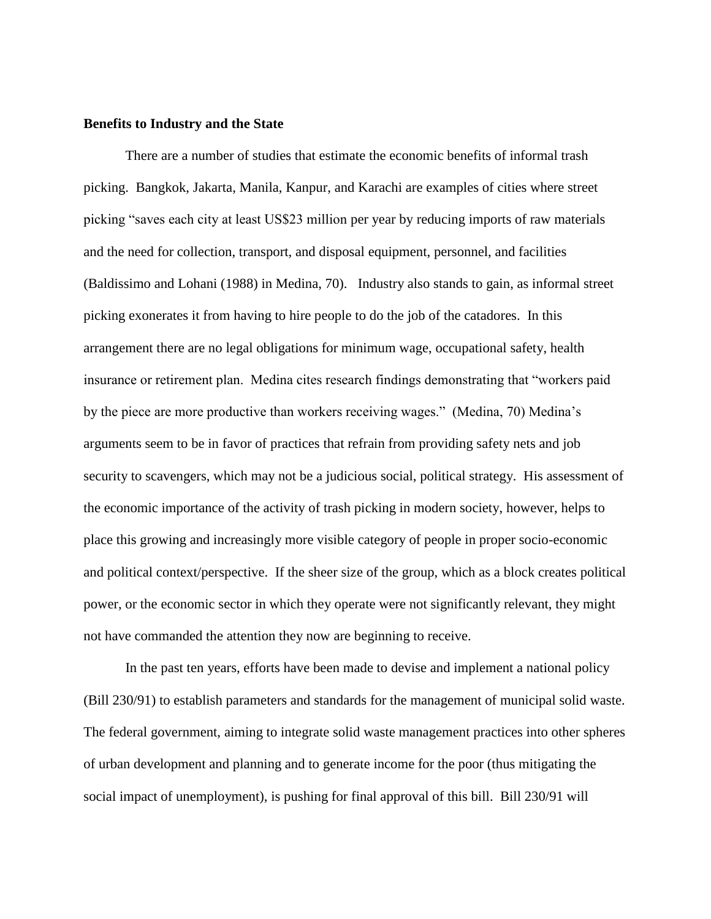#### **Benefits to Industry and the State**

There are a number of studies that estimate the economic benefits of informal trash picking. Bangkok, Jakarta, Manila, Kanpur, and Karachi are examples of cities where street picking "saves each city at least US\$23 million per year by reducing imports of raw materials and the need for collection, transport, and disposal equipment, personnel, and facilities (Baldissimo and Lohani (1988) in Medina, 70). Industry also stands to gain, as informal street picking exonerates it from having to hire people to do the job of the catadores. In this arrangement there are no legal obligations for minimum wage, occupational safety, health insurance or retirement plan. Medina cites research findings demonstrating that "workers paid by the piece are more productive than workers receiving wages." (Medina, 70) Medina's arguments seem to be in favor of practices that refrain from providing safety nets and job security to scavengers, which may not be a judicious social, political strategy. His assessment of the economic importance of the activity of trash picking in modern society, however, helps to place this growing and increasingly more visible category of people in proper socio-economic and political context/perspective. If the sheer size of the group, which as a block creates political power, or the economic sector in which they operate were not significantly relevant, they might not have commanded the attention they now are beginning to receive.

In the past ten years, efforts have been made to devise and implement a national policy (Bill 230/91) to establish parameters and standards for the management of municipal solid waste. The federal government, aiming to integrate solid waste management practices into other spheres of urban development and planning and to generate income for the poor (thus mitigating the social impact of unemployment), is pushing for final approval of this bill. Bill 230/91 will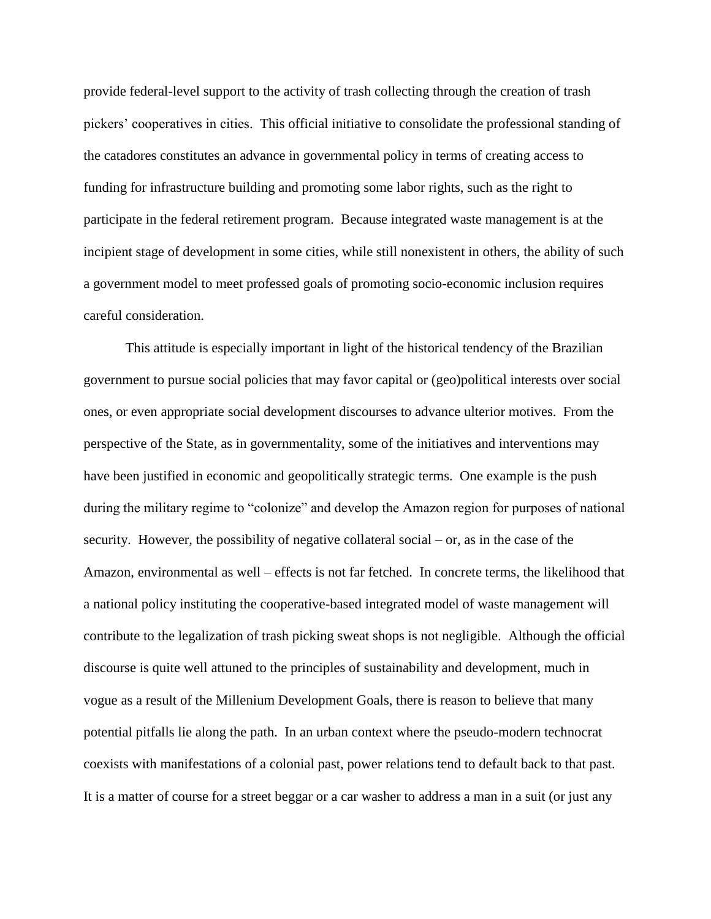provide federal-level support to the activity of trash collecting through the creation of trash pickers' cooperatives in cities. This official initiative to consolidate the professional standing of the catadores constitutes an advance in governmental policy in terms of creating access to funding for infrastructure building and promoting some labor rights, such as the right to participate in the federal retirement program. Because integrated waste management is at the incipient stage of development in some cities, while still nonexistent in others, the ability of such a government model to meet professed goals of promoting socio-economic inclusion requires careful consideration.

This attitude is especially important in light of the historical tendency of the Brazilian government to pursue social policies that may favor capital or (geo)political interests over social ones, or even appropriate social development discourses to advance ulterior motives. From the perspective of the State, as in governmentality, some of the initiatives and interventions may have been justified in economic and geopolitically strategic terms. One example is the push during the military regime to "colonize" and develop the Amazon region for purposes of national security. However, the possibility of negative collateral social – or, as in the case of the Amazon, environmental as well – effects is not far fetched. In concrete terms, the likelihood that a national policy instituting the cooperative-based integrated model of waste management will contribute to the legalization of trash picking sweat shops is not negligible. Although the official discourse is quite well attuned to the principles of sustainability and development, much in vogue as a result of the Millenium Development Goals, there is reason to believe that many potential pitfalls lie along the path. In an urban context where the pseudo-modern technocrat coexists with manifestations of a colonial past, power relations tend to default back to that past. It is a matter of course for a street beggar or a car washer to address a man in a suit (or just any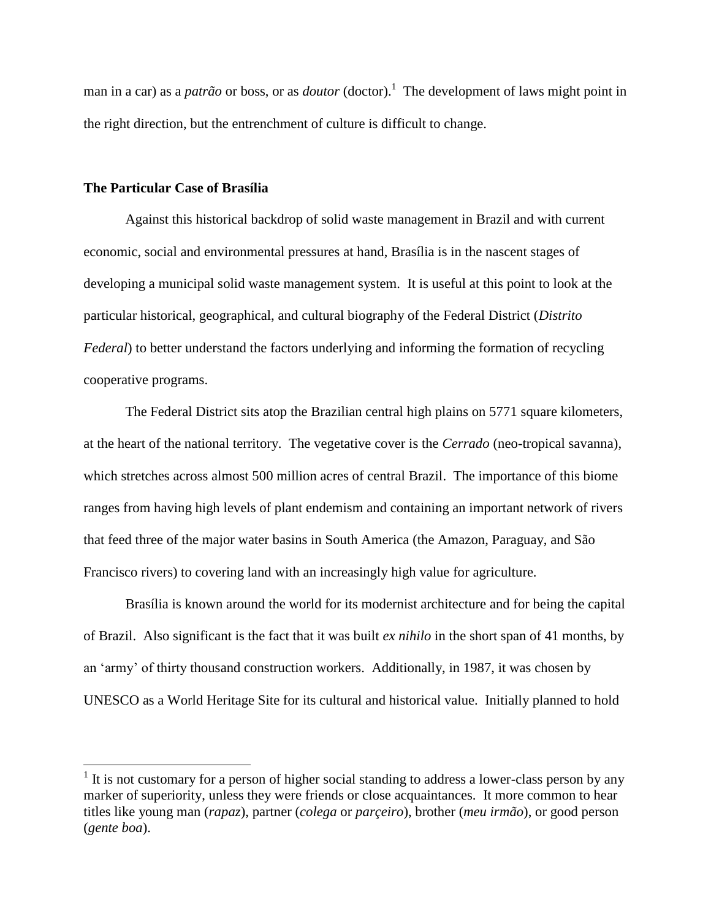man in a car) as a *patrão* or boss, or as *doutor* (doctor).<sup>1</sup> The development of laws might point in the right direction, but the entrenchment of culture is difficult to change.

## **The Particular Case of Brasília**

 $\overline{a}$ 

Against this historical backdrop of solid waste management in Brazil and with current economic, social and environmental pressures at hand, Brasília is in the nascent stages of developing a municipal solid waste management system. It is useful at this point to look at the particular historical, geographical, and cultural biography of the Federal District (*Distrito Federal*) to better understand the factors underlying and informing the formation of recycling cooperative programs.

The Federal District sits atop the Brazilian central high plains on 5771 square kilometers, at the heart of the national territory. The vegetative cover is the *Cerrado* (neo-tropical savanna), which stretches across almost 500 million acres of central Brazil. The importance of this biome ranges from having high levels of plant endemism and containing an important network of rivers that feed three of the major water basins in South America (the Amazon, Paraguay, and São Francisco rivers) to covering land with an increasingly high value for agriculture.

Brasília is known around the world for its modernist architecture and for being the capital of Brazil. Also significant is the fact that it was built *ex nihilo* in the short span of 41 months, by an 'army' of thirty thousand construction workers. Additionally, in 1987, it was chosen by UNESCO as a World Heritage Site for its cultural and historical value. Initially planned to hold

 $<sup>1</sup>$  It is not customary for a person of higher social standing to address a lower-class person by any</sup> marker of superiority, unless they were friends or close acquaintances. It more common to hear titles like young man (*rapaz*), partner (*colega* or *parçeiro*), brother (*meu irmão*), or good person (*gente boa*).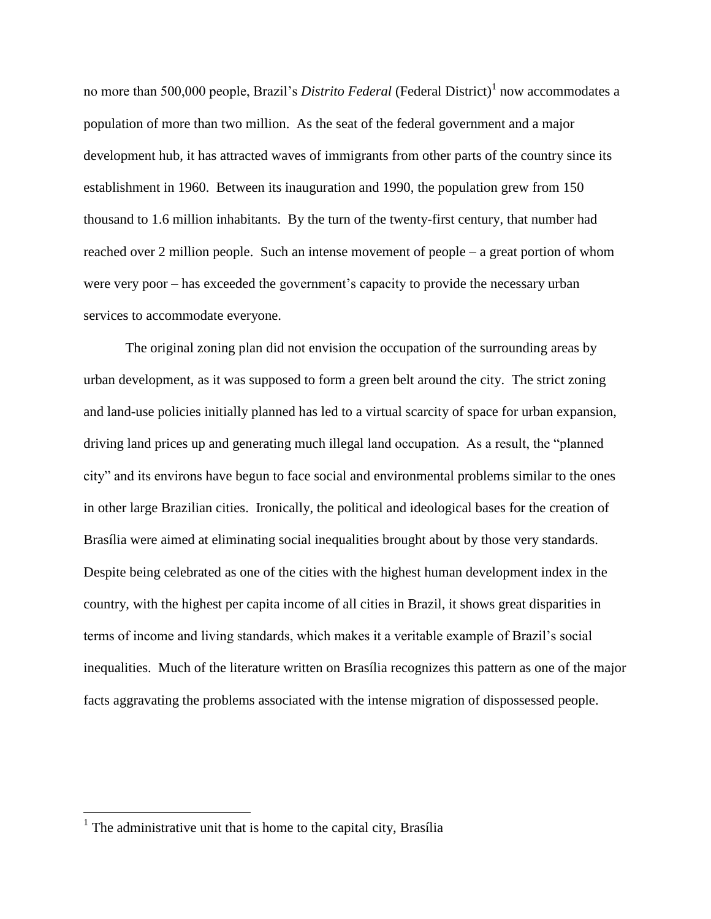no more than 500,000 people, Brazil's *Distrito Federal* (Federal District)<sup>1</sup> now accommodates a population of more than two million. As the seat of the federal government and a major development hub, it has attracted waves of immigrants from other parts of the country since its establishment in 1960. Between its inauguration and 1990, the population grew from 150 thousand to 1.6 million inhabitants. By the turn of the twenty-first century, that number had reached over 2 million people. Such an intense movement of people – a great portion of whom were very poor – has exceeded the government's capacity to provide the necessary urban services to accommodate everyone.

The original zoning plan did not envision the occupation of the surrounding areas by urban development, as it was supposed to form a green belt around the city. The strict zoning and land-use policies initially planned has led to a virtual scarcity of space for urban expansion, driving land prices up and generating much illegal land occupation. As a result, the "planned city" and its environs have begun to face social and environmental problems similar to the ones in other large Brazilian cities. Ironically, the political and ideological bases for the creation of Brasília were aimed at eliminating social inequalities brought about by those very standards. Despite being celebrated as one of the cities with the highest human development index in the country, with the highest per capita income of all cities in Brazil, it shows great disparities in terms of income and living standards, which makes it a veritable example of Brazil's social inequalities. Much of the literature written on Brasília recognizes this pattern as one of the major facts aggravating the problems associated with the intense migration of dispossessed people.

 $<sup>1</sup>$  The administrative unit that is home to the capital city, Brasília</sup>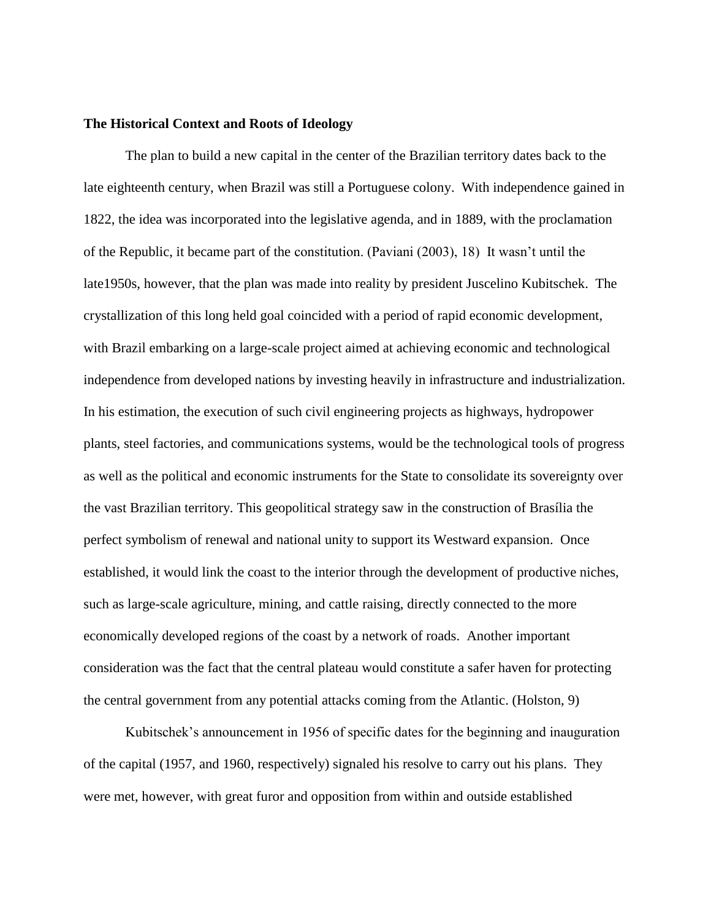### **The Historical Context and Roots of Ideology**

The plan to build a new capital in the center of the Brazilian territory dates back to the late eighteenth century, when Brazil was still a Portuguese colony. With independence gained in 1822, the idea was incorporated into the legislative agenda, and in 1889, with the proclamation of the Republic, it became part of the constitution. (Paviani (2003), 18) It wasn't until the late1950s, however, that the plan was made into reality by president Juscelino Kubitschek. The crystallization of this long held goal coincided with a period of rapid economic development, with Brazil embarking on a large-scale project aimed at achieving economic and technological independence from developed nations by investing heavily in infrastructure and industrialization. In his estimation, the execution of such civil engineering projects as highways, hydropower plants, steel factories, and communications systems, would be the technological tools of progress as well as the political and economic instruments for the State to consolidate its sovereignty over the vast Brazilian territory. This geopolitical strategy saw in the construction of Brasília the perfect symbolism of renewal and national unity to support its Westward expansion. Once established, it would link the coast to the interior through the development of productive niches, such as large-scale agriculture, mining, and cattle raising, directly connected to the more economically developed regions of the coast by a network of roads. Another important consideration was the fact that the central plateau would constitute a safer haven for protecting the central government from any potential attacks coming from the Atlantic. (Holston, 9)

Kubitschek's announcement in 1956 of specific dates for the beginning and inauguration of the capital (1957, and 1960, respectively) signaled his resolve to carry out his plans. They were met, however, with great furor and opposition from within and outside established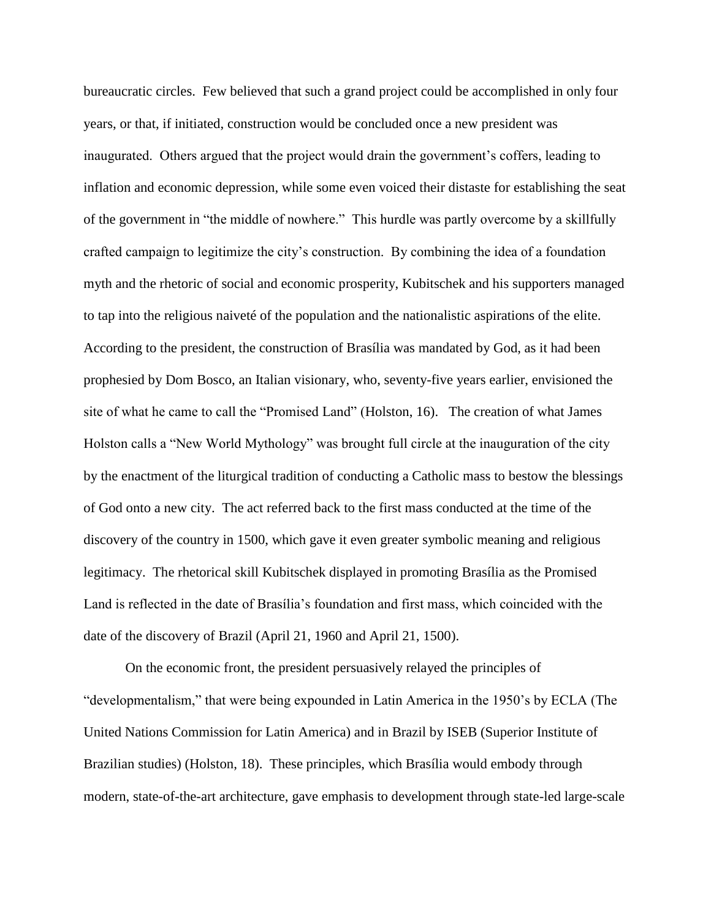bureaucratic circles. Few believed that such a grand project could be accomplished in only four years, or that, if initiated, construction would be concluded once a new president was inaugurated. Others argued that the project would drain the government's coffers, leading to inflation and economic depression, while some even voiced their distaste for establishing the seat of the government in "the middle of nowhere." This hurdle was partly overcome by a skillfully crafted campaign to legitimize the city's construction. By combining the idea of a foundation myth and the rhetoric of social and economic prosperity, Kubitschek and his supporters managed to tap into the religious naiveté of the population and the nationalistic aspirations of the elite. According to the president, the construction of Brasília was mandated by God, as it had been prophesied by Dom Bosco, an Italian visionary, who, seventy-five years earlier, envisioned the site of what he came to call the "Promised Land" (Holston, 16). The creation of what James Holston calls a "New World Mythology" was brought full circle at the inauguration of the city by the enactment of the liturgical tradition of conducting a Catholic mass to bestow the blessings of God onto a new city. The act referred back to the first mass conducted at the time of the discovery of the country in 1500, which gave it even greater symbolic meaning and religious legitimacy. The rhetorical skill Kubitschek displayed in promoting Brasília as the Promised Land is reflected in the date of Brasília's foundation and first mass, which coincided with the date of the discovery of Brazil (April 21, 1960 and April 21, 1500).

On the economic front, the president persuasively relayed the principles of "developmentalism," that were being expounded in Latin America in the 1950's by ECLA (The United Nations Commission for Latin America) and in Brazil by ISEB (Superior Institute of Brazilian studies) (Holston, 18). These principles, which Brasília would embody through modern, state-of-the-art architecture, gave emphasis to development through state-led large-scale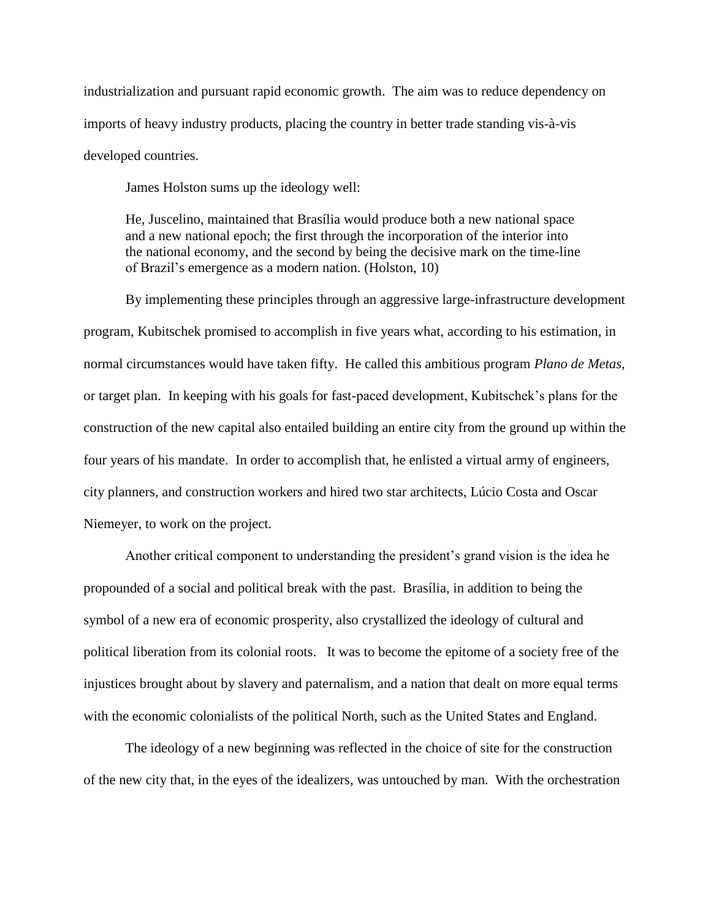industrialization and pursuant rapid economic growth. The aim was to reduce dependency on imports of heavy industry products, placing the country in better trade standing vis-à-vis developed countries.

James Holston sums up the ideology well:

He, Juscelino, maintained that Brasília would produce both a new national space and a new national epoch; the first through the incorporation of the interior into the national economy, and the second by being the decisive mark on the time-line of Brazil's emergence as a modern nation. (Holston, 10)

By implementing these principles through an aggressive large-infrastructure development program, Kubitschek promised to accomplish in five years what, according to his estimation, in normal circumstances would have taken fifty. He called this ambitious program *Plano de Metas,* or target plan. In keeping with his goals for fast-paced development, Kubitschek's plans for the construction of the new capital also entailed building an entire city from the ground up within the four years of his mandate. In order to accomplish that, he enlisted a virtual army of engineers, city planners, and construction workers and hired two star architects, Lúcio Costa and Oscar Niemeyer, to work on the project.

Another critical component to understanding the president's grand vision is the idea he propounded of a social and political break with the past. Brasília, in addition to being the symbol of a new era of economic prosperity, also crystallized the ideology of cultural and political liberation from its colonial roots. It was to become the epitome of a society free of the injustices brought about by slavery and paternalism, and a nation that dealt on more equal terms with the economic colonialists of the political North, such as the United States and England.

The ideology of a new beginning was reflected in the choice of site for the construction of the new city that, in the eyes of the idealizers, was untouched by man. With the orchestration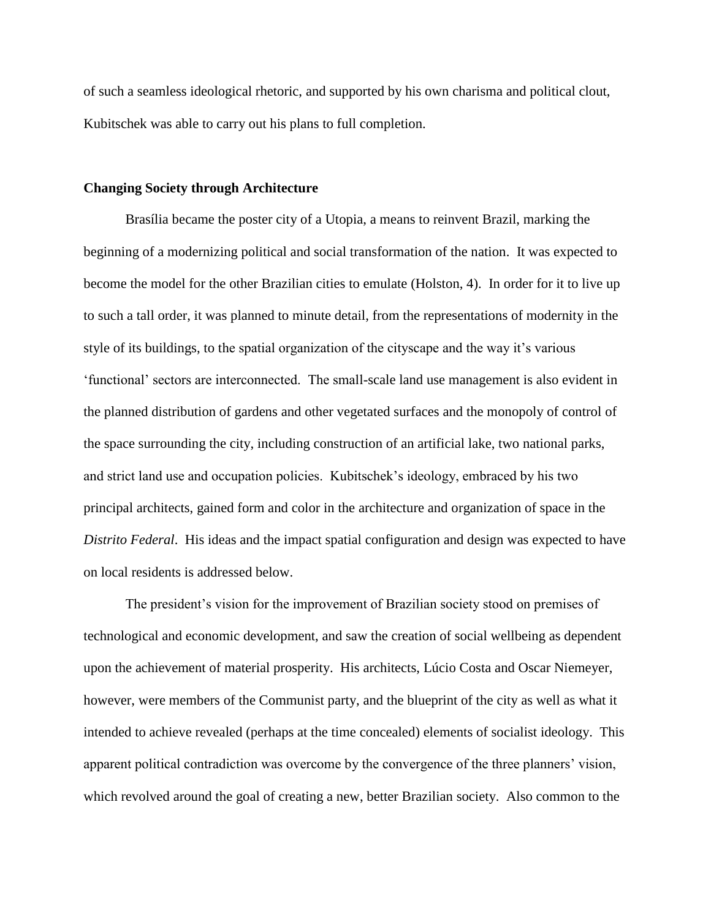of such a seamless ideological rhetoric, and supported by his own charisma and political clout, Kubitschek was able to carry out his plans to full completion.

#### **Changing Society through Architecture**

Brasília became the poster city of a Utopia, a means to reinvent Brazil, marking the beginning of a modernizing political and social transformation of the nation. It was expected to become the model for the other Brazilian cities to emulate (Holston, 4). In order for it to live up to such a tall order, it was planned to minute detail, from the representations of modernity in the style of its buildings, to the spatial organization of the cityscape and the way it's various 'functional' sectors are interconnected. The small-scale land use management is also evident in the planned distribution of gardens and other vegetated surfaces and the monopoly of control of the space surrounding the city, including construction of an artificial lake, two national parks, and strict land use and occupation policies. Kubitschek's ideology, embraced by his two principal architects, gained form and color in the architecture and organization of space in the *Distrito Federal*. His ideas and the impact spatial configuration and design was expected to have on local residents is addressed below.

The president's vision for the improvement of Brazilian society stood on premises of technological and economic development, and saw the creation of social wellbeing as dependent upon the achievement of material prosperity. His architects, Lúcio Costa and Oscar Niemeyer, however, were members of the Communist party, and the blueprint of the city as well as what it intended to achieve revealed (perhaps at the time concealed) elements of socialist ideology. This apparent political contradiction was overcome by the convergence of the three planners' vision, which revolved around the goal of creating a new, better Brazilian society. Also common to the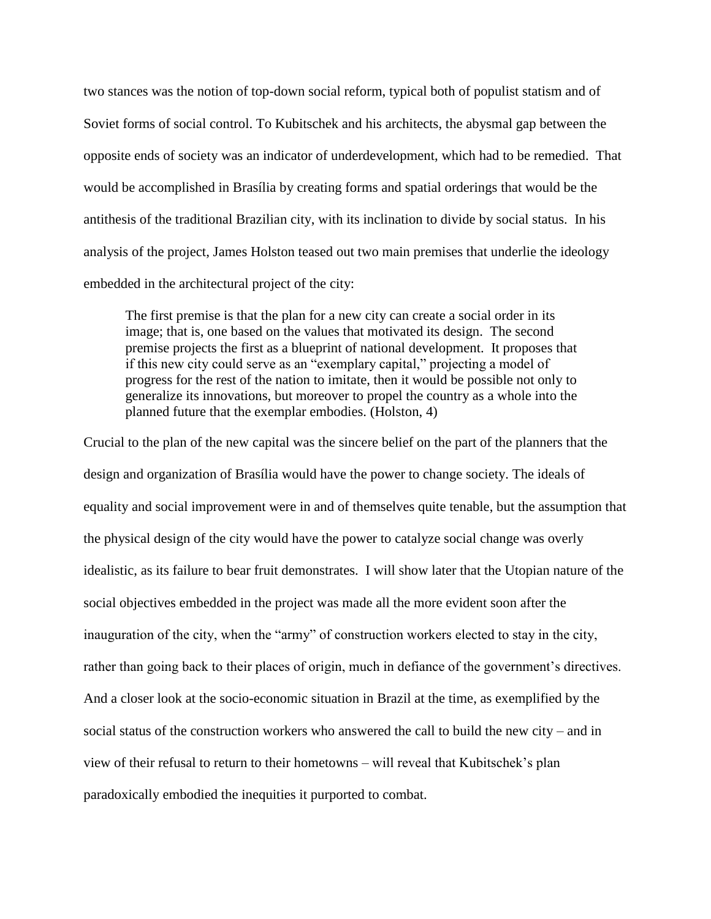two stances was the notion of top-down social reform, typical both of populist statism and of Soviet forms of social control. To Kubitschek and his architects, the abysmal gap between the opposite ends of society was an indicator of underdevelopment, which had to be remedied. That would be accomplished in Brasília by creating forms and spatial orderings that would be the antithesis of the traditional Brazilian city, with its inclination to divide by social status. In his analysis of the project, James Holston teased out two main premises that underlie the ideology embedded in the architectural project of the city:

The first premise is that the plan for a new city can create a social order in its image; that is, one based on the values that motivated its design. The second premise projects the first as a blueprint of national development. It proposes that if this new city could serve as an "exemplary capital," projecting a model of progress for the rest of the nation to imitate, then it would be possible not only to generalize its innovations, but moreover to propel the country as a whole into the planned future that the exemplar embodies. (Holston, 4)

Crucial to the plan of the new capital was the sincere belief on the part of the planners that the design and organization of Brasília would have the power to change society. The ideals of equality and social improvement were in and of themselves quite tenable, but the assumption that the physical design of the city would have the power to catalyze social change was overly idealistic, as its failure to bear fruit demonstrates. I will show later that the Utopian nature of the social objectives embedded in the project was made all the more evident soon after the inauguration of the city, when the "army" of construction workers elected to stay in the city, rather than going back to their places of origin, much in defiance of the government's directives. And a closer look at the socio-economic situation in Brazil at the time, as exemplified by the social status of the construction workers who answered the call to build the new city – and in view of their refusal to return to their hometowns – will reveal that Kubitschek's plan paradoxically embodied the inequities it purported to combat.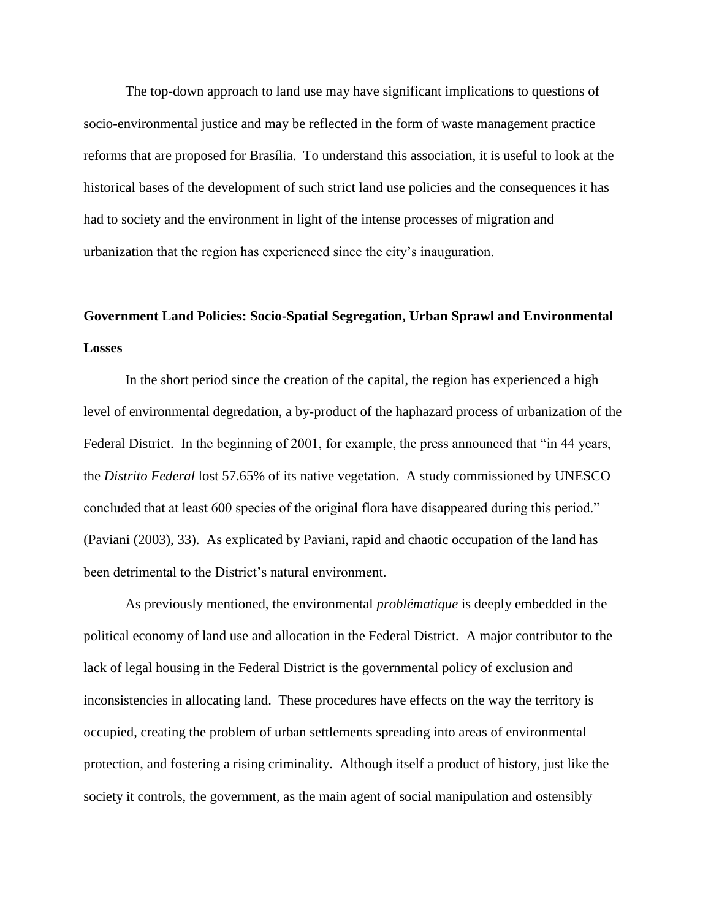The top-down approach to land use may have significant implications to questions of socio-environmental justice and may be reflected in the form of waste management practice reforms that are proposed for Brasília. To understand this association, it is useful to look at the historical bases of the development of such strict land use policies and the consequences it has had to society and the environment in light of the intense processes of migration and urbanization that the region has experienced since the city's inauguration.

# **Government Land Policies: Socio-Spatial Segregation, Urban Sprawl and Environmental Losses**

In the short period since the creation of the capital, the region has experienced a high level of environmental degredation, a by-product of the haphazard process of urbanization of the Federal District. In the beginning of 2001, for example, the press announced that "in 44 years, the *Distrito Federal* lost 57.65% of its native vegetation. A study commissioned by UNESCO concluded that at least 600 species of the original flora have disappeared during this period." (Paviani (2003), 33). As explicated by Paviani, rapid and chaotic occupation of the land has been detrimental to the District's natural environment.

As previously mentioned, the environmental *problématique* is deeply embedded in the political economy of land use and allocation in the Federal District*.* A major contributor to the lack of legal housing in the Federal District is the governmental policy of exclusion and inconsistencies in allocating land. These procedures have effects on the way the territory is occupied, creating the problem of urban settlements spreading into areas of environmental protection, and fostering a rising criminality. Although itself a product of history, just like the society it controls, the government, as the main agent of social manipulation and ostensibly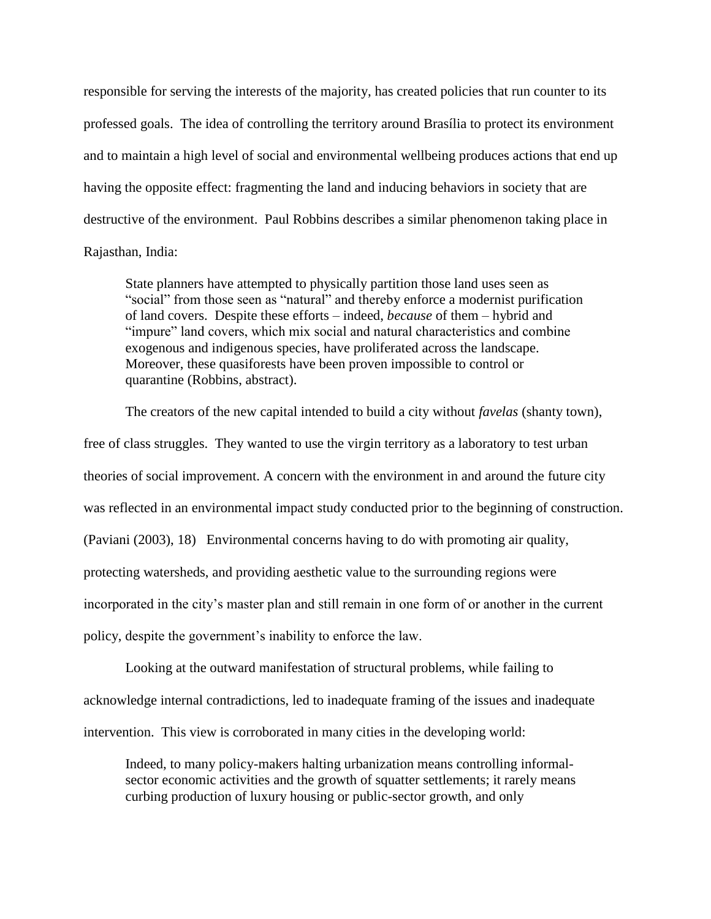responsible for serving the interests of the majority, has created policies that run counter to its professed goals. The idea of controlling the territory around Brasília to protect its environment and to maintain a high level of social and environmental wellbeing produces actions that end up having the opposite effect: fragmenting the land and inducing behaviors in society that are destructive of the environment. Paul Robbins describes a similar phenomenon taking place in Rajasthan, India:

State planners have attempted to physically partition those land uses seen as "social" from those seen as "natural" and thereby enforce a modernist purification of land covers. Despite these efforts – indeed, *because* of them – hybrid and "impure" land covers, which mix social and natural characteristics and combine exogenous and indigenous species, have proliferated across the landscape. Moreover, these quasiforests have been proven impossible to control or quarantine (Robbins, abstract).

The creators of the new capital intended to build a city without *favelas* (shanty town), free of class struggles. They wanted to use the virgin territory as a laboratory to test urban theories of social improvement. A concern with the environment in and around the future city was reflected in an environmental impact study conducted prior to the beginning of construction. (Paviani (2003), 18) Environmental concerns having to do with promoting air quality, protecting watersheds, and providing aesthetic value to the surrounding regions were incorporated in the city's master plan and still remain in one form of or another in the current policy, despite the government's inability to enforce the law.

Looking at the outward manifestation of structural problems, while failing to acknowledge internal contradictions, led to inadequate framing of the issues and inadequate intervention. This view is corroborated in many cities in the developing world:

Indeed, to many policy-makers halting urbanization means controlling informalsector economic activities and the growth of squatter settlements; it rarely means curbing production of luxury housing or public-sector growth, and only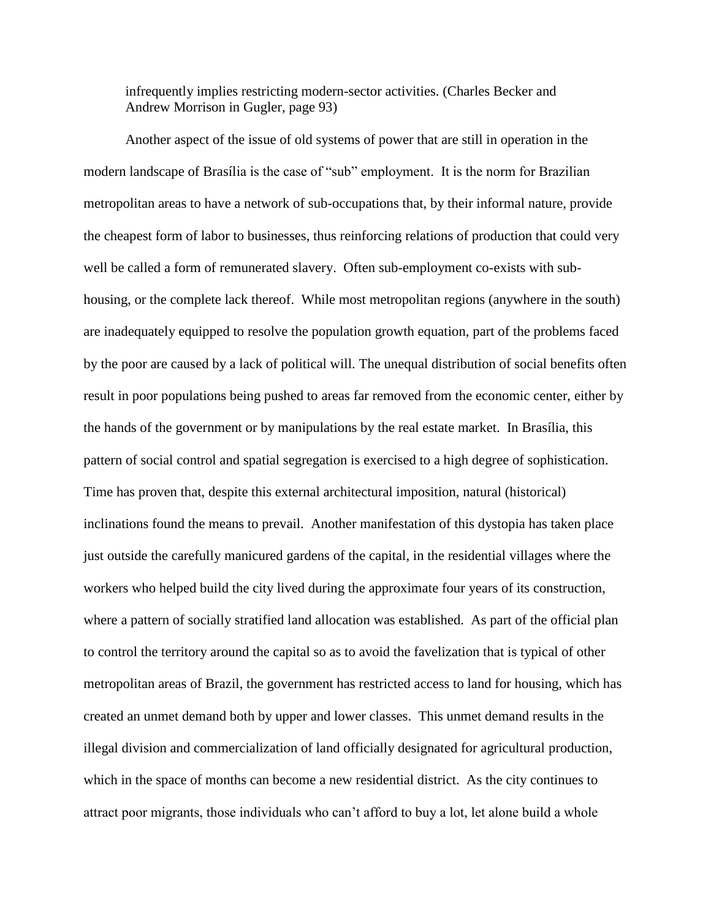infrequently implies restricting modern-sector activities. (Charles Becker and Andrew Morrison in Gugler, page 93)

Another aspect of the issue of old systems of power that are still in operation in the modern landscape of Brasília is the case of "sub" employment. It is the norm for Brazilian metropolitan areas to have a network of sub-occupations that, by their informal nature, provide the cheapest form of labor to businesses, thus reinforcing relations of production that could very well be called a form of remunerated slavery. Often sub-employment co-exists with subhousing, or the complete lack thereof. While most metropolitan regions (anywhere in the south) are inadequately equipped to resolve the population growth equation, part of the problems faced by the poor are caused by a lack of political will. The unequal distribution of social benefits often result in poor populations being pushed to areas far removed from the economic center, either by the hands of the government or by manipulations by the real estate market. In Brasília, this pattern of social control and spatial segregation is exercised to a high degree of sophistication. Time has proven that, despite this external architectural imposition, natural (historical) inclinations found the means to prevail. Another manifestation of this dystopia has taken place just outside the carefully manicured gardens of the capital, in the residential villages where the workers who helped build the city lived during the approximate four years of its construction, where a pattern of socially stratified land allocation was established. As part of the official plan to control the territory around the capital so as to avoid the favelization that is typical of other metropolitan areas of Brazil, the government has restricted access to land for housing, which has created an unmet demand both by upper and lower classes. This unmet demand results in the illegal division and commercialization of land officially designated for agricultural production, which in the space of months can become a new residential district. As the city continues to attract poor migrants, those individuals who can't afford to buy a lot, let alone build a whole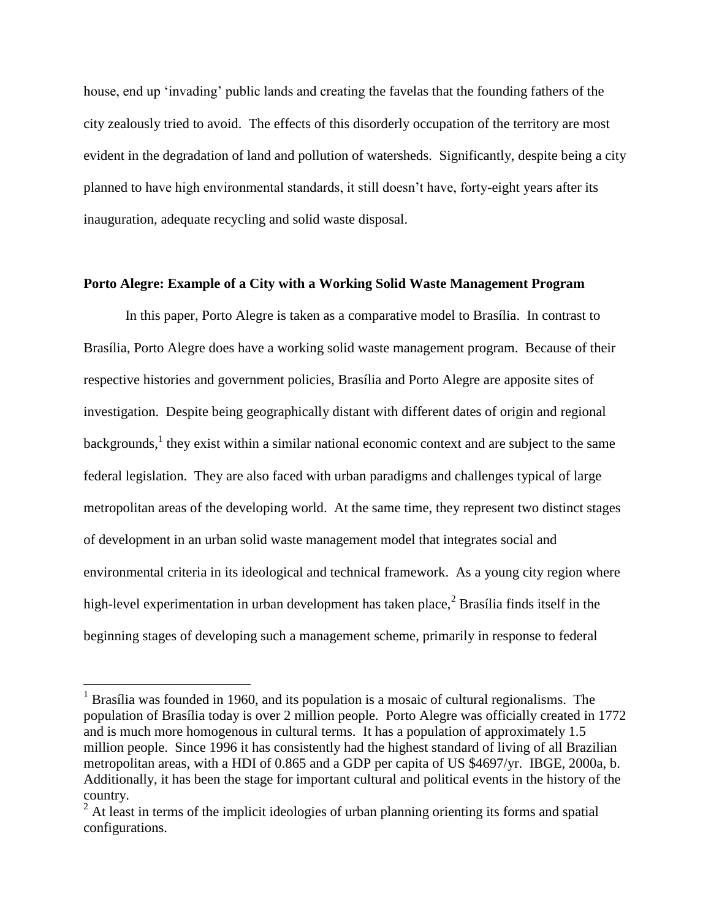house, end up 'invading' public lands and creating the favelas that the founding fathers of the city zealously tried to avoid. The effects of this disorderly occupation of the territory are most evident in the degradation of land and pollution of watersheds. Significantly, despite being a city planned to have high environmental standards, it still doesn't have, forty-eight years after its inauguration, adequate recycling and solid waste disposal.

## **Porto Alegre: Example of a City with a Working Solid Waste Management Program**

In this paper, Porto Alegre is taken as a comparative model to Brasília. In contrast to Brasília, Porto Alegre does have a working solid waste management program. Because of their respective histories and government policies, Brasília and Porto Alegre are apposite sites of investigation. Despite being geographically distant with different dates of origin and regional backgrounds,<sup>1</sup> they exist within a similar national economic context and are subject to the same federal legislation. They are also faced with urban paradigms and challenges typical of large metropolitan areas of the developing world. At the same time, they represent two distinct stages of development in an urban solid waste management model that integrates social and environmental criteria in its ideological and technical framework. As a young city region where high-level experimentation in urban development has taken place, $\frac{2}{3}$  Brasília finds itself in the beginning stages of developing such a management scheme, primarily in response to federal

<sup>&</sup>lt;sup>1</sup> Brasília was founded in 1960, and its population is a mosaic of cultural regionalisms. The population of Brasília today is over 2 million people. Porto Alegre was officially created in 1772 and is much more homogenous in cultural terms. It has a population of approximately 1.5 million people. Since 1996 it has consistently had the highest standard of living of all Brazilian metropolitan areas, with a HDI of 0.865 and a GDP per capita of US \$4697/yr. IBGE, 2000a, b. Additionally, it has been the stage for important cultural and political events in the history of the country.

<sup>&</sup>lt;sup>2</sup> At least in terms of the implicit ideologies of urban planning orienting its forms and spatial configurations.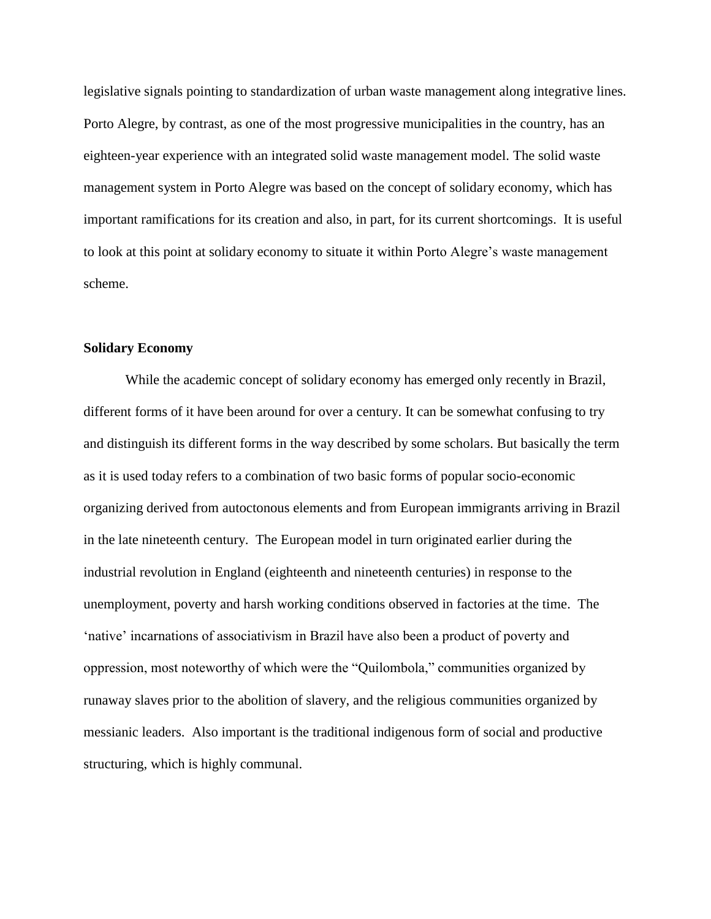legislative signals pointing to standardization of urban waste management along integrative lines. Porto Alegre, by contrast, as one of the most progressive municipalities in the country, has an eighteen-year experience with an integrated solid waste management model. The solid waste management system in Porto Alegre was based on the concept of solidary economy, which has important ramifications for its creation and also, in part, for its current shortcomings. It is useful to look at this point at solidary economy to situate it within Porto Alegre's waste management scheme.

## **Solidary Economy**

While the academic concept of solidary economy has emerged only recently in Brazil, different forms of it have been around for over a century. It can be somewhat confusing to try and distinguish its different forms in the way described by some scholars. But basically the term as it is used today refers to a combination of two basic forms of popular socio-economic organizing derived from autoctonous elements and from European immigrants arriving in Brazil in the late nineteenth century. The European model in turn originated earlier during the industrial revolution in England (eighteenth and nineteenth centuries) in response to the unemployment, poverty and harsh working conditions observed in factories at the time. The 'native' incarnations of associativism in Brazil have also been a product of poverty and oppression, most noteworthy of which were the "Quilombola," communities organized by runaway slaves prior to the abolition of slavery, and the religious communities organized by messianic leaders. Also important is the traditional indigenous form of social and productive structuring, which is highly communal.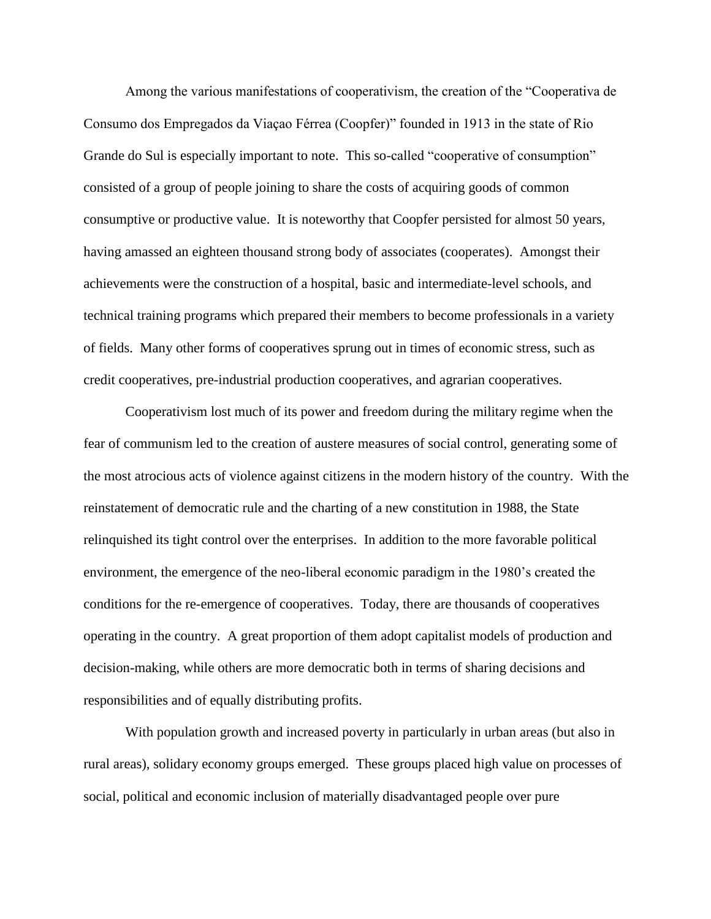Among the various manifestations of cooperativism, the creation of the "Cooperativa de Consumo dos Empregados da Viaçao Férrea (Coopfer)" founded in 1913 in the state of Rio Grande do Sul is especially important to note. This so-called "cooperative of consumption" consisted of a group of people joining to share the costs of acquiring goods of common consumptive or productive value. It is noteworthy that Coopfer persisted for almost 50 years, having amassed an eighteen thousand strong body of associates (cooperates). Amongst their achievements were the construction of a hospital, basic and intermediate-level schools, and technical training programs which prepared their members to become professionals in a variety of fields. Many other forms of cooperatives sprung out in times of economic stress, such as credit cooperatives, pre-industrial production cooperatives, and agrarian cooperatives.

Cooperativism lost much of its power and freedom during the military regime when the fear of communism led to the creation of austere measures of social control, generating some of the most atrocious acts of violence against citizens in the modern history of the country. With the reinstatement of democratic rule and the charting of a new constitution in 1988, the State relinquished its tight control over the enterprises. In addition to the more favorable political environment, the emergence of the neo-liberal economic paradigm in the 1980's created the conditions for the re-emergence of cooperatives. Today, there are thousands of cooperatives operating in the country. A great proportion of them adopt capitalist models of production and decision-making, while others are more democratic both in terms of sharing decisions and responsibilities and of equally distributing profits.

With population growth and increased poverty in particularly in urban areas (but also in rural areas), solidary economy groups emerged. These groups placed high value on processes of social, political and economic inclusion of materially disadvantaged people over pure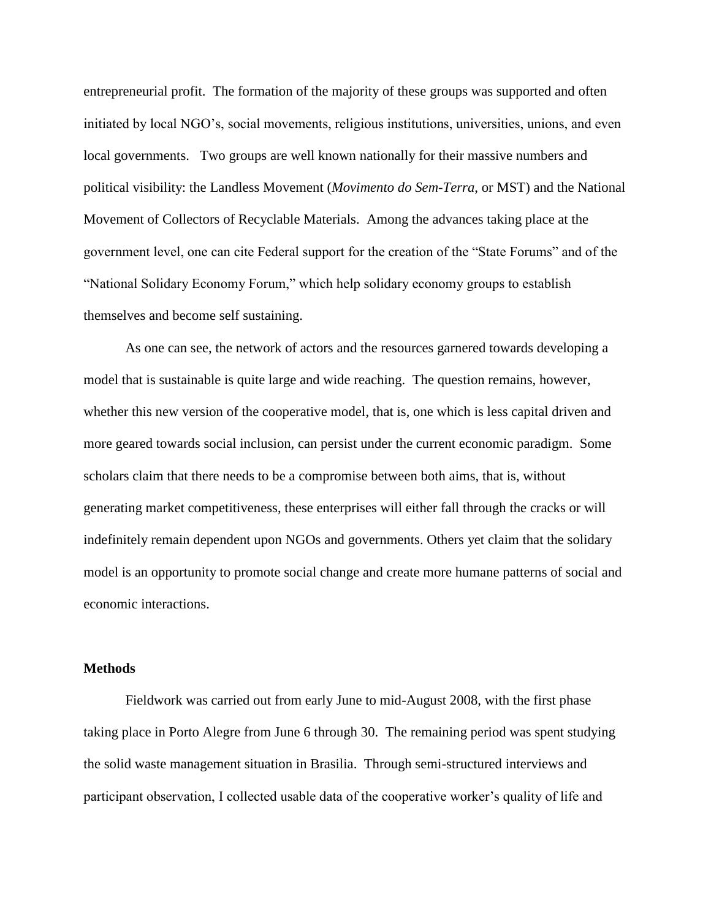entrepreneurial profit. The formation of the majority of these groups was supported and often initiated by local NGO's, social movements, religious institutions, universities, unions, and even local governments. Two groups are well known nationally for their massive numbers and political visibility: the Landless Movement (*Movimento do Sem-Terra*, or MST) and the National Movement of Collectors of Recyclable Materials. Among the advances taking place at the government level, one can cite Federal support for the creation of the "State Forums" and of the "National Solidary Economy Forum," which help solidary economy groups to establish themselves and become self sustaining.

As one can see, the network of actors and the resources garnered towards developing a model that is sustainable is quite large and wide reaching. The question remains, however, whether this new version of the cooperative model, that is, one which is less capital driven and more geared towards social inclusion, can persist under the current economic paradigm. Some scholars claim that there needs to be a compromise between both aims, that is, without generating market competitiveness, these enterprises will either fall through the cracks or will indefinitely remain dependent upon NGOs and governments. Others yet claim that the solidary model is an opportunity to promote social change and create more humane patterns of social and economic interactions.

#### **Methods**

Fieldwork was carried out from early June to mid-August 2008, with the first phase taking place in Porto Alegre from June 6 through 30. The remaining period was spent studying the solid waste management situation in Brasilia. Through semi-structured interviews and participant observation, I collected usable data of the cooperative worker's quality of life and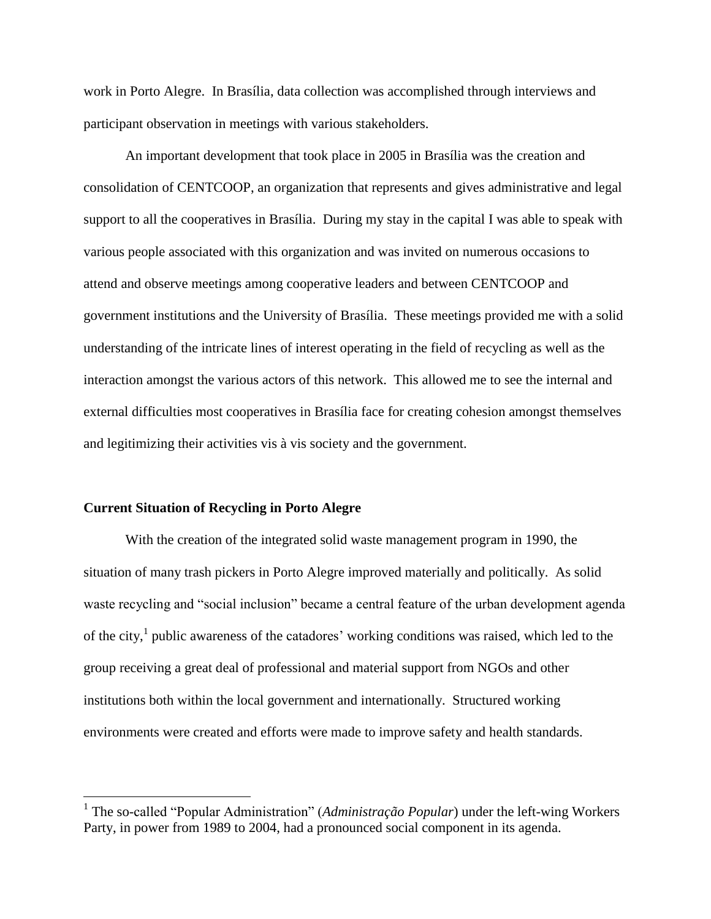work in Porto Alegre. In Brasília, data collection was accomplished through interviews and participant observation in meetings with various stakeholders.

An important development that took place in 2005 in Brasília was the creation and consolidation of CENTCOOP, an organization that represents and gives administrative and legal support to all the cooperatives in Brasília. During my stay in the capital I was able to speak with various people associated with this organization and was invited on numerous occasions to attend and observe meetings among cooperative leaders and between CENTCOOP and government institutions and the University of Brasília. These meetings provided me with a solid understanding of the intricate lines of interest operating in the field of recycling as well as the interaction amongst the various actors of this network. This allowed me to see the internal and external difficulties most cooperatives in Brasília face for creating cohesion amongst themselves and legitimizing their activities vis à vis society and the government.

#### **Current Situation of Recycling in Porto Alegre**

 $\overline{a}$ 

With the creation of the integrated solid waste management program in 1990, the situation of many trash pickers in Porto Alegre improved materially and politically. As solid waste recycling and "social inclusion" became a central feature of the urban development agenda of the city,<sup>1</sup> public awareness of the catadores' working conditions was raised, which led to the group receiving a great deal of professional and material support from NGOs and other institutions both within the local government and internationally. Structured working environments were created and efforts were made to improve safety and health standards.

<sup>&</sup>lt;sup>1</sup> The so-called "Popular Administration" (*Administração Popular*) under the left-wing Workers Party, in power from 1989 to 2004, had a pronounced social component in its agenda.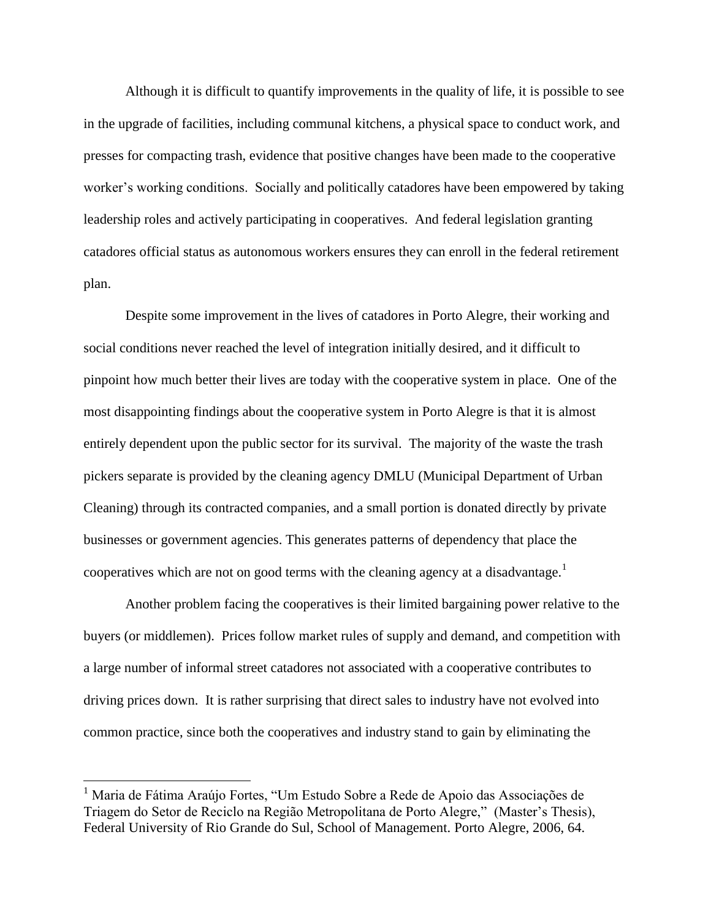Although it is difficult to quantify improvements in the quality of life, it is possible to see in the upgrade of facilities, including communal kitchens, a physical space to conduct work, and presses for compacting trash, evidence that positive changes have been made to the cooperative worker's working conditions. Socially and politically catadores have been empowered by taking leadership roles and actively participating in cooperatives. And federal legislation granting catadores official status as autonomous workers ensures they can enroll in the federal retirement plan.

Despite some improvement in the lives of catadores in Porto Alegre, their working and social conditions never reached the level of integration initially desired, and it difficult to pinpoint how much better their lives are today with the cooperative system in place. One of the most disappointing findings about the cooperative system in Porto Alegre is that it is almost entirely dependent upon the public sector for its survival. The majority of the waste the trash pickers separate is provided by the cleaning agency DMLU (Municipal Department of Urban Cleaning) through its contracted companies, and a small portion is donated directly by private businesses or government agencies. This generates patterns of dependency that place the cooperatives which are not on good terms with the cleaning agency at a disadvantage.<sup>1</sup>

Another problem facing the cooperatives is their limited bargaining power relative to the buyers (or middlemen). Prices follow market rules of supply and demand, and competition with a large number of informal street catadores not associated with a cooperative contributes to driving prices down. It is rather surprising that direct sales to industry have not evolved into common practice, since both the cooperatives and industry stand to gain by eliminating the

<sup>1</sup> Maria de Fátima Araújo Fortes, "Um Estudo Sobre a Rede de Apoio das Associações de Triagem do Setor de Reciclo na Região Metropolitana de Porto Alegre,"(Master's Thesis), Federal University of Rio Grande do Sul, School of Management. Porto Alegre, 2006, 64.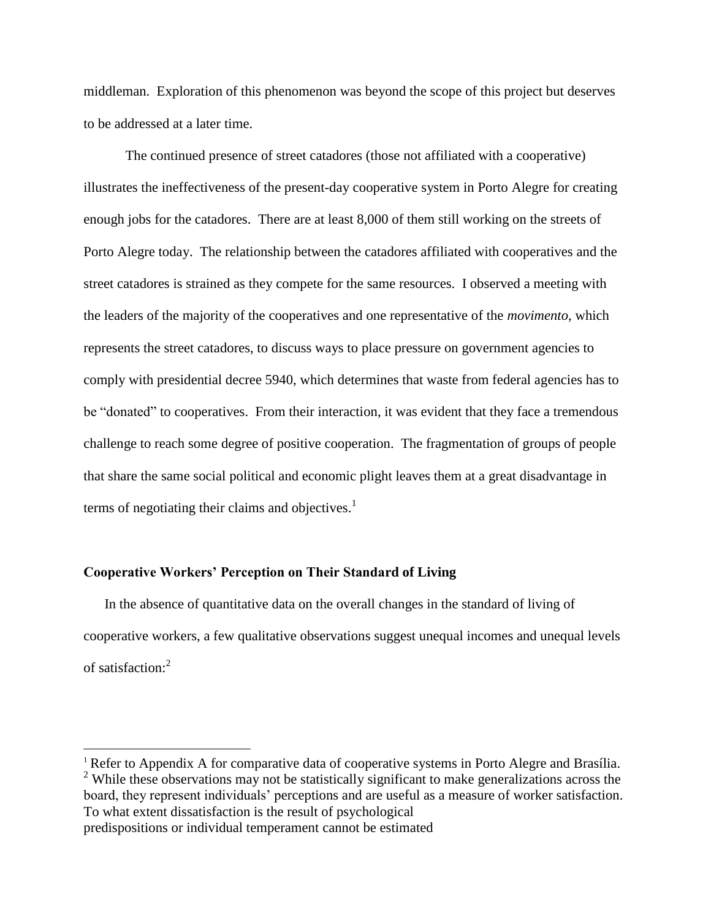middleman. Exploration of this phenomenon was beyond the scope of this project but deserves to be addressed at a later time.

The continued presence of street catadores (those not affiliated with a cooperative) illustrates the ineffectiveness of the present-day cooperative system in Porto Alegre for creating enough jobs for the catadores. There are at least 8,000 of them still working on the streets of Porto Alegre today. The relationship between the catadores affiliated with cooperatives and the street catadores is strained as they compete for the same resources. I observed a meeting with the leaders of the majority of the cooperatives and one representative of the *movimento*, which represents the street catadores, to discuss ways to place pressure on government agencies to comply with presidential decree 5940, which determines that waste from federal agencies has to be "donated" to cooperatives. From their interaction, it was evident that they face a tremendous challenge to reach some degree of positive cooperation. The fragmentation of groups of people that share the same social political and economic plight leaves them at a great disadvantage in terms of negotiating their claims and objectives.<sup>1</sup>

## **Cooperative Workers' Perception on Their Standard of Living**

 $\overline{a}$ 

In the absence of quantitative data on the overall changes in the standard of living of cooperative workers, a few qualitative observations suggest unequal incomes and unequal levels of satisfaction:<sup>2</sup>

<sup>&</sup>lt;sup>1</sup> Refer to Appendix A for comparative data of cooperative systems in Porto Alegre and Brasília. <sup>2</sup> While these observations may not be statistically significant to make generalizations across the board, they represent individuals' perceptions and are useful as a measure of worker satisfaction. To what extent dissatisfaction is the result of psychological predispositions or individual temperament cannot be estimated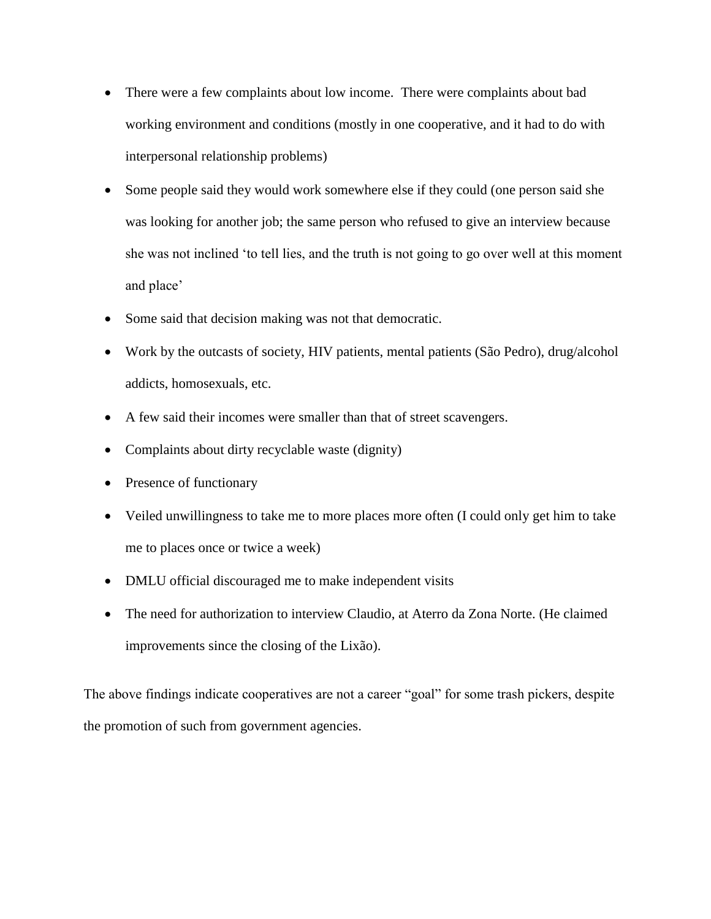- There were a few complaints about low income. There were complaints about bad working environment and conditions (mostly in one cooperative, and it had to do with interpersonal relationship problems)
- Some people said they would work somewhere else if they could (one person said she was looking for another job; the same person who refused to give an interview because she was not inclined 'to tell lies, and the truth is not going to go over well at this moment and place'
- Some said that decision making was not that democratic.
- Work by the outcasts of society, HIV patients, mental patients (São Pedro), drug/alcohol addicts, homosexuals, etc.
- A few said their incomes were smaller than that of street scavengers.
- Complaints about dirty recyclable waste (dignity)
- Presence of functionary
- Veiled unwillingness to take me to more places more often (I could only get him to take me to places once or twice a week)
- DMLU official discouraged me to make independent visits
- The need for authorization to interview Claudio, at Aterro da Zona Norte. (He claimed improvements since the closing of the Lixão).

The above findings indicate cooperatives are not a career "goal" for some trash pickers, despite the promotion of such from government agencies.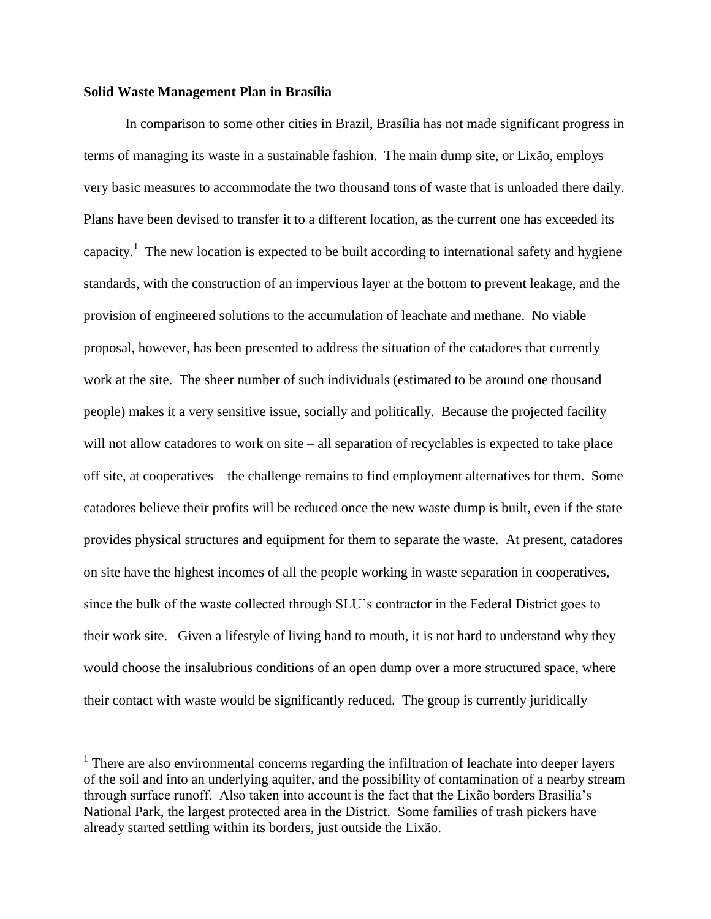#### **Solid Waste Management Plan in Brasília**

 $\overline{a}$ 

In comparison to some other cities in Brazil, Brasília has not made significant progress in terms of managing its waste in a sustainable fashion. The main dump site, or Lixão, employs very basic measures to accommodate the two thousand tons of waste that is unloaded there daily. Plans have been devised to transfer it to a different location, as the current one has exceeded its capacity.<sup>1</sup> The new location is expected to be built according to international safety and hygiene standards, with the construction of an impervious layer at the bottom to prevent leakage, and the provision of engineered solutions to the accumulation of leachate and methane. No viable proposal, however, has been presented to address the situation of the catadores that currently work at the site. The sheer number of such individuals (estimated to be around one thousand people) makes it a very sensitive issue, socially and politically. Because the projected facility will not allow catadores to work on site – all separation of recyclables is expected to take place off site, at cooperatives – the challenge remains to find employment alternatives for them. Some catadores believe their profits will be reduced once the new waste dump is built, even if the state provides physical structures and equipment for them to separate the waste. At present, catadores on site have the highest incomes of all the people working in waste separation in cooperatives, since the bulk of the waste collected through SLU's contractor in the Federal District goes to their work site. Given a lifestyle of living hand to mouth, it is not hard to understand why they would choose the insalubrious conditions of an open dump over a more structured space, where their contact with waste would be significantly reduced. The group is currently juridically

<sup>&</sup>lt;sup>1</sup> There are also environmental concerns regarding the infiltration of leachate into deeper layers of the soil and into an underlying aquifer, and the possibility of contamination of a nearby stream through surface runoff. Also taken into account is the fact that the Lixão borders Brasilia's National Park, the largest protected area in the District. Some families of trash pickers have already started settling within its borders, just outside the Lixão.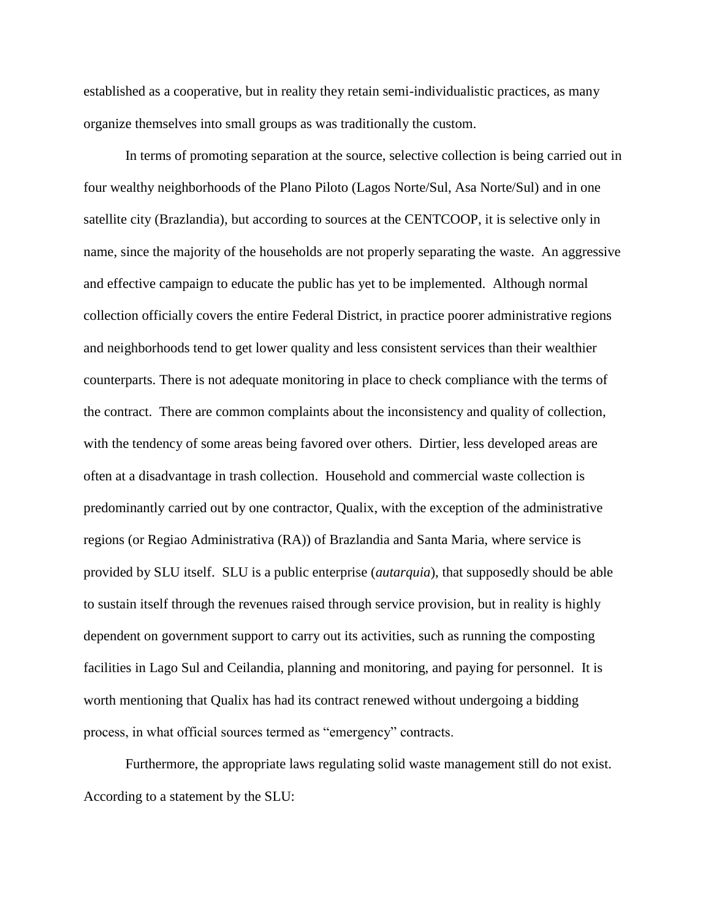established as a cooperative, but in reality they retain semi-individualistic practices, as many organize themselves into small groups as was traditionally the custom.

In terms of promoting separation at the source, selective collection is being carried out in four wealthy neighborhoods of the Plano Piloto (Lagos Norte/Sul, Asa Norte/Sul) and in one satellite city (Brazlandia), but according to sources at the CENTCOOP, it is selective only in name, since the majority of the households are not properly separating the waste. An aggressive and effective campaign to educate the public has yet to be implemented. Although normal collection officially covers the entire Federal District, in practice poorer administrative regions and neighborhoods tend to get lower quality and less consistent services than their wealthier counterparts. There is not adequate monitoring in place to check compliance with the terms of the contract. There are common complaints about the inconsistency and quality of collection, with the tendency of some areas being favored over others. Dirtier, less developed areas are often at a disadvantage in trash collection. Household and commercial waste collection is predominantly carried out by one contractor, Qualix, with the exception of the administrative regions (or Regiao Administrativa (RA)) of Brazlandia and Santa Maria, where service is provided by SLU itself. SLU is a public enterprise (*autarquia*), that supposedly should be able to sustain itself through the revenues raised through service provision, but in reality is highly dependent on government support to carry out its activities, such as running the composting facilities in Lago Sul and Ceilandia, planning and monitoring, and paying for personnel. It is worth mentioning that Qualix has had its contract renewed without undergoing a bidding process, in what official sources termed as "emergency" contracts.

 Furthermore, the appropriate laws regulating solid waste management still do not exist. According to a statement by the SLU: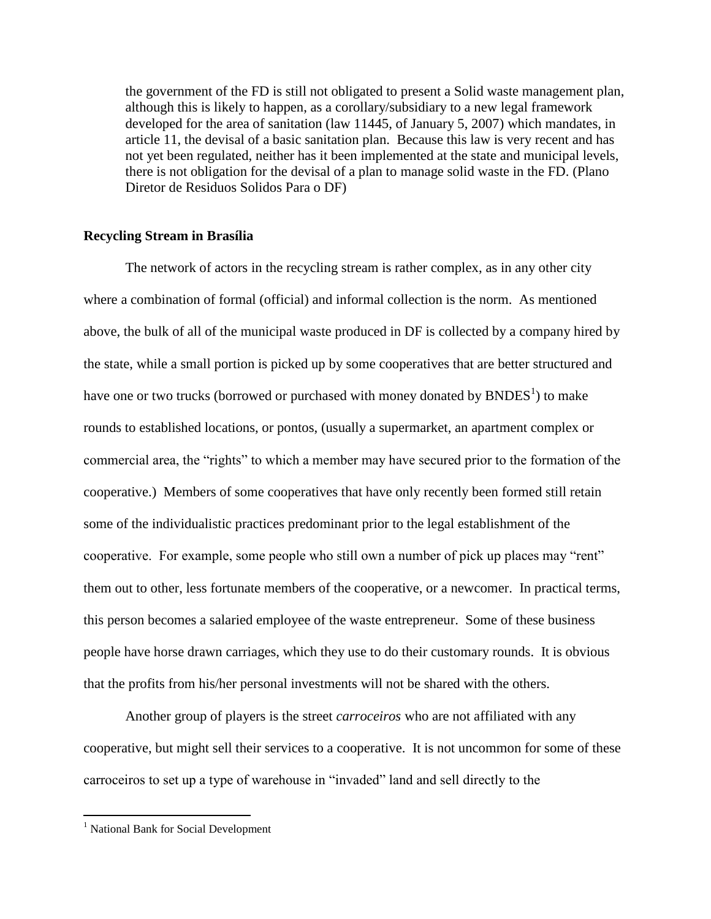the government of the FD is still not obligated to present a Solid waste management plan, although this is likely to happen, as a corollary/subsidiary to a new legal framework developed for the area of sanitation (law 11445, of January 5, 2007) which mandates, in article 11, the devisal of a basic sanitation plan. Because this law is very recent and has not yet been regulated, neither has it been implemented at the state and municipal levels, there is not obligation for the devisal of a plan to manage solid waste in the FD. (Plano Diretor de Residuos Solidos Para o DF)

#### **Recycling Stream in Brasília**

The network of actors in the recycling stream is rather complex, as in any other city where a combination of formal (official) and informal collection is the norm. As mentioned above, the bulk of all of the municipal waste produced in DF is collected by a company hired by the state, while a small portion is picked up by some cooperatives that are better structured and have one or two trucks (borrowed or purchased with money donated by  $\rm\,B NDES^{1})$  to make rounds to established locations, or pontos, (usually a supermarket, an apartment complex or commercial area, the "rights" to which a member may have secured prior to the formation of the cooperative.) Members of some cooperatives that have only recently been formed still retain some of the individualistic practices predominant prior to the legal establishment of the cooperative. For example, some people who still own a number of pick up places may "rent" them out to other, less fortunate members of the cooperative, or a newcomer. In practical terms, this person becomes a salaried employee of the waste entrepreneur. Some of these business people have horse drawn carriages, which they use to do their customary rounds. It is obvious that the profits from his/her personal investments will not be shared with the others.

Another group of players is the street *carroceiros* who are not affiliated with any cooperative, but might sell their services to a cooperative. It is not uncommon for some of these carroceiros to set up a type of warehouse in "invaded" land and sell directly to the

<sup>&</sup>lt;sup>1</sup> National Bank for Social Development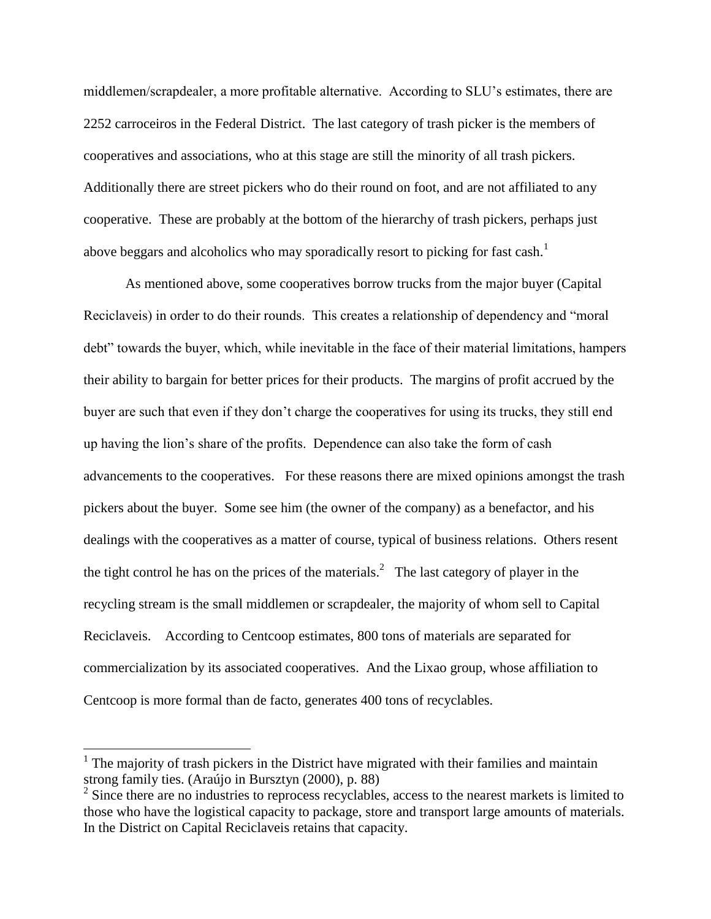middlemen/scrapdealer, a more profitable alternative. According to SLU's estimates, there are 2252 carroceiros in the Federal District. The last category of trash picker is the members of cooperatives and associations, who at this stage are still the minority of all trash pickers. Additionally there are street pickers who do their round on foot, and are not affiliated to any cooperative. These are probably at the bottom of the hierarchy of trash pickers, perhaps just above beggars and alcoholics who may sporadically resort to picking for fast cash.<sup>1</sup>

As mentioned above, some cooperatives borrow trucks from the major buyer (Capital Reciclaveis) in order to do their rounds. This creates a relationship of dependency and "moral debt" towards the buyer, which, while inevitable in the face of their material limitations, hampers their ability to bargain for better prices for their products. The margins of profit accrued by the buyer are such that even if they don't charge the cooperatives for using its trucks, they still end up having the lion's share of the profits. Dependence can also take the form of cash advancements to the cooperatives. For these reasons there are mixed opinions amongst the trash pickers about the buyer. Some see him (the owner of the company) as a benefactor, and his dealings with the cooperatives as a matter of course, typical of business relations. Others resent the tight control he has on the prices of the materials.<sup>2</sup> The last category of player in the recycling stream is the small middlemen or scrapdealer, the majority of whom sell to Capital Reciclaveis. According to Centcoop estimates, 800 tons of materials are separated for commercialization by its associated cooperatives. And the Lixao group, whose affiliation to Centcoop is more formal than de facto, generates 400 tons of recyclables.

 $<sup>1</sup>$  The majority of trash pickers in the District have migrated with their families and maintain</sup> strong family ties. (Araújo in Bursztyn (2000), p. 88)

 $2^2$  Since there are no industries to reprocess recyclables, access to the nearest markets is limited to those who have the logistical capacity to package, store and transport large amounts of materials. In the District on Capital Reciclaveis retains that capacity.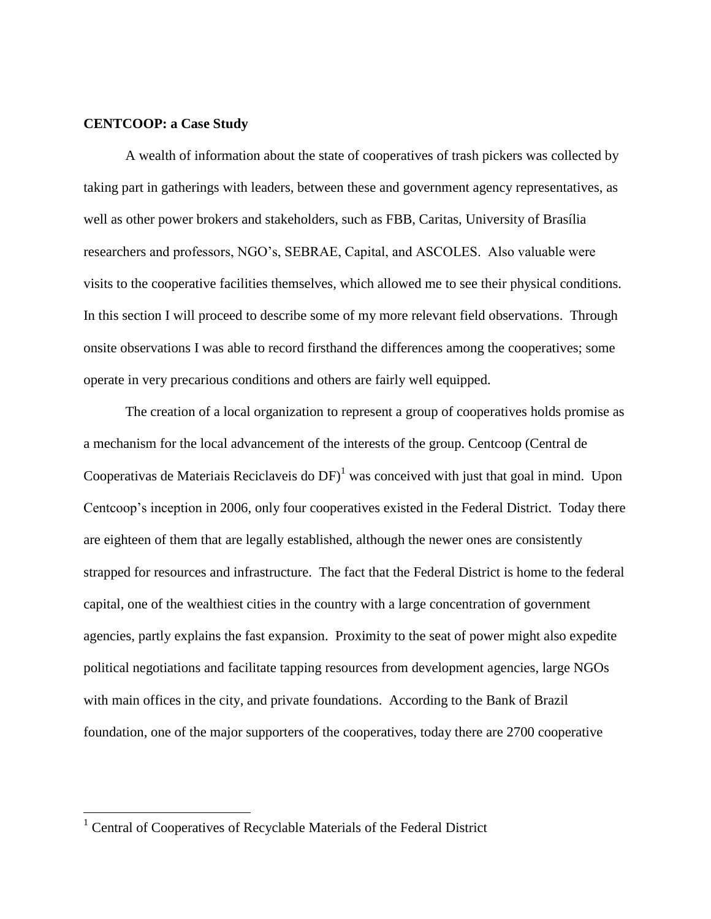### **CENTCOOP: a Case Study**

A wealth of information about the state of cooperatives of trash pickers was collected by taking part in gatherings with leaders, between these and government agency representatives, as well as other power brokers and stakeholders, such as FBB, Caritas, University of Brasília researchers and professors, NGO's, SEBRAE, Capital, and ASCOLES. Also valuable were visits to the cooperative facilities themselves, which allowed me to see their physical conditions. In this section I will proceed to describe some of my more relevant field observations. Through onsite observations I was able to record firsthand the differences among the cooperatives; some operate in very precarious conditions and others are fairly well equipped.

The creation of a local organization to represent a group of cooperatives holds promise as a mechanism for the local advancement of the interests of the group. Centcoop (Central de Cooperativas de Materiais Reciclaveis do  $DF$ <sup>1</sup> was conceived with just that goal in mind. Upon Centcoop's inception in 2006, only four cooperatives existed in the Federal District. Today there are eighteen of them that are legally established, although the newer ones are consistently strapped for resources and infrastructure. The fact that the Federal District is home to the federal capital, one of the wealthiest cities in the country with a large concentration of government agencies, partly explains the fast expansion. Proximity to the seat of power might also expedite political negotiations and facilitate tapping resources from development agencies, large NGOs with main offices in the city, and private foundations. According to the Bank of Brazil foundation, one of the major supporters of the cooperatives, today there are 2700 cooperative

 $1$  Central of Cooperatives of Recyclable Materials of the Federal District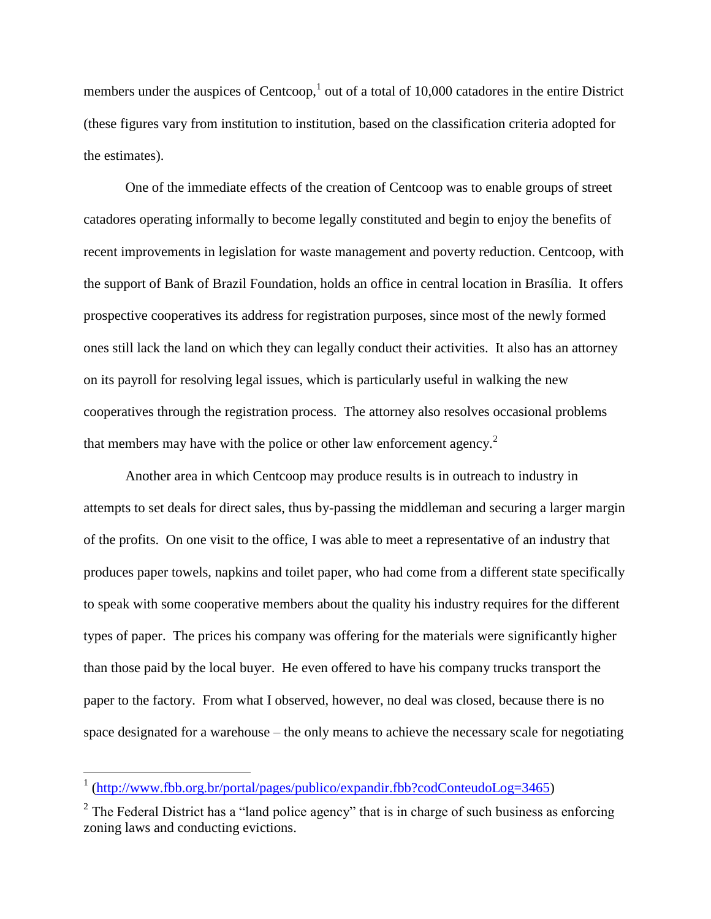members under the auspices of Centcoop,<sup>1</sup> out of a total of 10,000 catadores in the entire District (these figures vary from institution to institution, based on the classification criteria adopted for the estimates).

One of the immediate effects of the creation of Centcoop was to enable groups of street catadores operating informally to become legally constituted and begin to enjoy the benefits of recent improvements in legislation for waste management and poverty reduction. Centcoop, with the support of Bank of Brazil Foundation, holds an office in central location in Brasília. It offers prospective cooperatives its address for registration purposes, since most of the newly formed ones still lack the land on which they can legally conduct their activities. It also has an attorney on its payroll for resolving legal issues, which is particularly useful in walking the new cooperatives through the registration process. The attorney also resolves occasional problems that members may have with the police or other law enforcement agency.<sup>2</sup>

Another area in which Centcoop may produce results is in outreach to industry in attempts to set deals for direct sales, thus by-passing the middleman and securing a larger margin of the profits. On one visit to the office, I was able to meet a representative of an industry that produces paper towels, napkins and toilet paper, who had come from a different state specifically to speak with some cooperative members about the quality his industry requires for the different types of paper. The prices his company was offering for the materials were significantly higher than those paid by the local buyer. He even offered to have his company trucks transport the paper to the factory. From what I observed, however, no deal was closed, because there is no space designated for a warehouse – the only means to achieve the necessary scale for negotiating

 1 [\(http://www.fbb.org.br/portal/pages/publico/expandir.fbb?codConteudoLog=3465\)](http://www.fbb.org.br/portal/pages/publico/expandir.fbb?codConteudoLog=3465)

 $2$  The Federal District has a "land police agency" that is in charge of such business as enforcing zoning laws and conducting evictions.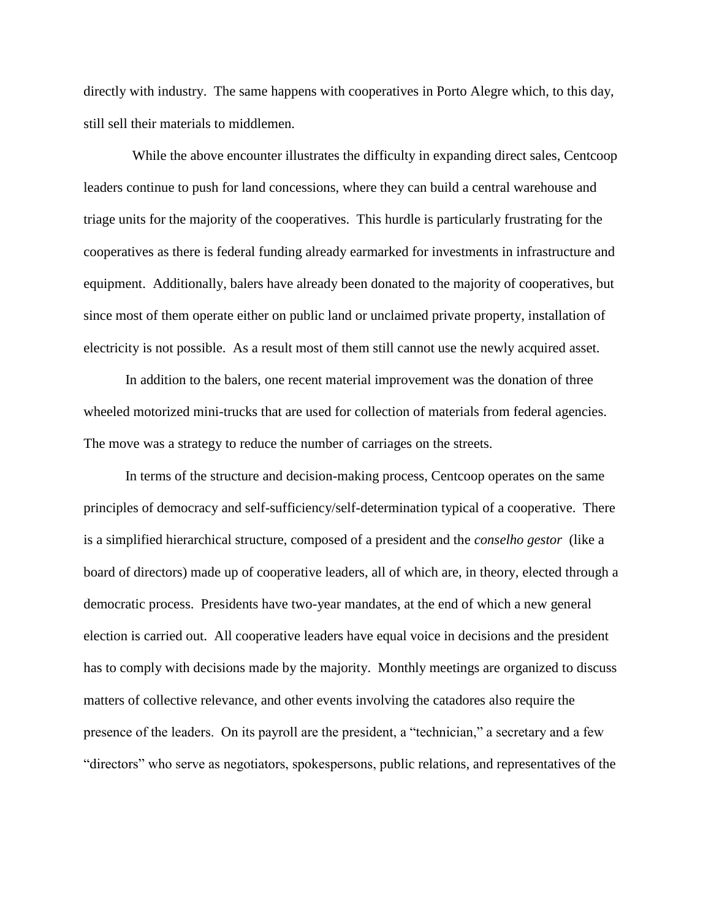directly with industry. The same happens with cooperatives in Porto Alegre which, to this day, still sell their materials to middlemen.

 While the above encounter illustrates the difficulty in expanding direct sales, Centcoop leaders continue to push for land concessions, where they can build a central warehouse and triage units for the majority of the cooperatives. This hurdle is particularly frustrating for the cooperatives as there is federal funding already earmarked for investments in infrastructure and equipment. Additionally, balers have already been donated to the majority of cooperatives, but since most of them operate either on public land or unclaimed private property, installation of electricity is not possible. As a result most of them still cannot use the newly acquired asset.

In addition to the balers, one recent material improvement was the donation of three wheeled motorized mini-trucks that are used for collection of materials from federal agencies. The move was a strategy to reduce the number of carriages on the streets.

In terms of the structure and decision-making process, Centcoop operates on the same principles of democracy and self-sufficiency/self-determination typical of a cooperative. There is a simplified hierarchical structure, composed of a president and the *conselho gestor* (like a board of directors) made up of cooperative leaders, all of which are, in theory, elected through a democratic process. Presidents have two-year mandates, at the end of which a new general election is carried out. All cooperative leaders have equal voice in decisions and the president has to comply with decisions made by the majority. Monthly meetings are organized to discuss matters of collective relevance, and other events involving the catadores also require the presence of the leaders. On its payroll are the president, a "technician," a secretary and a few "directors" who serve as negotiators, spokespersons, public relations, and representatives of the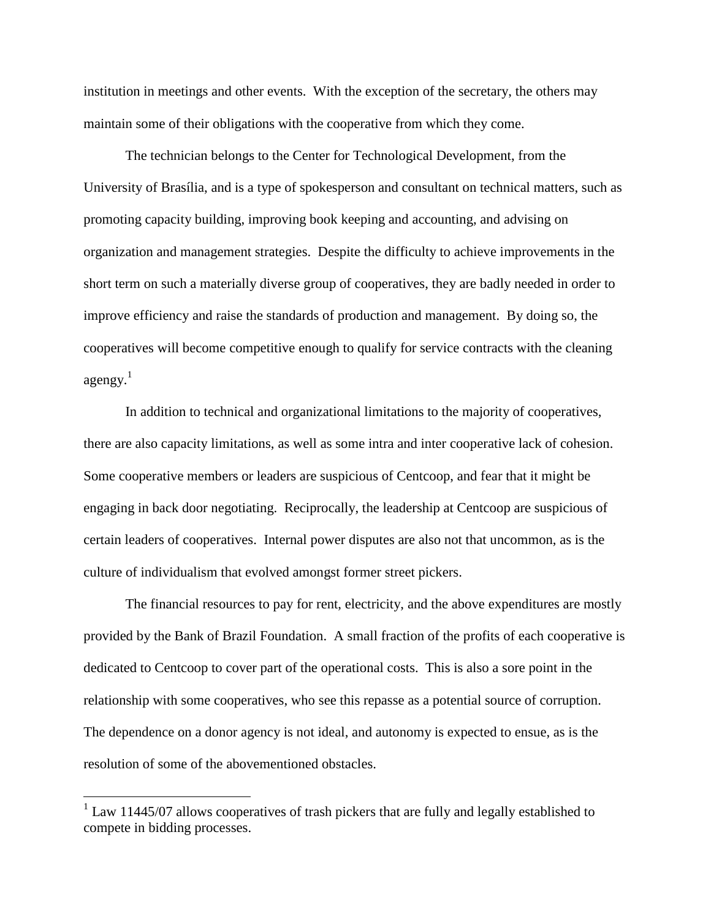institution in meetings and other events. With the exception of the secretary, the others may maintain some of their obligations with the cooperative from which they come.

The technician belongs to the Center for Technological Development, from the University of Brasília, and is a type of spokesperson and consultant on technical matters, such as promoting capacity building, improving book keeping and accounting, and advising on organization and management strategies. Despite the difficulty to achieve improvements in the short term on such a materially diverse group of cooperatives, they are badly needed in order to improve efficiency and raise the standards of production and management. By doing so, the cooperatives will become competitive enough to qualify for service contracts with the cleaning agengy. $<sup>1</sup>$ </sup>

In addition to technical and organizational limitations to the majority of cooperatives, there are also capacity limitations, as well as some intra and inter cooperative lack of cohesion. Some cooperative members or leaders are suspicious of Centcoop, and fear that it might be engaging in back door negotiating. Reciprocally, the leadership at Centcoop are suspicious of certain leaders of cooperatives. Internal power disputes are also not that uncommon, as is the culture of individualism that evolved amongst former street pickers.

The financial resources to pay for rent, electricity, and the above expenditures are mostly provided by the Bank of Brazil Foundation. A small fraction of the profits of each cooperative is dedicated to Centcoop to cover part of the operational costs. This is also a sore point in the relationship with some cooperatives, who see this repasse as a potential source of corruption. The dependence on a donor agency is not ideal, and autonomy is expected to ensue, as is the resolution of some of the abovementioned obstacles.

 $1$  Law 11445/07 allows cooperatives of trash pickers that are fully and legally established to compete in bidding processes.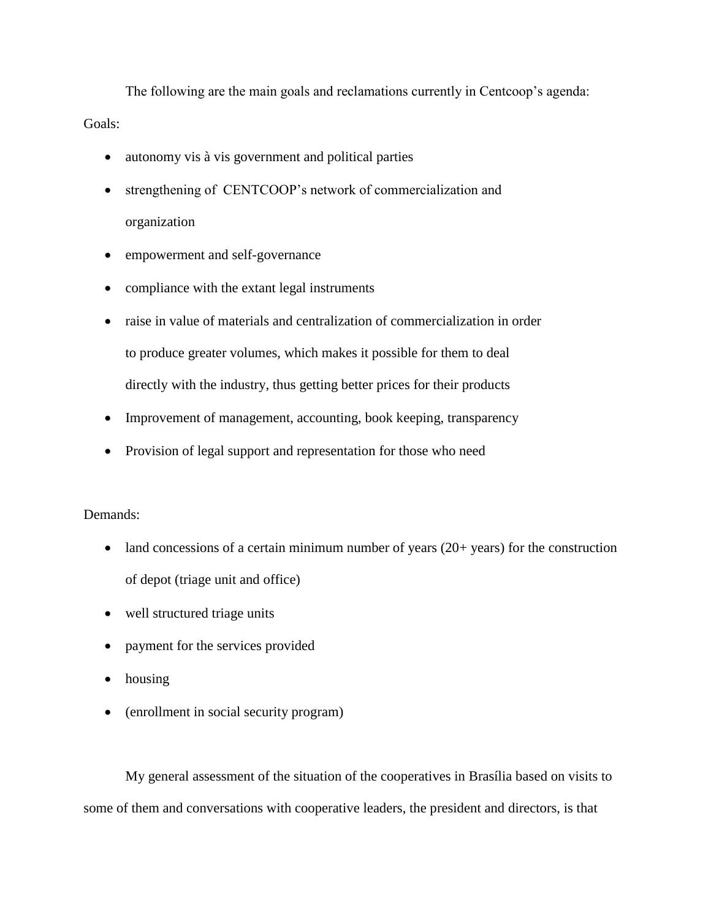The following are the main goals and reclamations currently in Centcoop's agenda: Goals:

- autonomy vis à vis government and political parties
- strengthening of CENTCOOP's network of commercialization and organization
- empowerment and self-governance
- compliance with the extant legal instruments
- raise in value of materials and centralization of commercialization in order to produce greater volumes, which makes it possible for them to deal directly with the industry, thus getting better prices for their products
- Improvement of management, accounting, book keeping, transparency
- Provision of legal support and representation for those who need

## Demands:

- $\bullet$  land concessions of a certain minimum number of years (20+ years) for the construction of depot (triage unit and office)
- well structured triage units
- payment for the services provided
- housing
- (enrollment in social security program)

My general assessment of the situation of the cooperatives in Brasília based on visits to some of them and conversations with cooperative leaders, the president and directors, is that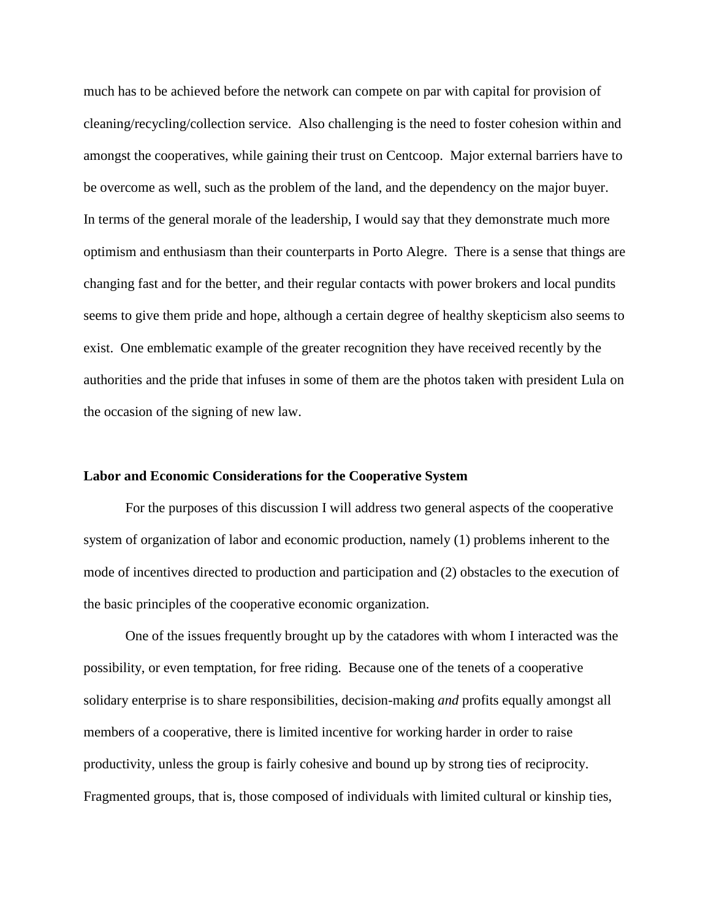much has to be achieved before the network can compete on par with capital for provision of cleaning/recycling/collection service. Also challenging is the need to foster cohesion within and amongst the cooperatives, while gaining their trust on Centcoop. Major external barriers have to be overcome as well, such as the problem of the land, and the dependency on the major buyer. In terms of the general morale of the leadership, I would say that they demonstrate much more optimism and enthusiasm than their counterparts in Porto Alegre. There is a sense that things are changing fast and for the better, and their regular contacts with power brokers and local pundits seems to give them pride and hope, although a certain degree of healthy skepticism also seems to exist. One emblematic example of the greater recognition they have received recently by the authorities and the pride that infuses in some of them are the photos taken with president Lula on the occasion of the signing of new law.

#### **Labor and Economic Considerations for the Cooperative System**

For the purposes of this discussion I will address two general aspects of the cooperative system of organization of labor and economic production, namely (1) problems inherent to the mode of incentives directed to production and participation and (2) obstacles to the execution of the basic principles of the cooperative economic organization.

One of the issues frequently brought up by the catadores with whom I interacted was the possibility, or even temptation, for free riding. Because one of the tenets of a cooperative solidary enterprise is to share responsibilities, decision-making *and* profits equally amongst all members of a cooperative, there is limited incentive for working harder in order to raise productivity, unless the group is fairly cohesive and bound up by strong ties of reciprocity. Fragmented groups, that is, those composed of individuals with limited cultural or kinship ties,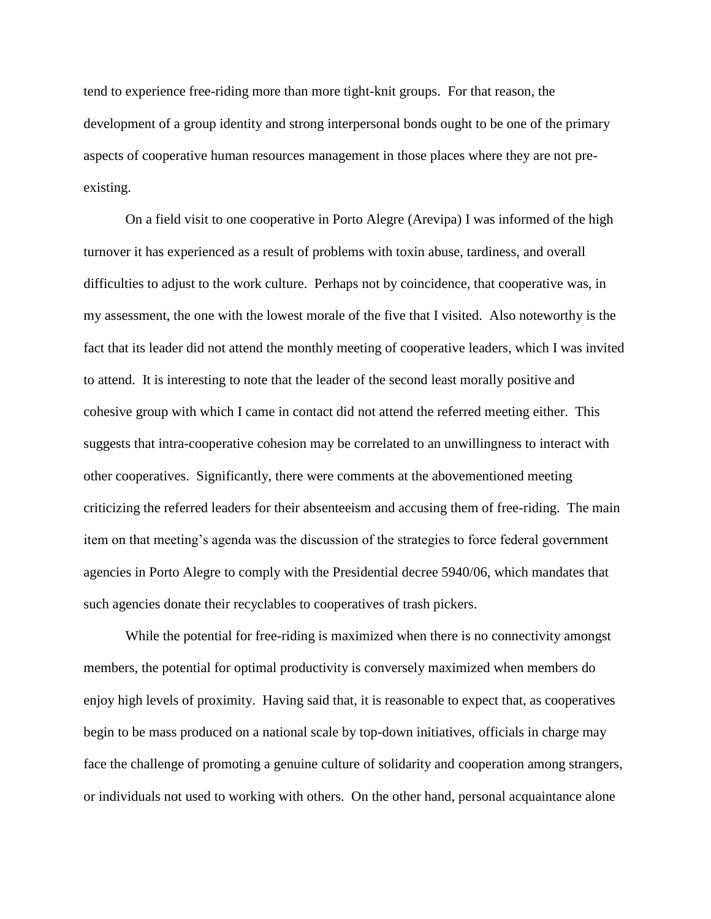tend to experience free-riding more than more tight-knit groups. For that reason, the development of a group identity and strong interpersonal bonds ought to be one of the primary aspects of cooperative human resources management in those places where they are not preexisting.

On a field visit to one cooperative in Porto Alegre (Arevipa) I was informed of the high turnover it has experienced as a result of problems with toxin abuse, tardiness, and overall difficulties to adjust to the work culture. Perhaps not by coincidence, that cooperative was, in my assessment, the one with the lowest morale of the five that I visited. Also noteworthy is the fact that its leader did not attend the monthly meeting of cooperative leaders, which I was invited to attend. It is interesting to note that the leader of the second least morally positive and cohesive group with which I came in contact did not attend the referred meeting either. This suggests that intra-cooperative cohesion may be correlated to an unwillingness to interact with other cooperatives. Significantly, there were comments at the abovementioned meeting criticizing the referred leaders for their absenteeism and accusing them of free-riding. The main item on that meeting's agenda was the discussion of the strategies to force federal government agencies in Porto Alegre to comply with the Presidential decree 5940/06, which mandates that such agencies donate their recyclables to cooperatives of trash pickers.

While the potential for free-riding is maximized when there is no connectivity amongst members, the potential for optimal productivity is conversely maximized when members do enjoy high levels of proximity. Having said that, it is reasonable to expect that, as cooperatives begin to be mass produced on a national scale by top-down initiatives, officials in charge may face the challenge of promoting a genuine culture of solidarity and cooperation among strangers, or individuals not used to working with others. On the other hand, personal acquaintance alone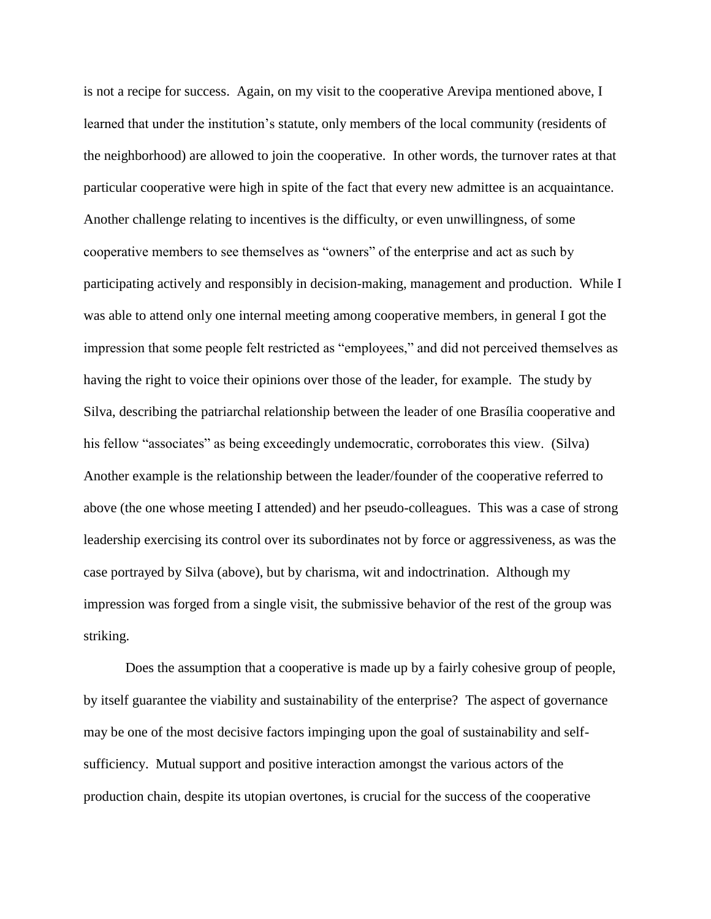is not a recipe for success. Again, on my visit to the cooperative Arevipa mentioned above, I learned that under the institution's statute, only members of the local community (residents of the neighborhood) are allowed to join the cooperative. In other words, the turnover rates at that particular cooperative were high in spite of the fact that every new admittee is an acquaintance. Another challenge relating to incentives is the difficulty, or even unwillingness, of some cooperative members to see themselves as "owners" of the enterprise and act as such by participating actively and responsibly in decision-making, management and production. While I was able to attend only one internal meeting among cooperative members, in general I got the impression that some people felt restricted as "employees," and did not perceived themselves as having the right to voice their opinions over those of the leader, for example. The study by Silva, describing the patriarchal relationship between the leader of one Brasília cooperative and his fellow "associates" as being exceedingly undemocratic, corroborates this view. (Silva) Another example is the relationship between the leader/founder of the cooperative referred to above (the one whose meeting I attended) and her pseudo-colleagues. This was a case of strong leadership exercising its control over its subordinates not by force or aggressiveness, as was the case portrayed by Silva (above), but by charisma, wit and indoctrination. Although my impression was forged from a single visit, the submissive behavior of the rest of the group was striking.

Does the assumption that a cooperative is made up by a fairly cohesive group of people, by itself guarantee the viability and sustainability of the enterprise? The aspect of governance may be one of the most decisive factors impinging upon the goal of sustainability and selfsufficiency. Mutual support and positive interaction amongst the various actors of the production chain, despite its utopian overtones, is crucial for the success of the cooperative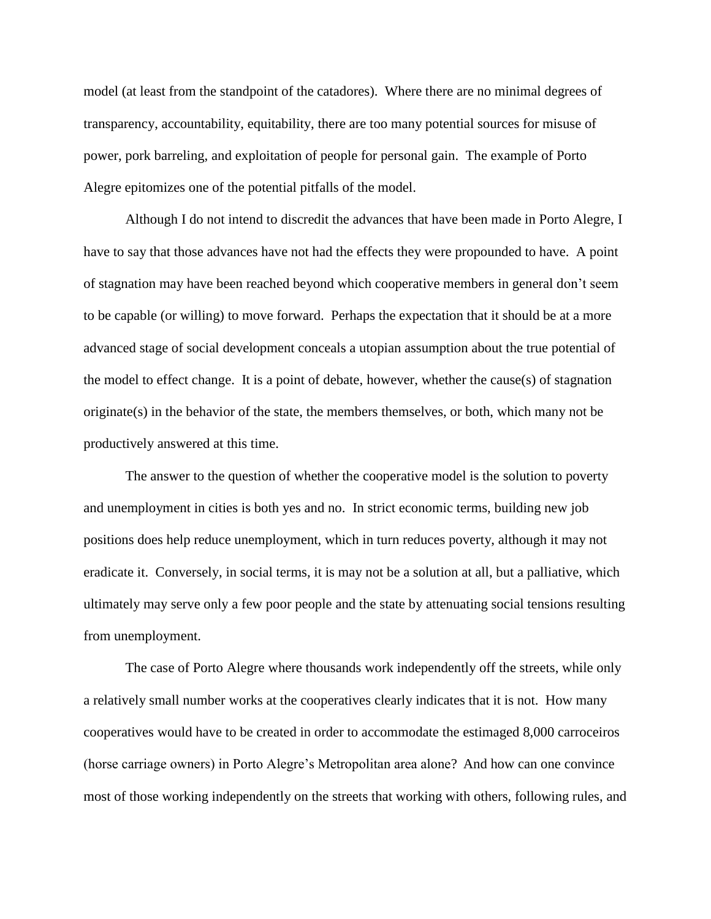model (at least from the standpoint of the catadores). Where there are no minimal degrees of transparency, accountability, equitability, there are too many potential sources for misuse of power, pork barreling, and exploitation of people for personal gain. The example of Porto Alegre epitomizes one of the potential pitfalls of the model.

Although I do not intend to discredit the advances that have been made in Porto Alegre, I have to say that those advances have not had the effects they were propounded to have. A point of stagnation may have been reached beyond which cooperative members in general don't seem to be capable (or willing) to move forward. Perhaps the expectation that it should be at a more advanced stage of social development conceals a utopian assumption about the true potential of the model to effect change. It is a point of debate, however, whether the cause(s) of stagnation originate(s) in the behavior of the state, the members themselves, or both, which many not be productively answered at this time.

The answer to the question of whether the cooperative model is the solution to poverty and unemployment in cities is both yes and no. In strict economic terms, building new job positions does help reduce unemployment, which in turn reduces poverty, although it may not eradicate it. Conversely, in social terms, it is may not be a solution at all, but a palliative, which ultimately may serve only a few poor people and the state by attenuating social tensions resulting from unemployment.

The case of Porto Alegre where thousands work independently off the streets, while only a relatively small number works at the cooperatives clearly indicates that it is not. How many cooperatives would have to be created in order to accommodate the estimaged 8,000 carroceiros (horse carriage owners) in Porto Alegre's Metropolitan area alone? And how can one convince most of those working independently on the streets that working with others, following rules, and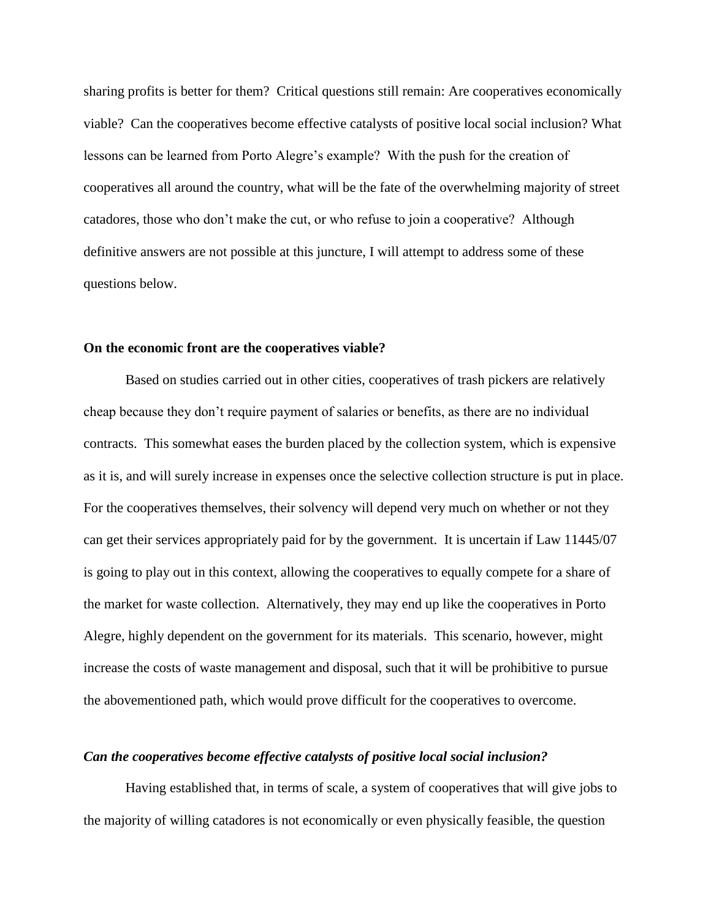sharing profits is better for them? Critical questions still remain: Are cooperatives economically viable? Can the cooperatives become effective catalysts of positive local social inclusion? What lessons can be learned from Porto Alegre's example? With the push for the creation of cooperatives all around the country, what will be the fate of the overwhelming majority of street catadores, those who don't make the cut, or who refuse to join a cooperative? Although definitive answers are not possible at this juncture, I will attempt to address some of these questions below.

#### **On the economic front are the cooperatives viable?**

Based on studies carried out in other cities, cooperatives of trash pickers are relatively cheap because they don't require payment of salaries or benefits, as there are no individual contracts. This somewhat eases the burden placed by the collection system, which is expensive as it is, and will surely increase in expenses once the selective collection structure is put in place. For the cooperatives themselves, their solvency will depend very much on whether or not they can get their services appropriately paid for by the government. It is uncertain if Law 11445/07 is going to play out in this context, allowing the cooperatives to equally compete for a share of the market for waste collection. Alternatively, they may end up like the cooperatives in Porto Alegre, highly dependent on the government for its materials. This scenario, however, might increase the costs of waste management and disposal, such that it will be prohibitive to pursue the abovementioned path, which would prove difficult for the cooperatives to overcome.

#### *Can the cooperatives become effective catalysts of positive local social inclusion?*

Having established that, in terms of scale, a system of cooperatives that will give jobs to the majority of willing catadores is not economically or even physically feasible, the question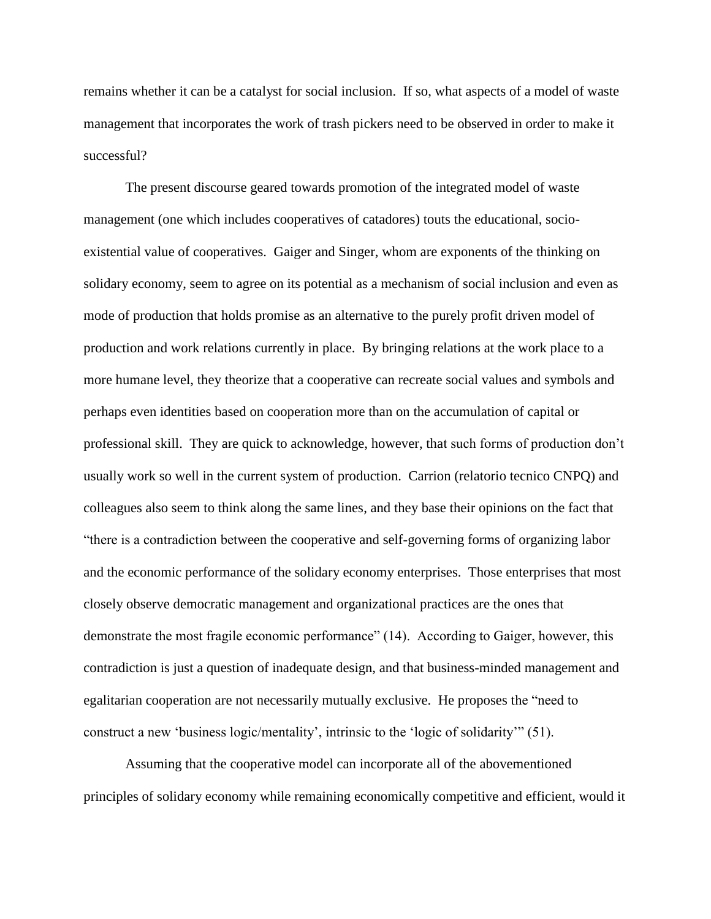remains whether it can be a catalyst for social inclusion. If so, what aspects of a model of waste management that incorporates the work of trash pickers need to be observed in order to make it successful?

The present discourse geared towards promotion of the integrated model of waste management (one which includes cooperatives of catadores) touts the educational, socioexistential value of cooperatives. Gaiger and Singer, whom are exponents of the thinking on solidary economy, seem to agree on its potential as a mechanism of social inclusion and even as mode of production that holds promise as an alternative to the purely profit driven model of production and work relations currently in place. By bringing relations at the work place to a more humane level, they theorize that a cooperative can recreate social values and symbols and perhaps even identities based on cooperation more than on the accumulation of capital or professional skill. They are quick to acknowledge, however, that such forms of production don't usually work so well in the current system of production. Carrion (relatorio tecnico CNPQ) and colleagues also seem to think along the same lines, and they base their opinions on the fact that "there is a contradiction between the cooperative and self-governing forms of organizing labor and the economic performance of the solidary economy enterprises. Those enterprises that most closely observe democratic management and organizational practices are the ones that demonstrate the most fragile economic performance" (14). According to Gaiger, however, this contradiction is just a question of inadequate design, and that business-minded management and egalitarian cooperation are not necessarily mutually exclusive. He proposes the "need to construct a new 'business logic/mentality', intrinsic to the 'logic of solidarity'" (51).

Assuming that the cooperative model can incorporate all of the abovementioned principles of solidary economy while remaining economically competitive and efficient, would it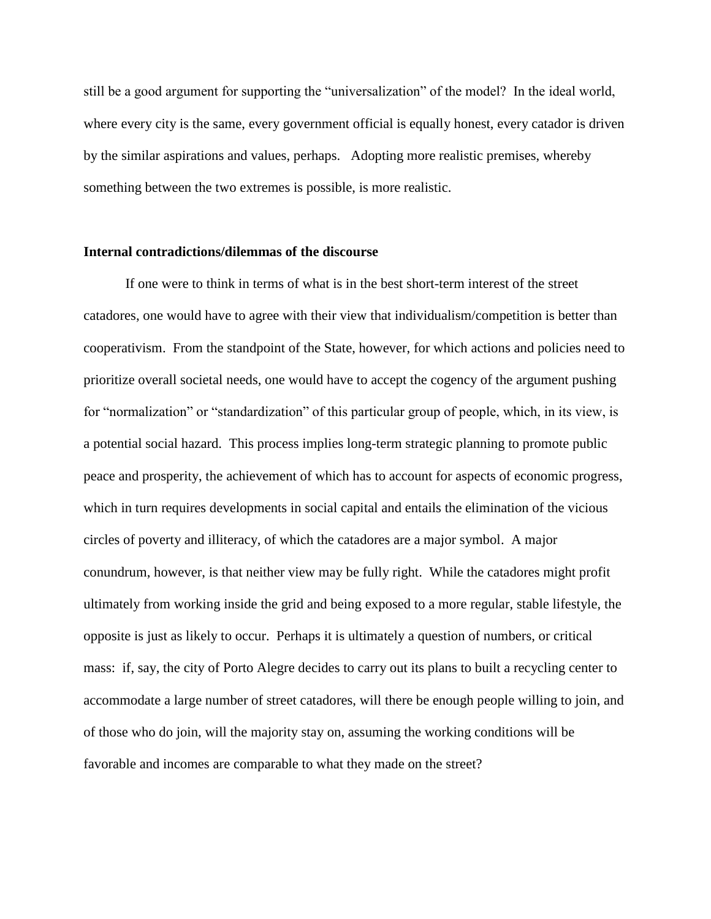still be a good argument for supporting the "universalization" of the model? In the ideal world, where every city is the same, every government official is equally honest, every catador is driven by the similar aspirations and values, perhaps. Adopting more realistic premises, whereby something between the two extremes is possible, is more realistic.

#### **Internal contradictions/dilemmas of the discourse**

If one were to think in terms of what is in the best short-term interest of the street catadores, one would have to agree with their view that individualism/competition is better than cooperativism. From the standpoint of the State, however, for which actions and policies need to prioritize overall societal needs, one would have to accept the cogency of the argument pushing for "normalization" or "standardization" of this particular group of people, which, in its view, is a potential social hazard. This process implies long-term strategic planning to promote public peace and prosperity, the achievement of which has to account for aspects of economic progress, which in turn requires developments in social capital and entails the elimination of the vicious circles of poverty and illiteracy, of which the catadores are a major symbol. A major conundrum, however, is that neither view may be fully right. While the catadores might profit ultimately from working inside the grid and being exposed to a more regular, stable lifestyle, the opposite is just as likely to occur. Perhaps it is ultimately a question of numbers, or critical mass: if, say, the city of Porto Alegre decides to carry out its plans to built a recycling center to accommodate a large number of street catadores, will there be enough people willing to join, and of those who do join, will the majority stay on, assuming the working conditions will be favorable and incomes are comparable to what they made on the street?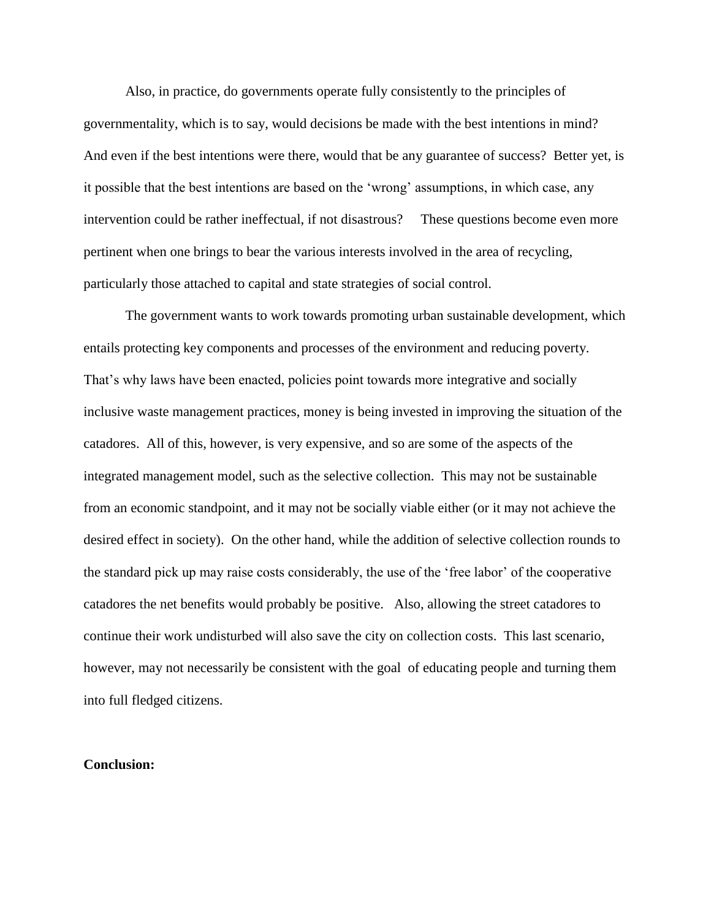Also, in practice, do governments operate fully consistently to the principles of governmentality, which is to say, would decisions be made with the best intentions in mind? And even if the best intentions were there, would that be any guarantee of success? Better yet, is it possible that the best intentions are based on the 'wrong' assumptions, in which case, any intervention could be rather ineffectual, if not disastrous? These questions become even more pertinent when one brings to bear the various interests involved in the area of recycling, particularly those attached to capital and state strategies of social control.

The government wants to work towards promoting urban sustainable development, which entails protecting key components and processes of the environment and reducing poverty. That's why laws have been enacted, policies point towards more integrative and socially inclusive waste management practices, money is being invested in improving the situation of the catadores. All of this, however, is very expensive, and so are some of the aspects of the integrated management model, such as the selective collection. This may not be sustainable from an economic standpoint, and it may not be socially viable either (or it may not achieve the desired effect in society). On the other hand, while the addition of selective collection rounds to the standard pick up may raise costs considerably, the use of the 'free labor' of the cooperative catadores the net benefits would probably be positive. Also, allowing the street catadores to continue their work undisturbed will also save the city on collection costs. This last scenario, however, may not necessarily be consistent with the goal of educating people and turning them into full fledged citizens.

#### **Conclusion:**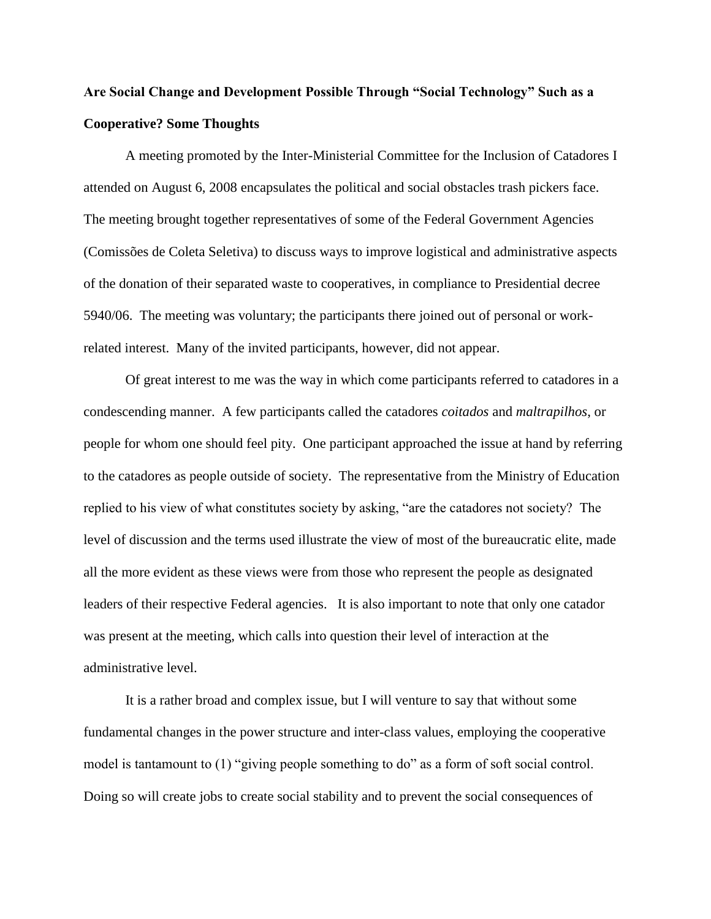## **Are Social Change and Development Possible Through "Social Technology" Such as a Cooperative? Some Thoughts**

A meeting promoted by the Inter-Ministerial Committee for the Inclusion of Catadores I attended on August 6, 2008 encapsulates the political and social obstacles trash pickers face. The meeting brought together representatives of some of the Federal Government Agencies (Comissões de Coleta Seletiva) to discuss ways to improve logistical and administrative aspects of the donation of their separated waste to cooperatives, in compliance to Presidential decree 5940/06. The meeting was voluntary; the participants there joined out of personal or workrelated interest. Many of the invited participants, however, did not appear.

Of great interest to me was the way in which come participants referred to catadores in a condescending manner. A few participants called the catadores *coitados* and *maltrapilhos*, or people for whom one should feel pity. One participant approached the issue at hand by referring to the catadores as people outside of society. The representative from the Ministry of Education replied to his view of what constitutes society by asking, "are the catadores not society? The level of discussion and the terms used illustrate the view of most of the bureaucratic elite, made all the more evident as these views were from those who represent the people as designated leaders of their respective Federal agencies. It is also important to note that only one catador was present at the meeting, which calls into question their level of interaction at the administrative level.

It is a rather broad and complex issue, but I will venture to say that without some fundamental changes in the power structure and inter-class values, employing the cooperative model is tantamount to (1) "giving people something to do" as a form of soft social control. Doing so will create jobs to create social stability and to prevent the social consequences of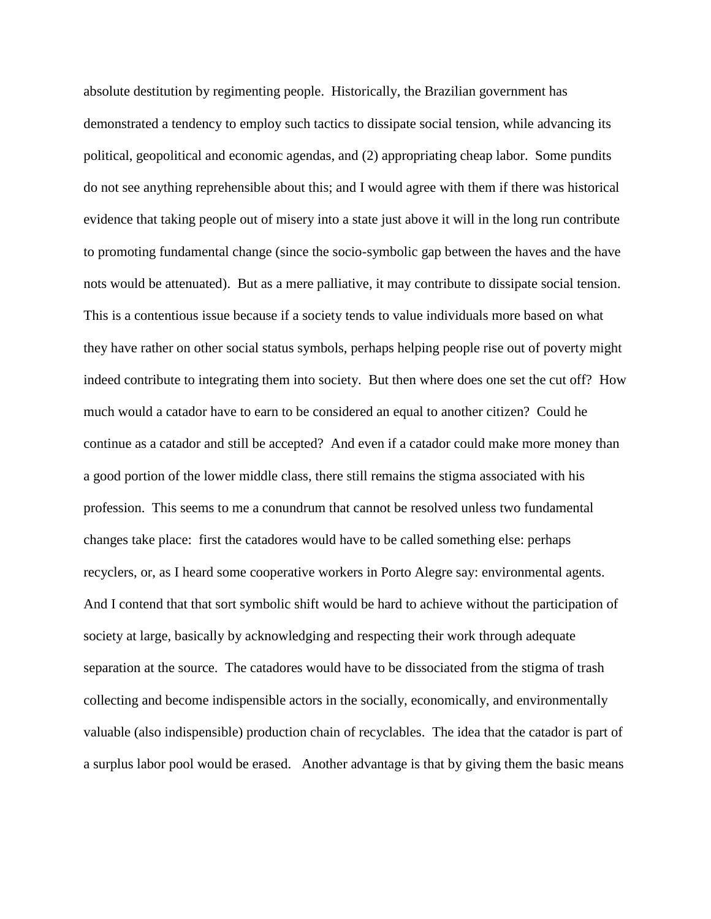absolute destitution by regimenting people. Historically, the Brazilian government has demonstrated a tendency to employ such tactics to dissipate social tension, while advancing its political, geopolitical and economic agendas, and (2) appropriating cheap labor. Some pundits do not see anything reprehensible about this; and I would agree with them if there was historical evidence that taking people out of misery into a state just above it will in the long run contribute to promoting fundamental change (since the socio-symbolic gap between the haves and the have nots would be attenuated). But as a mere palliative, it may contribute to dissipate social tension. This is a contentious issue because if a society tends to value individuals more based on what they have rather on other social status symbols, perhaps helping people rise out of poverty might indeed contribute to integrating them into society. But then where does one set the cut off? How much would a catador have to earn to be considered an equal to another citizen? Could he continue as a catador and still be accepted? And even if a catador could make more money than a good portion of the lower middle class, there still remains the stigma associated with his profession. This seems to me a conundrum that cannot be resolved unless two fundamental changes take place: first the catadores would have to be called something else: perhaps recyclers, or, as I heard some cooperative workers in Porto Alegre say: environmental agents. And I contend that that sort symbolic shift would be hard to achieve without the participation of society at large, basically by acknowledging and respecting their work through adequate separation at the source. The catadores would have to be dissociated from the stigma of trash collecting and become indispensible actors in the socially, economically, and environmentally valuable (also indispensible) production chain of recyclables. The idea that the catador is part of a surplus labor pool would be erased. Another advantage is that by giving them the basic means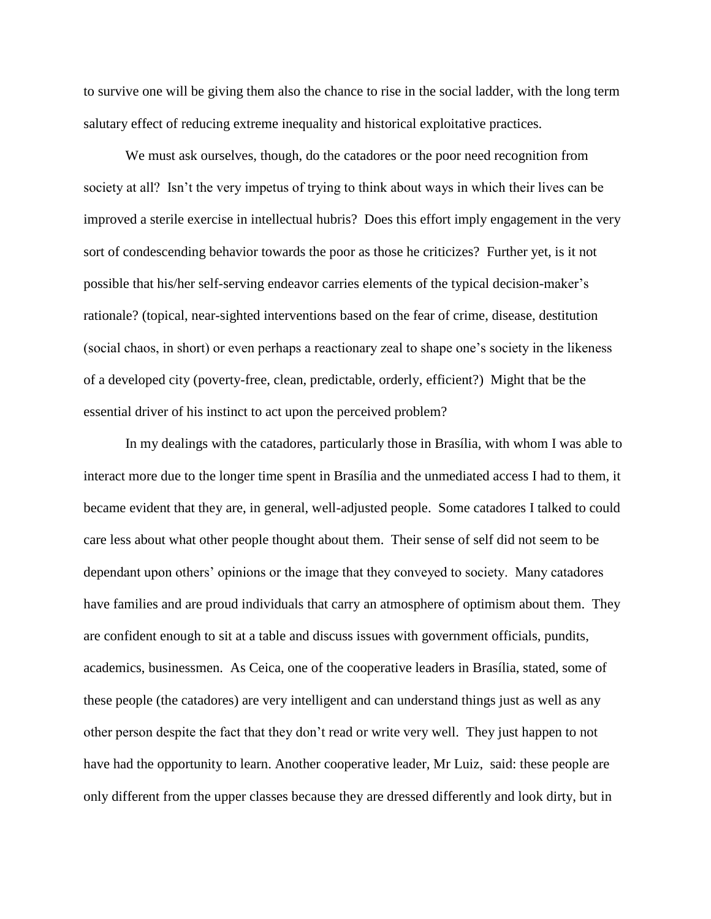to survive one will be giving them also the chance to rise in the social ladder, with the long term salutary effect of reducing extreme inequality and historical exploitative practices.

We must ask ourselves, though, do the catadores or the poor need recognition from society at all? Isn't the very impetus of trying to think about ways in which their lives can be improved a sterile exercise in intellectual hubris? Does this effort imply engagement in the very sort of condescending behavior towards the poor as those he criticizes? Further yet, is it not possible that his/her self-serving endeavor carries elements of the typical decision-maker's rationale? (topical, near-sighted interventions based on the fear of crime, disease, destitution (social chaos, in short) or even perhaps a reactionary zeal to shape one's society in the likeness of a developed city (poverty-free, clean, predictable, orderly, efficient?) Might that be the essential driver of his instinct to act upon the perceived problem?

In my dealings with the catadores, particularly those in Brasília, with whom I was able to interact more due to the longer time spent in Brasília and the unmediated access I had to them, it became evident that they are, in general, well-adjusted people. Some catadores I talked to could care less about what other people thought about them. Their sense of self did not seem to be dependant upon others' opinions or the image that they conveyed to society. Many catadores have families and are proud individuals that carry an atmosphere of optimism about them. They are confident enough to sit at a table and discuss issues with government officials, pundits, academics, businessmen. As Ceica, one of the cooperative leaders in Brasília, stated, some of these people (the catadores) are very intelligent and can understand things just as well as any other person despite the fact that they don't read or write very well. They just happen to not have had the opportunity to learn. Another cooperative leader, Mr Luiz, said: these people are only different from the upper classes because they are dressed differently and look dirty, but in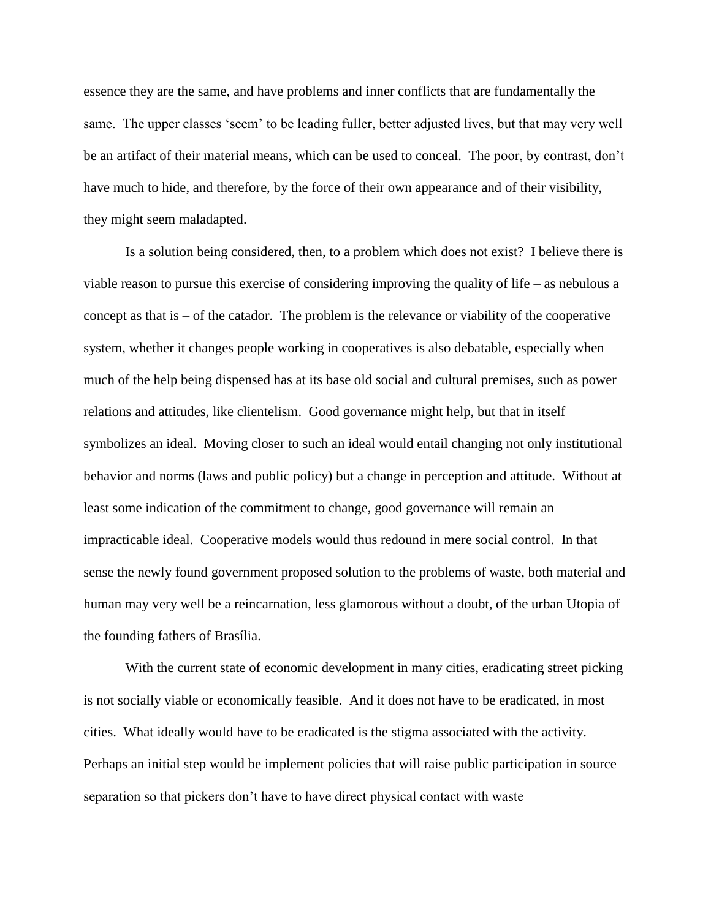essence they are the same, and have problems and inner conflicts that are fundamentally the same. The upper classes 'seem' to be leading fuller, better adjusted lives, but that may very well be an artifact of their material means, which can be used to conceal. The poor, by contrast, don't have much to hide, and therefore, by the force of their own appearance and of their visibility, they might seem maladapted.

Is a solution being considered, then, to a problem which does not exist? I believe there is viable reason to pursue this exercise of considering improving the quality of life – as nebulous a concept as that is – of the catador. The problem is the relevance or viability of the cooperative system, whether it changes people working in cooperatives is also debatable, especially when much of the help being dispensed has at its base old social and cultural premises, such as power relations and attitudes, like clientelism. Good governance might help, but that in itself symbolizes an ideal. Moving closer to such an ideal would entail changing not only institutional behavior and norms (laws and public policy) but a change in perception and attitude. Without at least some indication of the commitment to change, good governance will remain an impracticable ideal. Cooperative models would thus redound in mere social control. In that sense the newly found government proposed solution to the problems of waste, both material and human may very well be a reincarnation, less glamorous without a doubt, of the urban Utopia of the founding fathers of Brasília.

With the current state of economic development in many cities, eradicating street picking is not socially viable or economically feasible. And it does not have to be eradicated, in most cities. What ideally would have to be eradicated is the stigma associated with the activity. Perhaps an initial step would be implement policies that will raise public participation in source separation so that pickers don't have to have direct physical contact with waste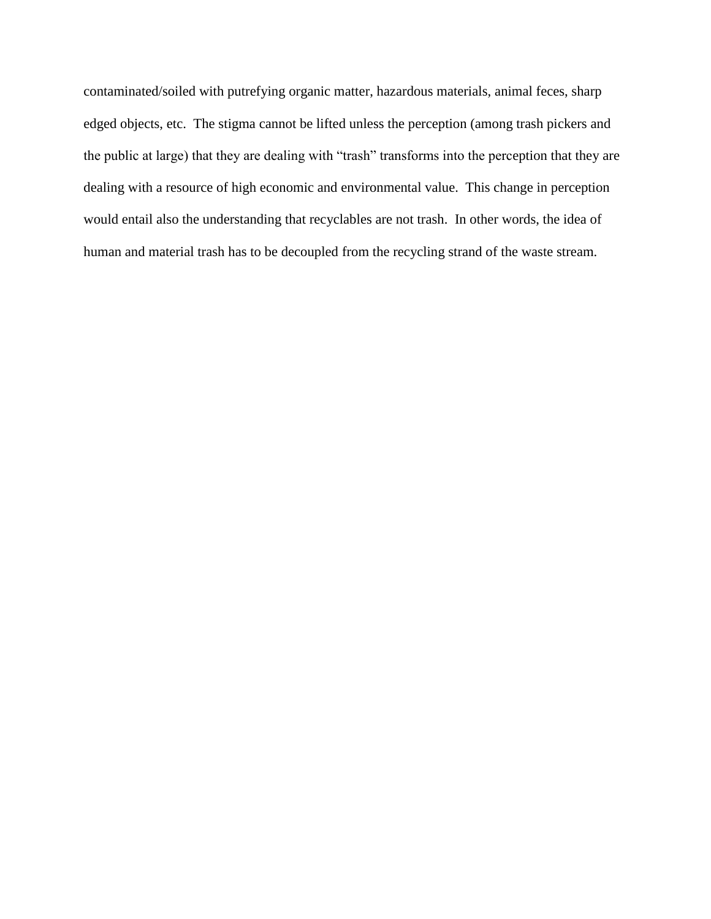contaminated/soiled with putrefying organic matter, hazardous materials, animal feces, sharp edged objects, etc. The stigma cannot be lifted unless the perception (among trash pickers and the public at large) that they are dealing with "trash" transforms into the perception that they are dealing with a resource of high economic and environmental value. This change in perception would entail also the understanding that recyclables are not trash. In other words, the idea of human and material trash has to be decoupled from the recycling strand of the waste stream.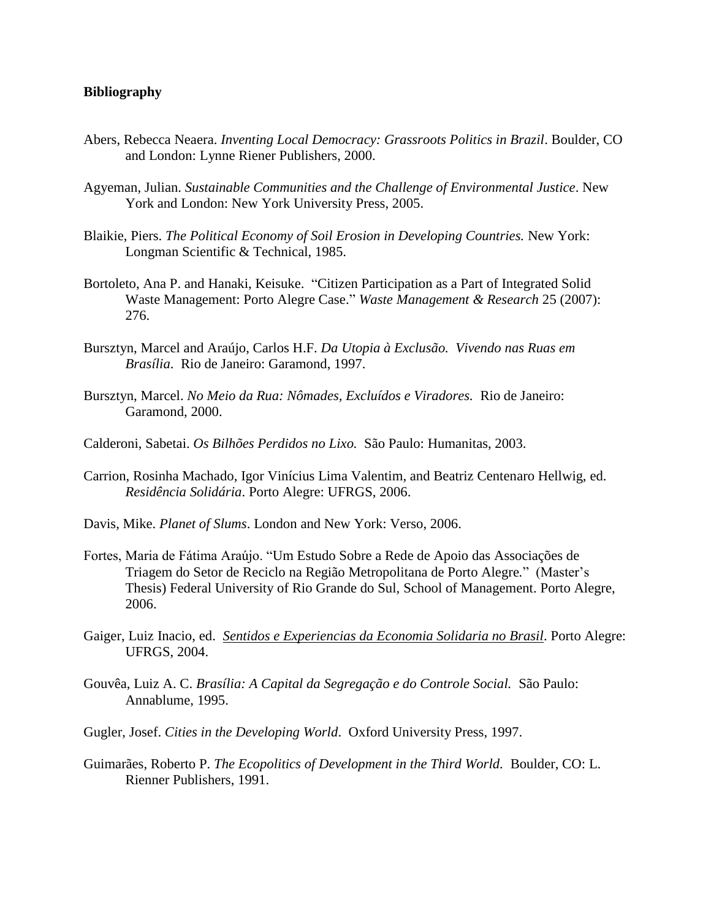## **Bibliography**

- Abers, Rebecca Neaera. *Inventing Local Democracy: Grassroots Politics in Brazil*. Boulder, CO and London: Lynne Riener Publishers, 2000.
- Agyeman, Julian. *Sustainable Communities and the Challenge of Environmental Justice*. New York and London: New York University Press, 2005.
- Blaikie, Piers. *The Political Economy of Soil Erosion in Developing Countries.* New York: Longman Scientific & Technical, 1985.
- Bortoleto, Ana P. and Hanaki, Keisuke. "Citizen Participation as a Part of Integrated Solid Waste Management: Porto Alegre Case." *Waste Management & Research* 25 (2007): 276.
- Bursztyn, Marcel and Araújo, Carlos H.F. *Da Utopia à Exclusão. Vivendo nas Ruas em Brasília*. Rio de Janeiro: Garamond, 1997.
- Bursztyn, Marcel. *No Meio da Rua: Nômades, Excluídos e Viradores.* Rio de Janeiro: Garamond, 2000.
- Calderoni, Sabetai. *Os Bilhões Perdidos no Lixo.* São Paulo: Humanitas, 2003.
- Carrion, Rosinha Machado, Igor Vinícius Lima Valentim, and Beatriz Centenaro Hellwig, ed. *Residência Solidária*. Porto Alegre: UFRGS, 2006.
- Davis, Mike. *Planet of Slums*. London and New York: Verso, 2006.
- Fortes, Maria de Fátima Araújo. "Um Estudo Sobre a Rede de Apoio das Associações de Triagem do Setor de Reciclo na Região Metropolitana de Porto Alegre*.*"(Master's Thesis) Federal University of Rio Grande do Sul, School of Management. Porto Alegre, 2006.
- Gaiger, Luiz Inacio, ed. *Sentidos e Experiencias da Economia Solidaria no Brasil*. Porto Alegre: UFRGS, 2004.
- Gouvêa, Luiz A. C. *Brasília: A Capital da Segregação e do Controle Social.* São Paulo: Annablume, 1995.
- Gugler, Josef. *Cities in the Developing World*. Oxford University Press, 1997.
- Guimarães, Roberto P. *The Ecopolitics of Development in the Third World.* Boulder, CO: L. Rienner Publishers, 1991.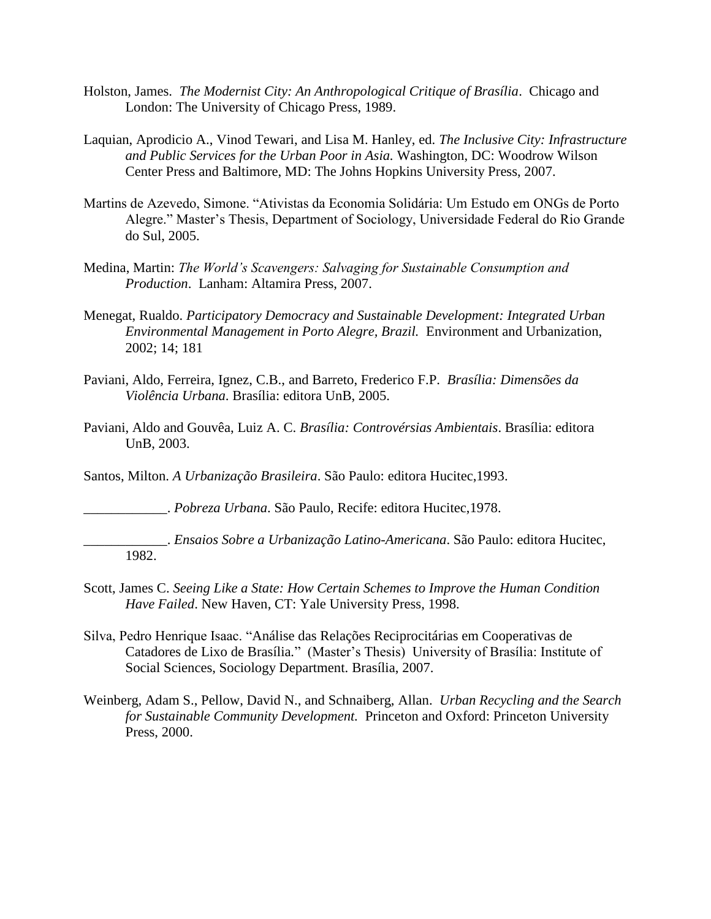- Holston, James. *The Modernist City: An Anthropological Critique of Brasília*. Chicago and London: The University of Chicago Press, 1989.
- Laquian, Aprodicio A., Vinod Tewari, and Lisa M. Hanley, ed. *The Inclusive City: Infrastructure and Public Services for the Urban Poor in Asia.* Washington, DC: Woodrow Wilson Center Press and Baltimore, MD: The Johns Hopkins University Press, 2007.
- Martins de Azevedo, Simone. "Ativistas da Economia Solidária: Um Estudo em ONGs de Porto Alegre." Master's Thesis, Department of Sociology, Universidade Federal do Rio Grande do Sul, 2005.
- Medina, Martin: *The World's Scavengers: Salvaging for Sustainable Consumption and Production*. Lanham: Altamira Press, 2007.
- Menegat, Rualdo. *Participatory Democracy and Sustainable Development: Integrated Urban Environmental Management in Porto Alegre, Brazil.* Environment and Urbanization, 2002; 14; 181
- Paviani, Aldo, Ferreira, Ignez, C.B., and Barreto, Frederico F.P. *Brasília: Dimensões da Violência Urbana*. Brasília: editora UnB, 2005.
- Paviani, Aldo and Gouvêa, Luiz A. C. *Brasília: Controvérsias Ambientais*. Brasília: editora UnB, 2003.
- Santos, Milton. *A Urbanização Brasileira*. São Paulo: editora Hucitec,1993.
	- \_\_\_\_\_\_\_\_\_\_\_\_. *Pobreza Urbana*. São Paulo, Recife: editora Hucitec,1978.

\_\_\_\_\_\_\_\_\_\_\_\_. *Ensaios Sobre a Urbanização Latino-Americana*. São Paulo: editora Hucitec, 1982.

- Scott, James C. *Seeing Like a State: How Certain Schemes to Improve the Human Condition Have Failed*. New Haven, CT: Yale University Press, 1998.
- Silva, Pedro Henrique Isaac. "Análise das Relações Reciprocitárias em Cooperativas de Catadores de Lixo de Brasília*.*" (Master's Thesis) University of Brasília: Institute of Social Sciences, Sociology Department. Brasília, 2007.
- Weinberg, Adam S., Pellow, David N., and Schnaiberg, Allan. *Urban Recycling and the Search for Sustainable Community Development.* Princeton and Oxford: Princeton University Press, 2000.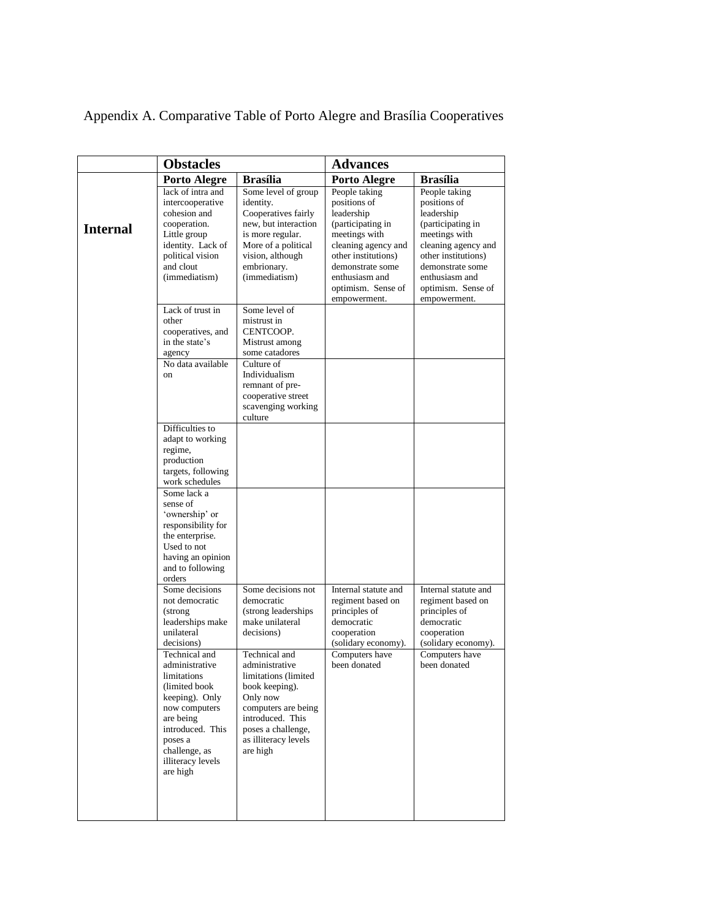Appendix A. Comparative Table of Porto Alegre and Brasília Cooperatives

|                 | <b>Obstacles</b>                                                                                                                                                                                 |                                                                                                                                                                                            | <b>Advances</b>                                                                                                                                                                                             |                                                                                                                                                                                                             |
|-----------------|--------------------------------------------------------------------------------------------------------------------------------------------------------------------------------------------------|--------------------------------------------------------------------------------------------------------------------------------------------------------------------------------------------|-------------------------------------------------------------------------------------------------------------------------------------------------------------------------------------------------------------|-------------------------------------------------------------------------------------------------------------------------------------------------------------------------------------------------------------|
|                 | <b>Porto Alegre</b>                                                                                                                                                                              | <b>Brasília</b>                                                                                                                                                                            | <b>Porto Alegre</b>                                                                                                                                                                                         | <b>Brasília</b>                                                                                                                                                                                             |
| <b>Internal</b> | lack of intra and<br>intercooperative<br>cohesion and<br>cooperation.<br>Little group<br>identity. Lack of<br>political vision<br>and clout<br>(immediatism)                                     | Some level of group<br>identity.<br>Cooperatives fairly<br>new, but interaction<br>is more regular.<br>More of a political<br>vision, although<br>embrionary.<br>(immediatism)             | People taking<br>positions of<br>leadership<br>(participating in<br>meetings with<br>cleaning agency and<br>other institutions)<br>demonstrate some<br>enthusiasm and<br>optimism. Sense of<br>empowerment. | People taking<br>positions of<br>leadership<br>(participating in<br>meetings with<br>cleaning agency and<br>other institutions)<br>demonstrate some<br>enthusiasm and<br>optimism. Sense of<br>empowerment. |
|                 | Lack of trust in<br>other<br>cooperatives, and<br>in the state's<br>agency                                                                                                                       | Some level of<br>mistrust in<br>CENTCOOP.<br>Mistrust among<br>some catadores                                                                                                              |                                                                                                                                                                                                             |                                                                                                                                                                                                             |
|                 | No data available<br>on                                                                                                                                                                          | Culture of<br>Individualism<br>remnant of pre-<br>cooperative street<br>scavenging working<br>culture                                                                                      |                                                                                                                                                                                                             |                                                                                                                                                                                                             |
|                 | Difficulties to<br>adapt to working<br>regime,<br>production<br>targets, following<br>work schedules                                                                                             |                                                                                                                                                                                            |                                                                                                                                                                                                             |                                                                                                                                                                                                             |
|                 | Some lack a<br>sense of<br>'ownership' or<br>responsibility for<br>the enterprise.<br>Used to not<br>having an opinion<br>and to following<br>orders                                             |                                                                                                                                                                                            |                                                                                                                                                                                                             |                                                                                                                                                                                                             |
|                 | Some decisions<br>not democratic<br>(strong<br>leaderships make<br>unilateral<br>decisions)                                                                                                      | Some decisions not<br>democratic<br>(strong leaderships)<br>make unilateral<br>decisions)                                                                                                  | Internal statute and<br>regiment based on<br>principles of<br>democratic<br>cooperation<br>(solidary economy).                                                                                              | Internal statute and<br>regiment based on<br>principles of<br>democratic<br>cooperation<br>(solidary economy).                                                                                              |
|                 | Technical and<br>administrative<br>limitations<br>(limited book<br>keeping). Only<br>now computers<br>are being<br>introduced. This<br>poses a<br>challenge, as<br>illiteracy levels<br>are high | Technical and<br>administrative<br>limitations (limited<br>book keeping).<br>Only now<br>computers are being<br>introduced. This<br>poses a challenge,<br>as illiteracy levels<br>are high | Computers have<br>been donated                                                                                                                                                                              | Computers have<br>been donated                                                                                                                                                                              |
|                 |                                                                                                                                                                                                  |                                                                                                                                                                                            |                                                                                                                                                                                                             |                                                                                                                                                                                                             |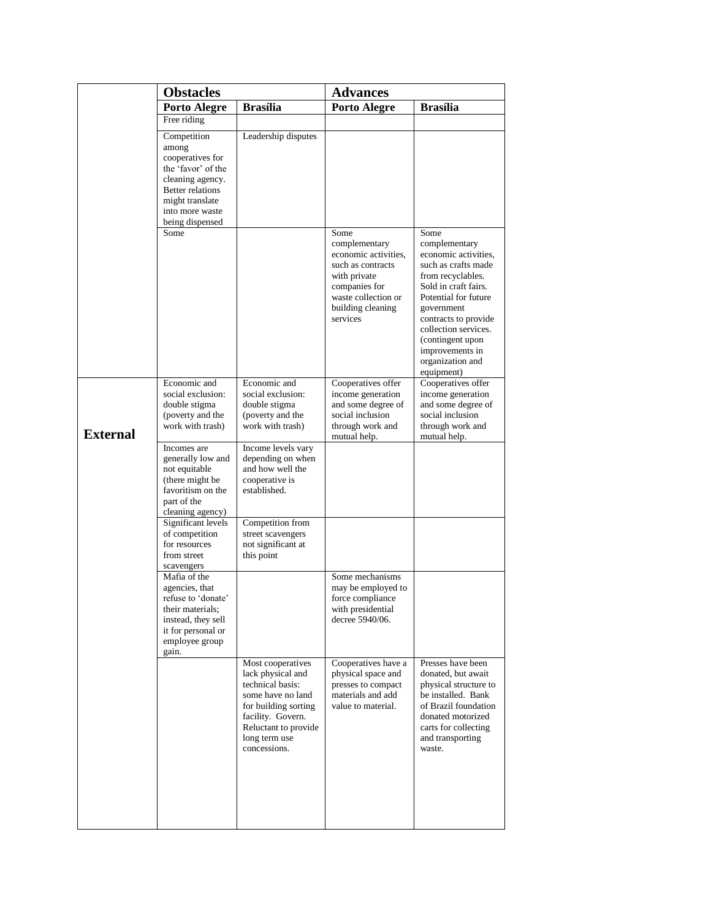|                 | <b>Obstacles</b>                                                                                                                                                                                                    |                                                                                                                                                                                       | <b>Advances</b>                                                                                                                                             |                                                                                                                                                                                                                                                                                  |
|-----------------|---------------------------------------------------------------------------------------------------------------------------------------------------------------------------------------------------------------------|---------------------------------------------------------------------------------------------------------------------------------------------------------------------------------------|-------------------------------------------------------------------------------------------------------------------------------------------------------------|----------------------------------------------------------------------------------------------------------------------------------------------------------------------------------------------------------------------------------------------------------------------------------|
|                 | <b>Porto Alegre</b>                                                                                                                                                                                                 | <b>Brasília</b>                                                                                                                                                                       | <b>Porto Alegre</b>                                                                                                                                         | <b>Brasília</b>                                                                                                                                                                                                                                                                  |
|                 | Free riding                                                                                                                                                                                                         |                                                                                                                                                                                       |                                                                                                                                                             |                                                                                                                                                                                                                                                                                  |
|                 | Competition<br>among<br>cooperatives for<br>the 'favor' of the<br>cleaning agency.<br><b>Better relations</b><br>might translate<br>into more waste<br>being dispensed                                              | Leadership disputes                                                                                                                                                                   |                                                                                                                                                             |                                                                                                                                                                                                                                                                                  |
|                 | Some                                                                                                                                                                                                                |                                                                                                                                                                                       | Some<br>complementary<br>economic activities,<br>such as contracts<br>with private<br>companies for<br>waste collection or<br>building cleaning<br>services | Some<br>complementary<br>economic activities,<br>such as crafts made<br>from recyclables.<br>Sold in craft fairs.<br>Potential for future<br>government<br>contracts to provide<br>collection services.<br>(contingent upon<br>improvements in<br>organization and<br>equipment) |
| <b>External</b> | Economic and<br>social exclusion:<br>double stigma<br>(poverty and the<br>work with trash)                                                                                                                          | Economic and<br>social exclusion:<br>double stigma<br>(poverty and the<br>work with trash)                                                                                            | Cooperatives offer<br>income generation<br>and some degree of<br>social inclusion<br>through work and<br>mutual help.                                       | Cooperatives offer<br>income generation<br>and some degree of<br>social inclusion<br>through work and<br>mutual help.                                                                                                                                                            |
|                 | Incomes are<br>generally low and<br>not equitable<br>(there might be)<br>favoritism on the<br>part of the<br>cleaning agency)<br>Significant levels<br>of competition<br>for resources<br>from street<br>scavengers | Income levels vary<br>depending on when<br>and how well the<br>cooperative is<br>established.<br>Competition from<br>street scavengers<br>not significant at<br>this point            |                                                                                                                                                             |                                                                                                                                                                                                                                                                                  |
|                 | Mafia of the<br>agencies, that<br>refuse to 'donate'<br>their materials;<br>instead, they sell<br>it for personal or<br>employee group<br>gain.                                                                     |                                                                                                                                                                                       | Some mechanisms<br>may be employed to<br>force compliance<br>with presidential<br>decree 5940/06.                                                           |                                                                                                                                                                                                                                                                                  |
|                 |                                                                                                                                                                                                                     | Most cooperatives<br>lack physical and<br>technical basis:<br>some have no land<br>for building sorting<br>facility. Govern.<br>Reluctant to provide<br>long term use<br>concessions. | Cooperatives have a<br>physical space and<br>presses to compact<br>materials and add<br>value to material.                                                  | Presses have been<br>donated, but await<br>physical structure to<br>be installed. Bank<br>of Brazil foundation<br>donated motorized<br>carts for collecting<br>and transporting<br>waste.                                                                                        |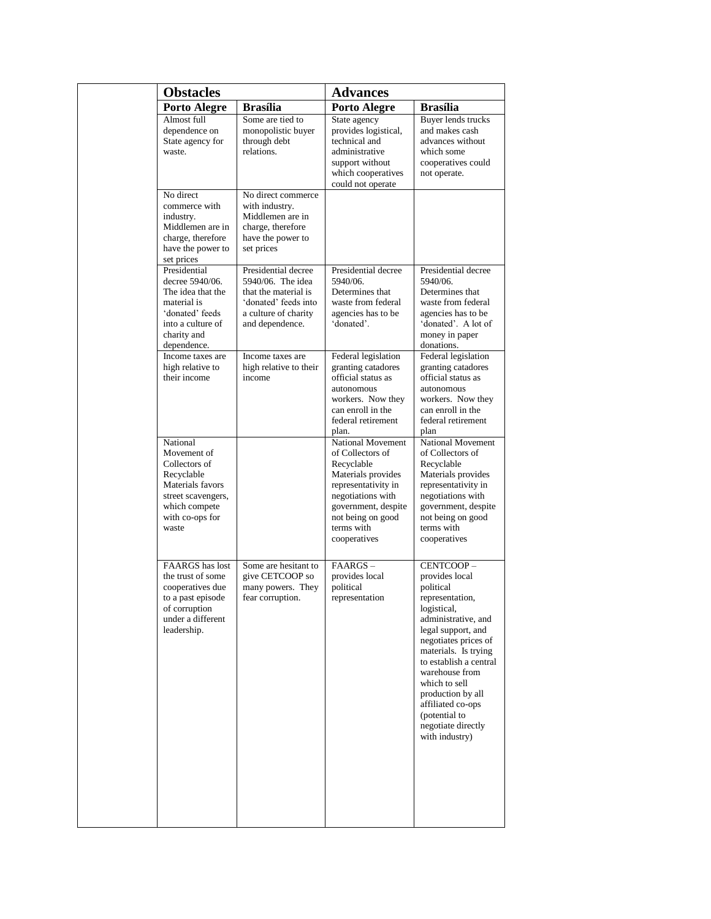| <b>Obstacles</b>                                                                                                                              |                                                                                                                                     | <b>Advances</b>                                                                                                                                                                                 |                                                                                                                                                                                                                                                                                                                                         |
|-----------------------------------------------------------------------------------------------------------------------------------------------|-------------------------------------------------------------------------------------------------------------------------------------|-------------------------------------------------------------------------------------------------------------------------------------------------------------------------------------------------|-----------------------------------------------------------------------------------------------------------------------------------------------------------------------------------------------------------------------------------------------------------------------------------------------------------------------------------------|
| <b>Porto Alegre</b>                                                                                                                           | <b>Brasília</b>                                                                                                                     | <b>Porto Alegre</b>                                                                                                                                                                             | <b>Brasília</b>                                                                                                                                                                                                                                                                                                                         |
| Almost full<br>dependence on<br>State agency for<br>waste.                                                                                    | Some are tied to<br>monopolistic buyer<br>through debt<br>relations.                                                                | State agency<br>provides logistical,<br>technical and<br>administrative<br>support without<br>which cooperatives<br>could not operate                                                           | Buyer lends trucks<br>and makes cash<br>advances without<br>which some<br>cooperatives could<br>not operate.                                                                                                                                                                                                                            |
| No direct<br>commerce with<br>industry.<br>Middlemen are in<br>charge, therefore<br>have the power to<br>set prices                           | No direct commerce<br>with industry.<br>Middlemen are in<br>charge, therefore<br>have the power to<br>set prices                    |                                                                                                                                                                                                 |                                                                                                                                                                                                                                                                                                                                         |
| Presidential<br>decree 5940/06.<br>The idea that the<br>material is<br>'donated' feeds<br>into a culture of<br>charity and<br>dependence.     | Presidential decree<br>5940/06. The idea<br>that the material is<br>'donated' feeds into<br>a culture of charity<br>and dependence. | Presidential decree<br>5940/06.<br>Determines that<br>waste from federal<br>agencies has to be<br>'donated'.                                                                                    | Presidential decree<br>5940/06.<br>Determines that<br>waste from federal<br>agencies has to be<br>'donated'. A lot of<br>money in paper<br>donations.                                                                                                                                                                                   |
| Income taxes are<br>high relative to<br>their income                                                                                          | Income taxes are<br>high relative to their<br>income                                                                                | Federal legislation<br>granting catadores<br>official status as<br>autonomous<br>workers. Now they<br>can enroll in the<br>federal retirement<br>plan.                                          | Federal legislation<br>granting catadores<br>official status as<br>autonomous<br>workers. Now they<br>can enroll in the<br>federal retirement<br>plan                                                                                                                                                                                   |
| National<br>Movement of<br>Collectors of<br>Recyclable<br>Materials favors<br>street scavengers,<br>which compete<br>with co-ops for<br>waste |                                                                                                                                     | National Movement<br>of Collectors of<br>Recyclable<br>Materials provides<br>representativity in<br>negotiations with<br>government, despite<br>not being on good<br>terms with<br>cooperatives | National Movement<br>of Collectors of<br>Recyclable<br>Materials provides<br>representativity in<br>negotiations with<br>government, despite<br>not being on good<br>terms with<br>cooperatives                                                                                                                                         |
| <b>FAARGS</b> has lost<br>the trust of some<br>cooperatives due<br>to a past episode<br>of corruption<br>under a different<br>leadership.     | Some are hesitant to<br>give CETCOOP so<br>many powers. They<br>fear corruption.                                                    | $FAARGS -$<br>provides local<br>political<br>representation                                                                                                                                     | CENTCOOP-<br>provides local<br>political<br>representation,<br>logistical,<br>administrative, and<br>legal support, and<br>negotiates prices of<br>materials. Is trying<br>to establish a central<br>warehouse from<br>which to sell<br>production by all<br>affiliated co-ops<br>(potential to<br>negotiate directly<br>with industry) |